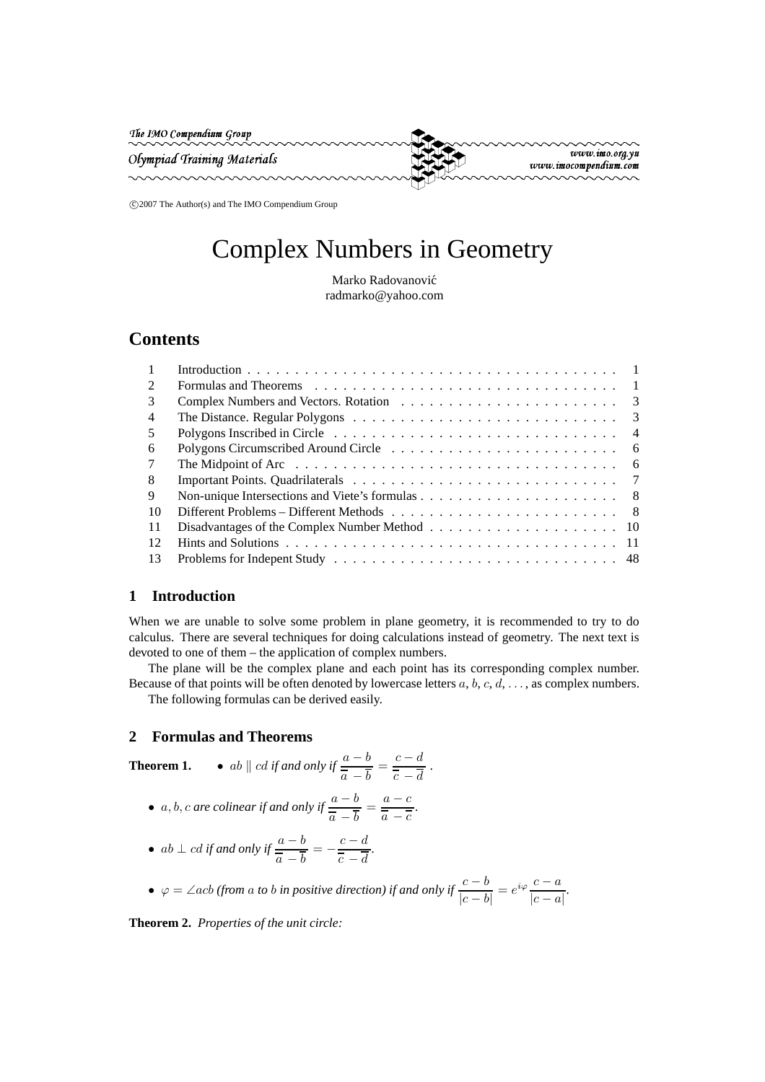The IMO Compendium Group

Olympiad Training Materials



www.imo.org.yu www.imocompendium.com

c 2007 The Author(s) and The IMO Compendium Group

# Complex Numbers in Geometry

Marko Radovanović radmarko@yahoo.com

## **Contents**

| $\mathfrak{D}$ | Formulas and Theorems $\ldots \ldots \ldots \ldots \ldots \ldots \ldots \ldots \ldots \ldots \ldots \ldots 1$ |
|----------------|---------------------------------------------------------------------------------------------------------------|
| 3              |                                                                                                               |
| 4              | The Distance. Regular Polygons $\ldots \ldots \ldots \ldots \ldots \ldots \ldots \ldots \ldots \ldots$        |
| .5             |                                                                                                               |
| 6              |                                                                                                               |
| 7              |                                                                                                               |
| 8              |                                                                                                               |
| 9              |                                                                                                               |
| -10            |                                                                                                               |
| -11            |                                                                                                               |
| 12             |                                                                                                               |
| 13             |                                                                                                               |

## **1 Introduction**

When we are unable to solve some problem in plane geometry, it is recommended to try to do calculus. There are several techniques for doing calculations instead of geometry. The next text is devoted to one of them – the application of complex numbers.

The plane will be the complex plane and each point has its corresponding complex number. Because of that points will be often denoted by lowercase letters  $a, b, c, d, \ldots$ , as complex numbers.

The following formulas can be derived easily.

## **2 Formulas and Theorems**

**Theorem 1.** • ab  $\parallel$  *cd if and only if*  $\frac{a-b}{\overline{a}-\overline{b}}$  $\frac{a-b}{\overline{a}-\overline{b}}=\frac{c-d}{\overline{c}-\overline{d}}$  $\overline{c}$  − d *.*

- *a*, *b*, *c are colinear if and only if*  $\frac{a-b}{\overline{a} \overline{b}} = \frac{a-c}{\overline{a} \overline{c}}$  $\frac{a}{\overline{a}-\overline{c}}$ .
- $ab \perp cd$  *if and only if*  $\frac{a-b}{\overline{a}-\overline{b}} = -\frac{c-d}{\overline{c}-\overline{d}}$  $\overline{c}$  −  $d$

• 
$$
\varphi = \angle acb
$$
 (from a to b in positive direction) if and only if  $\frac{c-b}{|c-b|} = e^{i\varphi} \frac{c-a}{|c-a|}$ .

*.*

**Theorem 2.** *Properties of the unit circle:*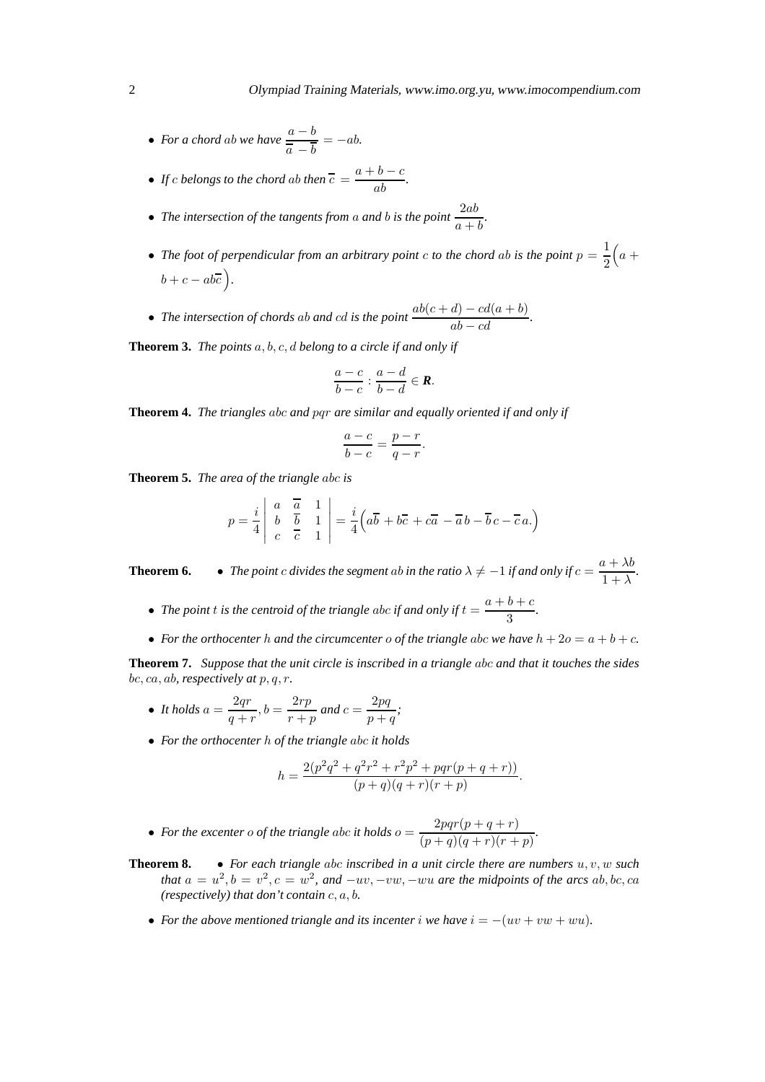- *For a chord ab we have*  $\frac{a-b}{\overline{a}-\overline{b}} = -ab$ *.*
- *If c belongs to the chord ab then*  $\overline{c} = \frac{a+b-c}{ab}$ .

• The intersection of the tangents from a and b is the point 
$$
\frac{2ab}{a+b}
$$
.

- The foot of perpendicular from an arbitrary point *c* to the chord ab is the point  $p = \frac{1}{2}$ 2  $\left(a + \right)$  $b + c - ab\overline{c}$ .
- *The intersection of chords ab and cd is the point*  $\frac{ab(c + d) cd(a + b)}{ab cd}$ .

**Theorem 3.** *The points* a, b, c, d *belong to a circle if and only if*

$$
\frac{a-c}{b-c}:\frac{a-d}{b-d}\in\mathbf{R}.
$$

**Theorem 4.** *The triangles* abc *and* pqr *are similar and equally oriented if and only if*

$$
\frac{a-c}{b-c} = \frac{p-r}{q-r}.
$$

**Theorem 5.** *The area of the triangle* abc *is*

$$
p = \frac{i}{4} \begin{vmatrix} a & \overline{a} & 1 \\ b & \overline{b} & 1 \\ c & \overline{c} & 1 \end{vmatrix} = \frac{i}{4} \left( a\overline{b} + b\overline{c} + c\overline{a} - \overline{a}b - \overline{b}c - \overline{c}a \right)
$$

**Theorem 6.** • *The point c divides the segment ab in the ratio*  $\lambda \neq -1$  *if and only if*  $c = \frac{a + \lambda b}{1 + \lambda}$  $\frac{x + \lambda}{1 + \lambda}$ .

- The point *t* is the centroid of the triangle abc if and only if  $t = \frac{a+b+c}{3}$  $\frac{6+6}{3}$ .
- For the orthocenter h and the circumcenter o of the triangle abc we have  $h + 2o = a + b + c$ .

**Theorem 7.** *Suppose that the unit circle is inscribed in a triangle* abc *and that it touches the sides* bc, ca, ab*, respectively at* p, q, r*.*

- It holds  $a = \frac{2qr}{q+r}$  $\frac{2qr}{q+r}, b = \frac{2rp}{r+q}$  $\frac{2rp}{r+p}$  and  $c = \frac{2pq}{p+r}$  $\frac{-p\cdot q}{p+q}$ ;
- *For the orthocenter* h *of the triangle* abc *it holds*

$$
h = \frac{2(p^2q^2 + q^2r^2 + r^2p^2 + pqr(p+q+r))}{(p+q)(q+r)(r+p)}.
$$

- For the excenter o of the triangle abc it holds  $o = \frac{2pqr(p+q+r)}{(p+q)(q+r)(r+r)}$  $\frac{2pq\cdot (p+q+r)}{(p+q)(q+r)(r+p)}$ .
- **Theorem 8.** *For each triangle* abc *inscribed in a unit circle there are numbers* u, v, w *such that*  $a = u^2$ ,  $b = v^2$ ,  $c = w^2$ , and  $-uv$ ,  $-vw$ ,  $-wu$  are the midpoints of the arcs  $ab$ ,  $bc$ ,  $ca$ *(respectively) that don't contain* c, a, b*.*
	- For the above mentioned triangle and its incenter i we have  $i = -(uv + vw + wu)$ .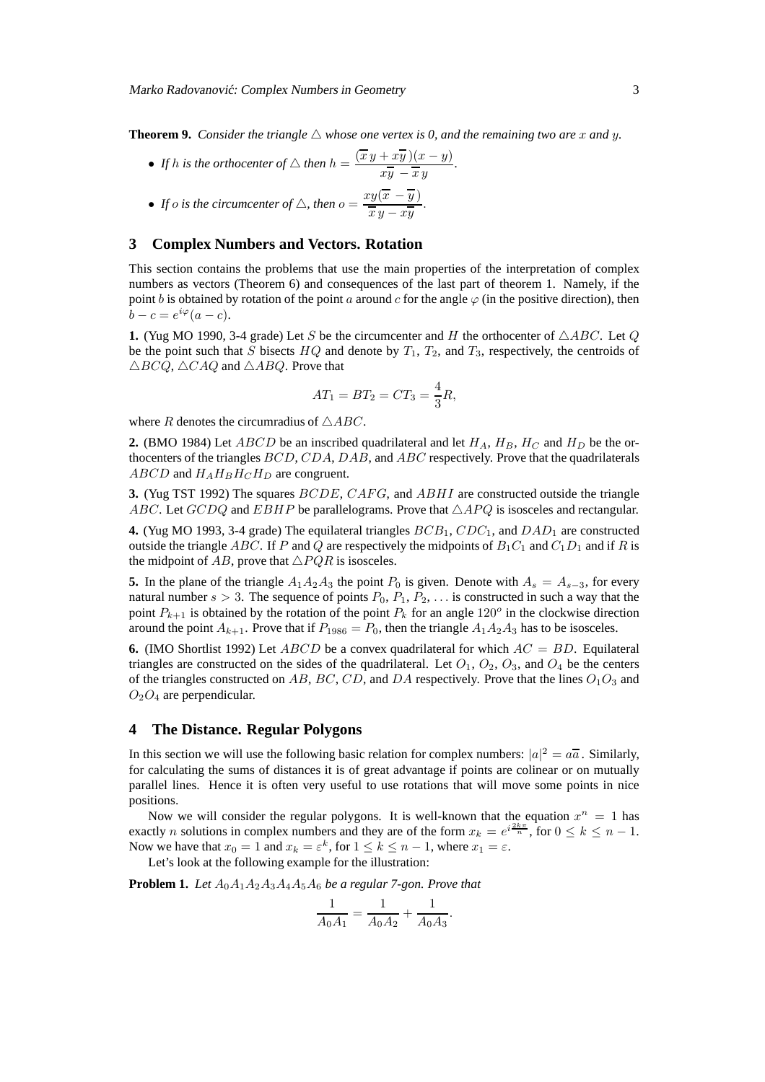**Theorem 9.** *Consider the triangle*  $\triangle$  *whose one vertex is 0, and the remaining two are* x *and* y.

• *If* h is the orthocenter of  $\triangle$  then  $h = \frac{(\overline{x} y + x \overline{y})(x - y)}{\overline{x} \overline{y} - \overline{x} y}$  $\frac{y}{x\overline{y} - \overline{x}y}$ .

• If *o* is the circumference of 
$$
\triangle
$$
, then  $o = \frac{xy(\overline{x} - \overline{y})}{\overline{x} \overline{y} - x \overline{y}}$ .

## **3 Complex Numbers and Vectors. Rotation**

This section contains the problems that use the main properties of the interpretation of complex numbers as vectors (Theorem 6) and consequences of the last part of theorem 1. Namely, if the point b is obtained by rotation of the point a around c for the angle  $\varphi$  (in the positive direction), then  $b - c = e^{i\varphi}(a - c).$ 

**1.** (Yug MO 1990, 3-4 grade) Let S be the circumcenter and H the orthocenter of  $\triangle ABC$ . Let Q be the point such that S bisects  $HQ$  and denote by  $T_1$ ,  $T_2$ , and  $T_3$ , respectively, the centroids of  $\triangle BCQ$ ,  $\triangle CAQ$  and  $\triangle ABQ$ . Prove that

$$
AT_1 = BT_2 = CT_3 = \frac{4}{3}R,
$$

where R denotes the circumradius of  $\triangle ABC$ .

**2.** (BMO 1984) Let *ABCD* be an inscribed quadrilateral and let  $H_A$ ,  $H_B$ ,  $H_C$  and  $H_D$  be the orthocenters of the triangles BCD, CDA, DAB, and ABC respectively. Prove that the quadrilaterals  $ABCD$  and  $H_AH_BH_CH_D$  are congruent.

**3.** (Yug TST 1992) The squares BCDE, CAFG, and ABHI are constructed outside the triangle ABC. Let GCDQ and EBHP be parallelograms. Prove that  $\triangle APQ$  is isosceles and rectangular.

**4.** (Yug MO 1993, 3-4 grade) The equilateral triangles  $BCB_1$ ,  $CDC_1$ , and  $DAD_1$  are constructed outside the triangle ABC. If P and Q are respectively the midpoints of  $B_1C_1$  and  $C_1D_1$  and if R is the midpoint of AB, prove that  $\triangle PQR$  is isosceles.

**5.** In the plane of the triangle  $A_1A_2A_3$  the point  $P_0$  is given. Denote with  $A_s = A_{s-3}$ , for every natural number  $s > 3$ . The sequence of points  $P_0, P_1, P_2, \ldots$  is constructed in such a way that the point  $P_{k+1}$  is obtained by the rotation of the point  $P_k$  for an angle 120<sup>o</sup> in the clockwise direction around the point  $A_{k+1}$ . Prove that if  $P_{1986} = P_0$ , then the triangle  $A_1A_2A_3$  has to be isosceles.

**6.** (IMO Shortlist 1992) Let  $ABCD$  be a convex quadrilateral for which  $AC = BD$ . Equilateral triangles are constructed on the sides of the quadrilateral. Let  $O_1$ ,  $O_2$ ,  $O_3$ , and  $O_4$  be the centers of the triangles constructed on AB, BC, CD, and DA respectively. Prove that the lines  $O_1O_3$  and  $O_2O_4$  are perpendicular.

#### **4 The Distance. Regular Polygons**

In this section we will use the following basic relation for complex numbers:  $|a|^2 = a\overline{a}$ . Similarly, for calculating the sums of distances it is of great advantage if points are colinear or on mutually parallel lines. Hence it is often very useful to use rotations that will move some points in nice positions.

Now we will consider the regular polygons. It is well-known that the equation  $x^n = 1$  has exactly *n* solutions in complex numbers and they are of the form  $x_k = e^{i\frac{2k\pi}{n}}$ , for  $0 \le k \le n - 1$ . Now we have that  $x_0 = 1$  and  $x_k = \varepsilon^k$ , for  $1 \le k \le n - 1$ , where  $x_1 = \varepsilon$ .

Let's look at the following example for the illustration:

**Problem 1.** *Let* A0A1A2A3A4A5A<sup>6</sup> *be a regular 7-gon. Prove that*

$$
\frac{1}{A_0 A_1} = \frac{1}{A_0 A_2} + \frac{1}{A_0 A_3}.
$$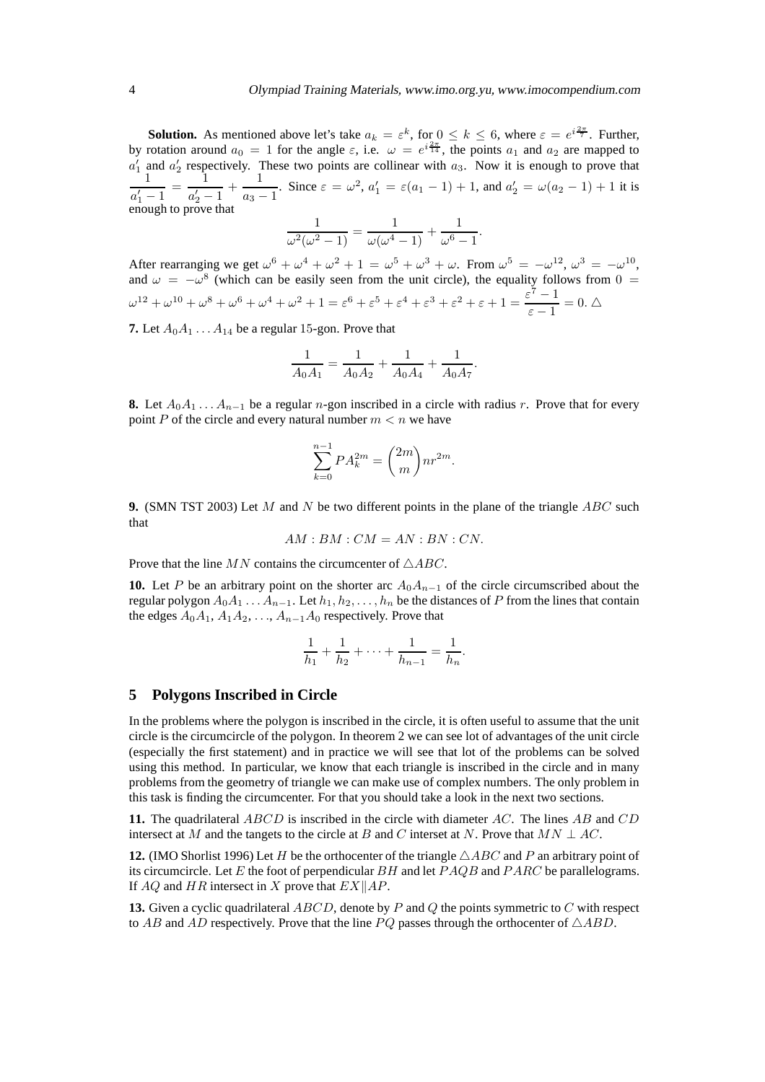**Solution.** As mentioned above let's take  $a_k = \varepsilon^k$ , for  $0 \le k \le 6$ , where  $\varepsilon = e^{i\frac{2\pi}{7}}$ . Further, by rotation around  $a_0 = 1$  for the angle  $\varepsilon$ , i.e.  $\omega = e^{i\frac{2\pi}{14}}$ , the points  $a_1$  and  $a_2$  are mapped to  $a'_1$  and  $a'_2$  respectively. These two points are collinear with  $a_3$ . Now it is enough to prove that 1  $\frac{1}{a'_1-1} = \frac{1}{a'_2-1}$  $\frac{1}{a'_2-1}+\frac{1}{a_3-1}$  $\frac{1}{a_3-1}$ . Since  $\varepsilon = \omega^2$ ,  $a'_1 = \varepsilon (a_1 - 1) + 1$ , and  $a'_2 = \omega (a_2 - 1) + 1$  it is enough to prove that

$$
\frac{1}{\omega^2(\omega^2-1)}=\frac{1}{\omega(\omega^4-1)}+\frac{1}{\omega^6-1}.
$$

After rearranging we get  $\omega^6 + \omega^4 + \omega^2 + 1 = \omega^5 + \omega^3 + \omega$ . From  $\omega^5 = -\omega^{12}$ ,  $\omega^3 = -\omega^{10}$ , and  $\omega = -\omega^8$  (which can be easily seen from the unit circle), the equality follows from 0 =  $\omega^{12} + \omega^{10} + \omega^8 + \omega^6 + \omega^4 + \omega^2 + 1 = \varepsilon^6 + \varepsilon^5 + \varepsilon^4 + \varepsilon^3 + \varepsilon^2 + \varepsilon + 1 = \frac{\varepsilon^7 - 1}{1}$  $\frac{\epsilon}{\epsilon-1}=0.$   $\triangle$ 

**7.** Let  $A_0A_1 \ldots A_{14}$  be a regular 15-gon. Prove that

$$
\frac{1}{A_0 A_1} = \frac{1}{A_0 A_2} + \frac{1}{A_0 A_4} + \frac{1}{A_0 A_7}.
$$

**8.** Let  $A_0A_1 \ldots A_{n-1}$  be a regular n-gon inscribed in a circle with radius r. Prove that for every point P of the circle and every natural number  $m < n$  we have

$$
\sum_{k=0}^{n-1} P A_k^{2m} = \binom{2m}{m} n r^{2m}.
$$

**9.** (SMN TST 2003) Let M and N be two different points in the plane of the triangle ABC such that

 $AM: BM: CM = AN: BN: CN.$ 

Prove that the line  $MN$  contains the circumcenter of  $\triangle ABC$ .

**10.** Let P be an arbitrary point on the shorter arc  $A_0A_{n-1}$  of the circle circumscribed about the regular polygon  $A_0A_1 \ldots A_{n-1}$ . Let  $h_1, h_2, \ldots, h_n$  be the distances of P from the lines that contain the edges  $A_0A_1, A_1A_2, \ldots, A_{n-1}A_0$  respectively. Prove that

$$
\frac{1}{h_1} + \frac{1}{h_2} + \dots + \frac{1}{h_{n-1}} = \frac{1}{h_n}.
$$

#### **5 Polygons Inscribed in Circle**

In the problems where the polygon is inscribed in the circle, it is often useful to assume that the unit circle is the circumcircle of the polygon. In theorem 2 we can see lot of advantages of the unit circle (especially the first statement) and in practice we will see that lot of the problems can be solved using this method. In particular, we know that each triangle is inscribed in the circle and in many problems from the geometry of triangle we can make use of complex numbers. The only problem in this task is finding the circumcenter. For that you should take a look in the next two sections.

**11.** The quadrilateral ABCD is inscribed in the circle with diameter AC. The lines AB and CD intersect at M and the tangets to the circle at B and C interset at N. Prove that  $MN \perp AC$ .

**12.** (IMO Shorlist 1996) Let H be the orthocenter of the triangle  $\triangle ABC$  and P an arbitrary point of its circumcircle. Let E the foot of perpendicular  $BH$  and let  $PAQB$  and  $PARC$  be parallelograms. If  $AQ$  and  $HR$  intersect in X prove that  $EX||AP$ .

**13.** Given a cyclic quadrilateral ABCD, denote by P and Q the points symmetric to C with respect to AB and AD respectively. Prove that the line PQ passes through the orthocenter of  $\triangle ABD$ .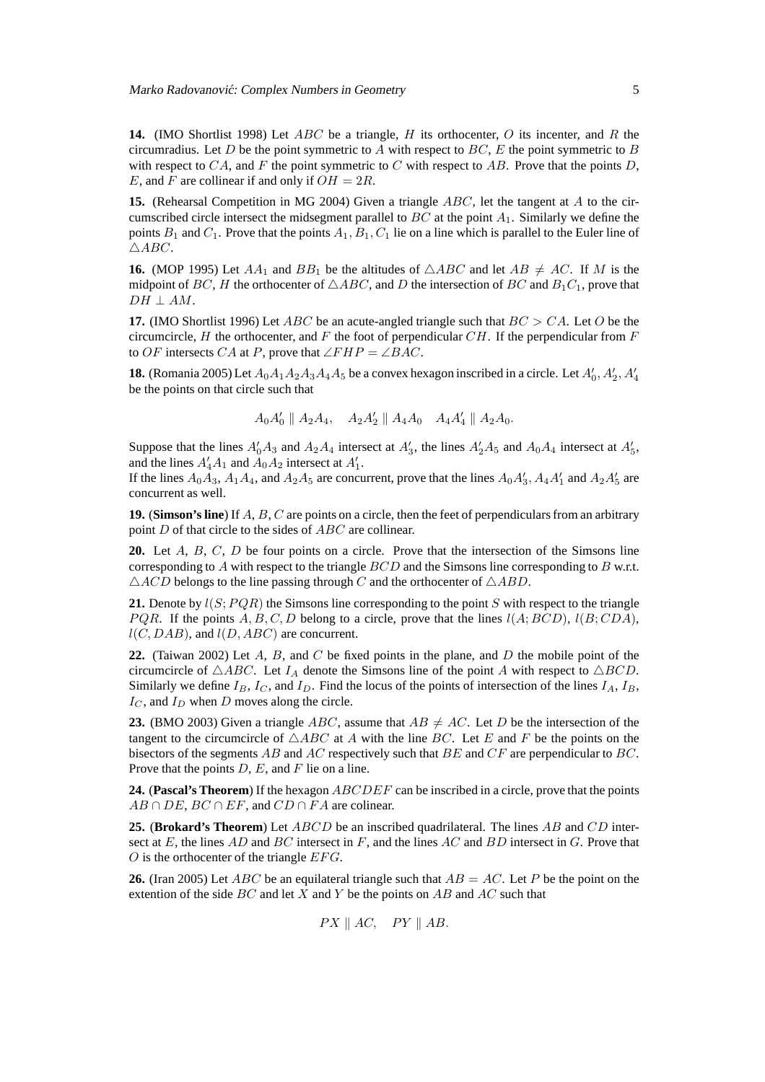**14.** (IMO Shortlist 1998) Let ABC be a triangle, H its orthocenter, O its incenter, and R the circumradius. Let D be the point symmetric to A with respect to BC, E the point symmetric to B with respect to  $CA$ , and F the point symmetric to C with respect to AB. Prove that the points D, E, and F are collinear if and only if  $OH = 2R$ .

**15.** (Rehearsal Competition in MG 2004) Given a triangle ABC, let the tangent at A to the circumscribed circle intersect the midsegment parallel to  $BC$  at the point  $A_1$ . Similarly we define the points  $B_1$  and  $C_1$ . Prove that the points  $A_1, B_1, C_1$  lie on a line which is parallel to the Euler line of  $\triangle ABC$ .

**16.** (MOP 1995) Let  $AA_1$  and  $BB_1$  be the altitudes of  $\triangle ABC$  and let  $AB \neq AC$ . If M is the midpoint of BC, H the orthocenter of  $\triangle ABC$ , and D the intersection of BC and  $B_1C_1$ , prove that  $DH \perp AM$ .

**17.** (IMO Shortlist 1996) Let ABC be an acute-angled triangle such that  $BC > CA$ . Let O be the circumcircle, H the orthocenter, and F the foot of perpendicular  $CH$ . If the perpendicular from F to OF intersects CA at P, prove that  $\angle FHP = \angle BAC$ .

**18.** (Romania 2005) Let  $A_0A_1A_2A_3A_4A_5$  be a convex hexagon inscribed in a circle. Let  $A'_0$ ,  $A'_2$ ,  $A'_4$ be the points on that circle such that

$$
A_0A'_0 \parallel A_2A_4
$$
,  $A_2A'_2 \parallel A_4A_0$   $A_4A'_4 \parallel A_2A_0$ .

Suppose that the lines  $A'_0A_3$  and  $A_2A_4$  intersect at  $A'_3$ , the lines  $A'_2A_5$  and  $A_0A_4$  intersect at  $A'_5$ , and the lines  $A'_4A_1$  and  $A_0A_2$  intersect at  $A'_1$ .

If the lines  $A_0A_3$ ,  $A_1A_4$ , and  $A_2A_5$  are concurrent, prove that the lines  $A_0A'_3$ ,  $A_4A'_1$  and  $A_2A'_5$  are concurrent as well.

**19.** (**Simson's line**) If A, B, C are points on a circle, then the feet of perpendiculars from an arbitrary point D of that circle to the sides of ABC are collinear.

**20.** Let A, B, C, D be four points on a circle. Prove that the intersection of the Simsons line corresponding to A with respect to the triangle  $BCD$  and the Simsons line corresponding to B w.r.t.  $\triangle ACD$  belongs to the line passing through C and the orthocenter of  $\triangle ABD$ .

**21.** Denote by  $l(S; PQR)$  the Simsons line corresponding to the point S with respect to the triangle  $PQR$ . If the points A, B, C, D belong to a circle, prove that the lines  $l(A; BCD)$ ,  $l(B; CDA)$ ,  $l(C, DAB)$ , and  $l(D, ABC)$  are concurrent.

**22.** (Taiwan 2002) Let A, B, and C be fixed points in the plane, and D the mobile point of the circumcircle of  $\triangle ABC$ . Let  $I_A$  denote the Simsons line of the point A with respect to  $\triangle BCD$ . Similarly we define  $I_B$ ,  $I_C$ , and  $I_D$ . Find the locus of the points of intersection of the lines  $I_A$ ,  $I_B$ ,  $I_C$ , and  $I_D$  when D moves along the circle.

**23.** (BMO 2003) Given a triangle ABC, assume that  $AB \neq AC$ . Let D be the intersection of the tangent to the circumcircle of  $\triangle ABC$  at A with the line BC. Let E and F be the points on the bisectors of the segments AB and AC respectively such that BE and CF are perpendicular to BC. Prove that the points  $D$ ,  $E$ , and  $F$  lie on a line.

**24.** (**Pascal's Theorem**) If the hexagon ABCDEF can be inscribed in a circle, prove that the points  $AB \cap DE$ ,  $BC \cap EF$ , and  $CD \cap FA$  are colinear.

**25.** (**Brokard's Theorem**) Let ABCD be an inscribed quadrilateral. The lines AB and CD intersect at  $E$ , the lines  $AD$  and  $BC$  intersect in  $F$ , and the lines  $AC$  and  $BD$  intersect in  $G$ . Prove that  $O$  is the orthocenter of the triangle  $EFG$ .

**26.** (Iran 2005) Let ABC be an equilateral triangle such that  $AB = AC$ . Let P be the point on the extention of the side BC and let X and Y be the points on AB and AC such that

 $PX \parallel AC$ ,  $PY \parallel AB$ .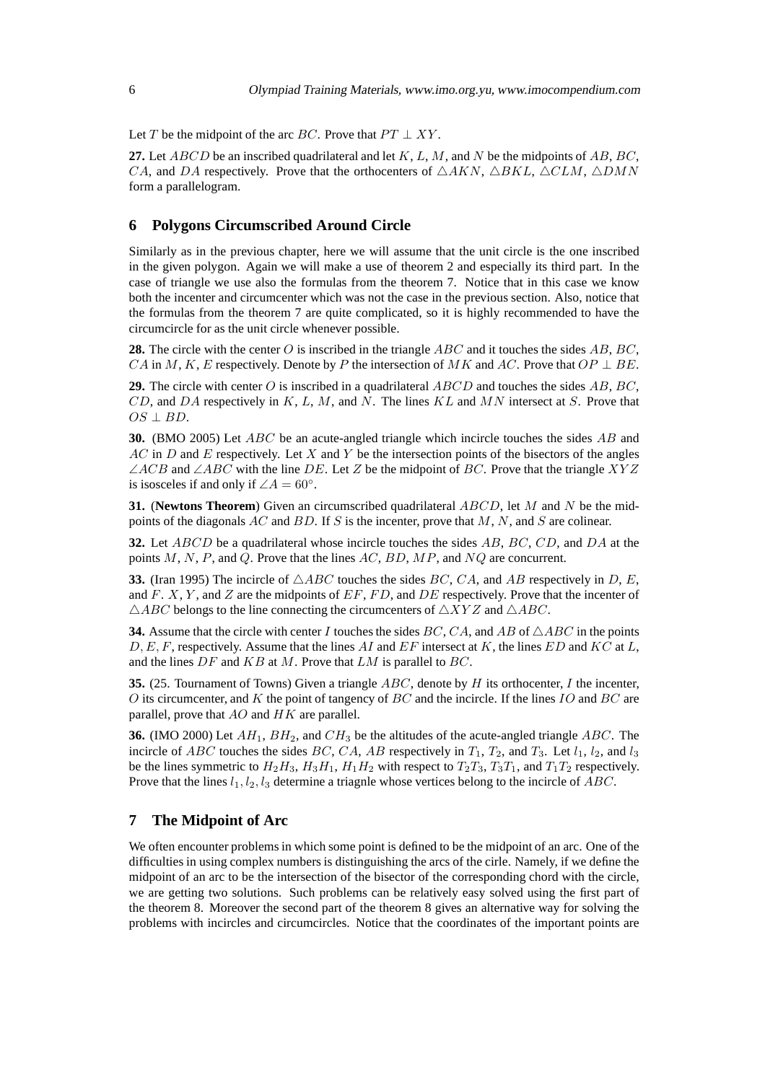Let T be the midpoint of the arc BC. Prove that  $PT \perp XY$ .

**27.** Let  $ABCD$  be an inscribed quadrilateral and let  $K, L, M$ , and N be the midpoints of  $AB, BC$ , CA, and DA respectively. Prove that the orthocenters of  $\triangle AKN$ ,  $\triangle BKL$ ,  $\triangle CLM$ ,  $\triangle DMN$ form a parallelogram.

## **6 Polygons Circumscribed Around Circle**

Similarly as in the previous chapter, here we will assume that the unit circle is the one inscribed in the given polygon. Again we will make a use of theorem 2 and especially its third part. In the case of triangle we use also the formulas from the theorem 7. Notice that in this case we know both the incenter and circumcenter which was not the case in the previous section. Also, notice that the formulas from the theorem 7 are quite complicated, so it is highly recommended to have the circumcircle for as the unit circle whenever possible.

**28.** The circle with the center O is inscribed in the triangle ABC and it touches the sides AB, BC, CA in M, K, E respectively. Denote by P the intersection of MK and AC. Prove that  $OP \perp BE$ .

**29.** The circle with center O is inscribed in a quadrilateral ABCD and touches the sides AB, BC, CD, and DA respectively in K, L, M, and N. The lines  $KL$  and MN intersect at S. Prove that  $OS \perp BD$ .

**30.** (BMO 2005) Let ABC be an acute-angled triangle which incircle touches the sides AB and  $AC$  in D and E respectively. Let X and Y be the intersection points of the bisectors of the angles  $\angle ACB$  and  $\angle ABC$  with the line DE. Let Z be the midpoint of BC. Prove that the triangle XYZ is isosceles if and only if  $\angle A = 60^\circ$ .

**31.** (**Newtons Theorem**) Given an circumscribed quadrilateral ABCD, let M and N be the midpoints of the diagonals AC and BD. If S is the incenter, prove that M, N, and S are colinear.

**32.** Let ABCD be a quadrilateral whose incircle touches the sides AB, BC, CD, and DA at the points  $M, N, P$ , and  $Q$ . Prove that the lines  $AC, BD, MP$ , and  $NQ$  are concurrent.

**33.** (Iran 1995) The incircle of  $\triangle ABC$  touches the sides BC, CA, and AB respectively in D, E, and  $F. X, Y$ , and  $Z$  are the midpoints of  $EF, FD$ , and  $DE$  respectively. Prove that the incenter of  $\triangle ABC$  belongs to the line connecting the circumcenters of  $\triangle XYZ$  and  $\triangle ABC$ .

**34.** Assume that the circle with center I touches the sides BC, CA, and AB of  $\triangle ABC$  in the points  $D, E, F$ , respectively. Assume that the lines AI and EF intersect at K, the lines ED and KC at L, and the lines  $DF$  and  $KB$  at M. Prove that  $LM$  is parallel to  $BC$ .

**35.** (25. Tournament of Towns) Given a triangle ABC, denote by H its orthocenter, I the incenter, O its circumcenter, and K the point of tangency of  $BC$  and the incircle. If the lines  $IO$  and  $BC$  are parallel, prove that  $AO$  and  $HK$  are parallel.

**36.** (IMO 2000) Let  $AH_1$ ,  $BH_2$ , and  $CH_3$  be the altitudes of the acute-angled triangle  $ABC$ . The incircle of ABC touches the sides BC, CA, AB respectively in  $T_1$ ,  $T_2$ , and  $T_3$ . Let  $l_1$ ,  $l_2$ , and  $l_3$ be the lines symmetric to  $H_2H_3$ ,  $H_3H_1$ ,  $H_1H_2$  with respect to  $T_2T_3$ ,  $T_3T_1$ , and  $T_1T_2$  respectively. Prove that the lines  $l_1, l_2, l_3$  determine a triagnle whose vertices belong to the incircle of ABC.

## **7 The Midpoint of Arc**

We often encounter problems in which some point is defined to be the midpoint of an arc. One of the difficulties in using complex numbers is distinguishing the arcs of the cirle. Namely, if we define the midpoint of an arc to be the intersection of the bisector of the corresponding chord with the circle, we are getting two solutions. Such problems can be relatively easy solved using the first part of the theorem 8. Moreover the second part of the theorem 8 gives an alternative way for solving the problems with incircles and circumcircles. Notice that the coordinates of the important points are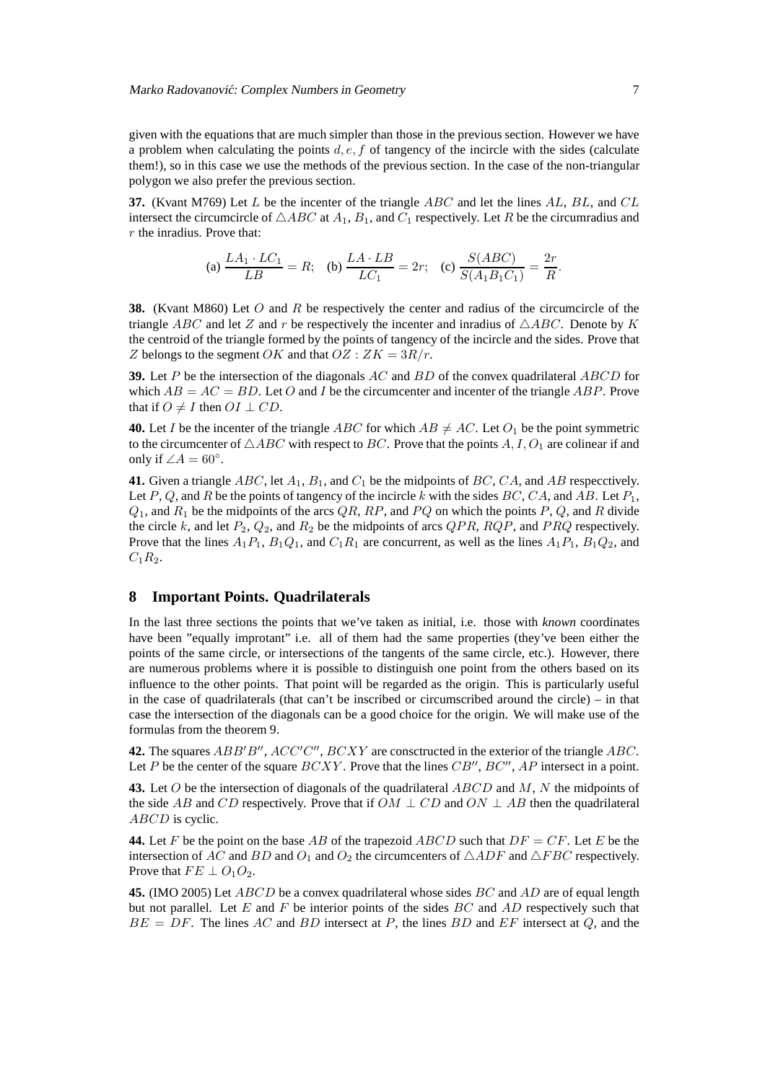given with the equations that are much simpler than those in the previous section. However we have a problem when calculating the points  $d, e, f$  of tangency of the incircle with the sides (calculate them!), so in this case we use the methods of the previous section. In the case of the non-triangular polygon we also prefer the previous section.

**37.** (Kvant M769) Let L be the incenter of the triangle ABC and let the lines AL, BL, and CL intersect the circumcircle of  $\triangle ABC$  at  $A_1$ ,  $B_1$ , and  $C_1$  respectively. Let R be the circumradius and r the inradius. Prove that:

(a) 
$$
\frac{LA_1 \cdot LC_1}{LB} = R
$$
; (b)  $\frac{LA \cdot LB}{LC_1} = 2r$ ; (c)  $\frac{S(ABC)}{S(A_1B_1C_1)} = \frac{2r}{R}$ .

**38.** (Kvant M860) Let O and R be respectively the center and radius of the circumcircle of the triangle ABC and let Z and r be respectively the incenter and inradius of  $\triangle ABC$ . Denote by K the centroid of the triangle formed by the points of tangency of the incircle and the sides. Prove that Z belongs to the segment OK and that  $OZ : ZK = 3R/r$ .

**39.** Let P be the intersection of the diagonals AC and BD of the convex quadrilateral ABCD for which  $AB = AC = BD$ . Let O and I be the circumcenter and incenter of the triangle ABP. Prove that if  $O \neq I$  then  $OI \perp CD$ .

**40.** Let I be the incenter of the triangle ABC for which  $AB \neq AC$ . Let  $O<sub>1</sub>$  be the point symmetric to the circumcenter of  $\triangle ABC$  with respect to BC. Prove that the points A, I, O<sub>1</sub> are colinear if and only if  $\angle A = 60^\circ$ .

**41.** Given a triangle  $ABC$ , let  $A_1$ ,  $B_1$ , and  $C_1$  be the midpoints of  $BC$ ,  $CA$ , and  $AB$  respectively. Let P, Q, and R be the points of tangency of the incircle k with the sides  $BC, CA$ , and  $AB$ . Let  $P_1$ ,  $Q_1$ , and  $R_1$  be the midpoints of the arcs  $QR$ ,  $RP$ , and  $PQ$  on which the points  $P$ ,  $Q$ , and  $R$  divide the circle k, and let  $P_2$ ,  $Q_2$ , and  $R_2$  be the midpoints of arcs  $QPR$ ,  $RQP$ , and  $PRQ$  respectively. Prove that the lines  $A_1P_1$ ,  $B_1Q_1$ , and  $C_1R_1$  are concurrent, as well as the lines  $A_1P_1$ ,  $B_1Q_2$ , and  $C_1R_2$ .

## **8 Important Points. Quadrilaterals**

In the last three sections the points that we've taken as initial, i.e. those with *known* coordinates have been "equally improtant" i.e. all of them had the same properties (they've been either the points of the same circle, or intersections of the tangents of the same circle, etc.). However, there are numerous problems where it is possible to distinguish one point from the others based on its influence to the other points. That point will be regarded as the origin. This is particularly useful in the case of quadrilaterals (that can't be inscribed or circumscribed around the circle) – in that case the intersection of the diagonals can be a good choice for the origin. We will make use of the formulas from the theorem 9.

**42.** The squares  $ABB'B''$ ,  $ACC'C''$ ,  $BCXY$  are consctructed in the exterior of the triangle  $ABC$ . Let P be the center of the square  $BCXY$ . Prove that the lines  $CB''$ ,  $BC''$ ,  $AP$  intersect in a point.

**43.** Let O be the intersection of diagonals of the quadrilateral ABCD and M, N the midpoints of the side AB and CD respectively. Prove that if  $OM \perp CD$  and  $ON \perp AB$  then the quadrilateral ABCD is cyclic.

**44.** Let F be the point on the base AB of the trapezoid ABCD such that  $DF = CF$ . Let E be the intersection of AC and BD and  $O_1$  and  $O_2$  the circumcenters of  $\triangle ADF$  and  $\triangle FBC$  respectively. Prove that  $FE \perp O_1O_2$ .

**45.** (IMO 2005) Let ABCD be a convex quadrilateral whose sides BC and AD are of equal length but not parallel. Let  $E$  and  $F$  be interior points of the sides  $BC$  and  $AD$  respectively such that  $BE = DF$ . The lines AC and BD intersect at P, the lines BD and EF intersect at Q, and the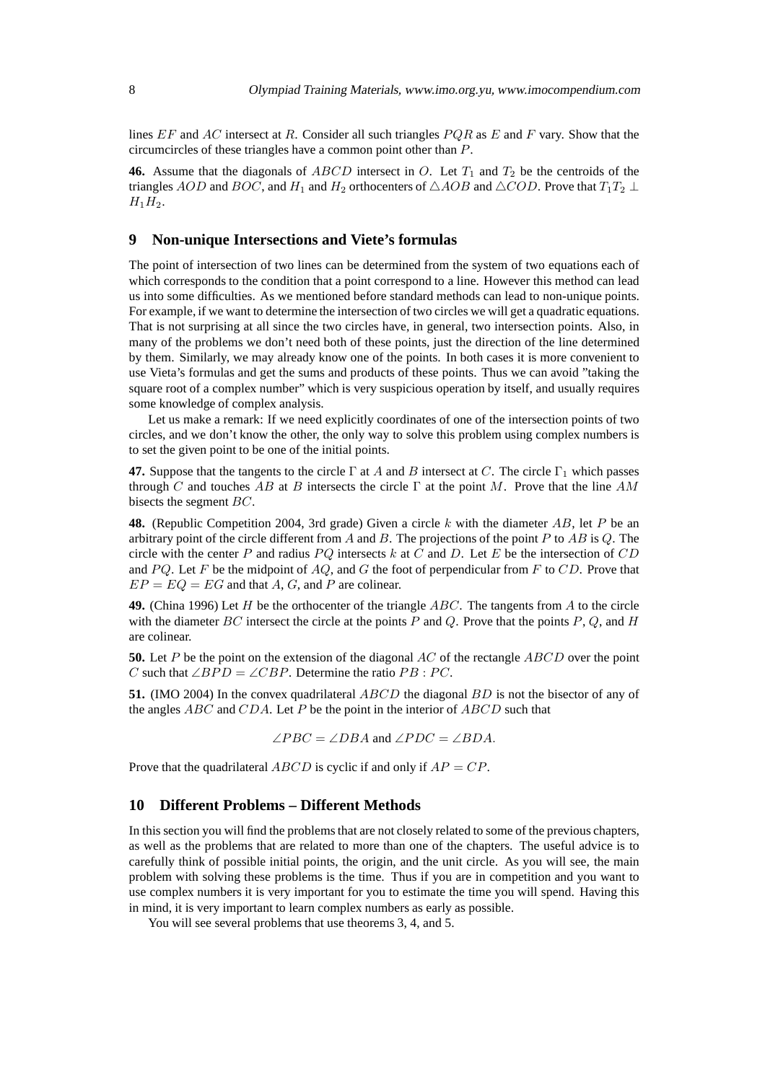lines  $EF$  and  $AC$  intersect at R. Consider all such triangles  $PQR$  as E and F vary. Show that the circumcircles of these triangles have a common point other than P.

**46.** Assume that the diagonals of  $ABCD$  intersect in O. Let  $T_1$  and  $T_2$  be the centroids of the triangles AOD and BOC, and H<sub>1</sub> and H<sub>2</sub> orthocenters of  $\triangle AOB$  and  $\triangle COD$ . Prove that  $T_1T_2 \perp$  $H_1H_2$ .

## **9 Non-unique Intersections and Viete's formulas**

The point of intersection of two lines can be determined from the system of two equations each of which corresponds to the condition that a point correspond to a line. However this method can lead us into some difficulties. As we mentioned before standard methods can lead to non-unique points. For example, if we want to determine the intersection of two circles we will get a quadratic equations. That is not surprising at all since the two circles have, in general, two intersection points. Also, in many of the problems we don't need both of these points, just the direction of the line determined by them. Similarly, we may already know one of the points. In both cases it is more convenient to use Vieta's formulas and get the sums and products of these points. Thus we can avoid "taking the square root of a complex number" which is very suspicious operation by itself, and usually requires some knowledge of complex analysis.

Let us make a remark: If we need explicitly coordinates of one of the intersection points of two circles, and we don't know the other, the only way to solve this problem using complex numbers is to set the given point to be one of the initial points.

**47.** Suppose that the tangents to the circle  $\Gamma$  at A and B intersect at C. The circle  $\Gamma_1$  which passes through C and touches AB at B intersects the circle  $\Gamma$  at the point M. Prove that the line AM bisects the segment BC.

**48.** (Republic Competition 2004, 3rd grade) Given a circle k with the diameter AB, let P be an arbitrary point of the circle different from  $A$  and  $B$ . The projections of the point  $P$  to  $AB$  is  $Q$ . The circle with the center  $P$  and radius  $PQ$  intersects  $k$  at  $C$  and  $D$ . Let  $E$  be the intersection of  $CD$ and  $PQ$ . Let F be the midpoint of  $AQ$ , and G the foot of perpendicular from F to CD. Prove that  $EP = EQ = EG$  and that A, G, and P are colinear.

**49.** (China 1996) Let H be the orthocenter of the triangle ABC. The tangents from A to the circle with the diameter  $BC$  intersect the circle at the points P and Q. Prove that the points P, Q, and H are colinear.

**50.** Let P be the point on the extension of the diagonal AC of the rectangle ABCD over the point C such that  $\angle BPD = \angle CBP$ . Determine the ratio PB : PC.

**51.** (IMO 2004) In the convex quadrilateral *ABCD* the diagonal *BD* is not the bisector of any of the angles  $ABC$  and  $CDA$ . Let P be the point in the interior of  $ABCD$  such that

 $\angle PBC = \angle DBA$  and  $\angle PDC = \angle BDA$ .

Prove that the quadrilateral ABCD is cyclic if and only if  $AP = CP$ .

#### **10 Different Problems – Different Methods**

In this section you will find the problems that are not closely related to some of the previous chapters, as well as the problems that are related to more than one of the chapters. The useful advice is to carefully think of possible initial points, the origin, and the unit circle. As you will see, the main problem with solving these problems is the time. Thus if you are in competition and you want to use complex numbers it is very important for you to estimate the time you will spend. Having this in mind, it is very important to learn complex numbers as early as possible.

You will see several problems that use theorems 3, 4, and 5.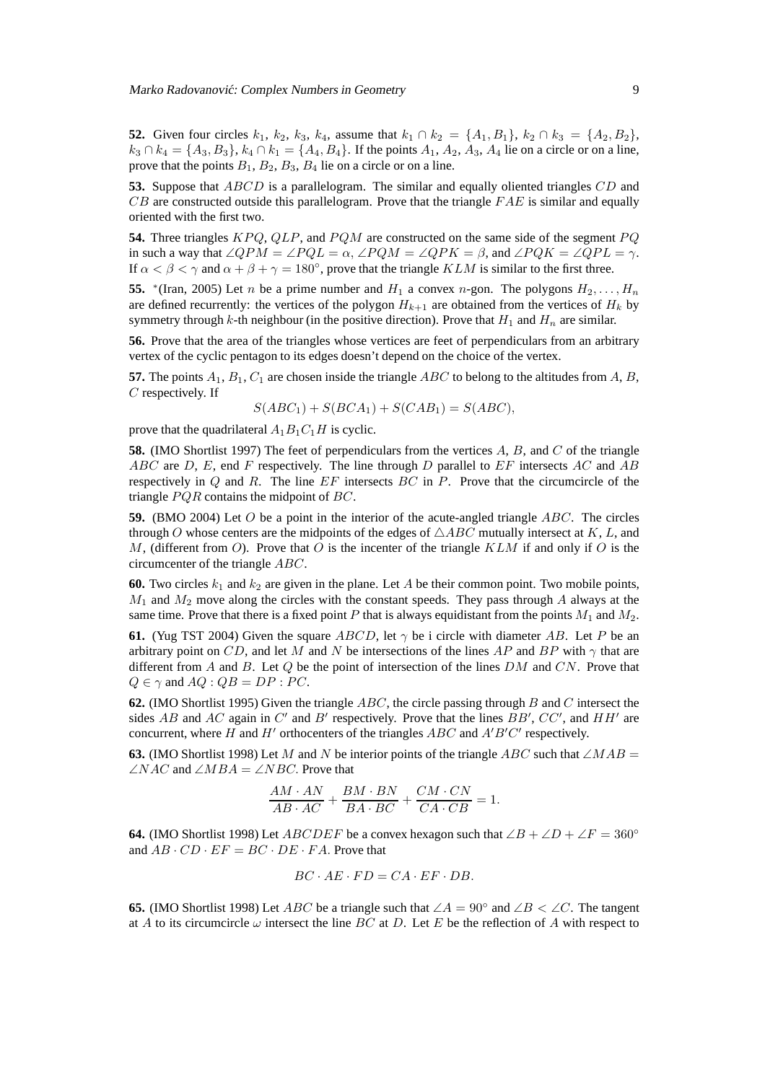Marko Radovanović: Complex Numbers in Geometry 700 and 1990 and 1990 and 1990 and 1990 and 1990 and 1990 and 1

**52.** Given four circles  $k_1$ ,  $k_2$ ,  $k_3$ ,  $k_4$ , assume that  $k_1 \cap k_2 = \{A_1, B_1\}$ ,  $k_2 \cap k_3 = \{A_2, B_2\}$ ,  $k_3 \cap k_4 = \{A_3, B_3\}, k_4 \cap k_1 = \{A_4, B_4\}.$  If the points  $A_1, A_2, A_3, A_4$  lie on a circle or on a line, prove that the points  $B_1$ ,  $B_2$ ,  $B_3$ ,  $B_4$  lie on a circle or on a line.

**53.** Suppose that ABCD is a parallelogram. The similar and equally oliented triangles CD and  $CB$  are constructed outside this parallelogram. Prove that the triangle  $FAE$  is similar and equally oriented with the first two.

**54.** Three triangles KPQ, QLP, and PQM are constructed on the same side of the segment PQ in such a way that  $\angle QPM = \angle PQL = \alpha$ ,  $\angle PQM = \angle QPK = \beta$ , and  $\angle PQK = \angle QPL = \gamma$ . If  $\alpha < \beta < \gamma$  and  $\alpha + \beta + \gamma = 180^{\circ}$ , prove that the triangle KLM is similar to the first three.

**55.** \*(Iran, 2005) Let *n* be a prime number and  $H_1$  a convex *n*-gon. The polygons  $H_2, \ldots, H_n$ are defined recurrently: the vertices of the polygon  $H_{k+1}$  are obtained from the vertices of  $H_k$  by symmetry through k-th neighbour (in the positive direction). Prove that  $H_1$  and  $H_n$  are similar.

**56.** Prove that the area of the triangles whose vertices are feet of perpendiculars from an arbitrary vertex of the cyclic pentagon to its edges doesn't depend on the choice of the vertex.

**57.** The points  $A_1$ ,  $B_1$ ,  $C_1$  are chosen inside the triangle ABC to belong to the altitudes from A, B, C respectively. If

$$
S(ABC1) + S(BCA1) + S(CAB1) = S(ABC),
$$

prove that the quadrilateral  $A_1B_1C_1H$  is cyclic.

**58.** (IMO Shortlist 1997) The feet of perpendiculars from the vertices A, B, and C of the triangle ABC are D, E, end F respectively. The line through D parallel to  $EF$  intersects AC and AB respectively in  $Q$  and  $R$ . The line  $EF$  intersects  $BC$  in  $P$ . Prove that the circumcircle of the triangle PQR contains the midpoint of BC.

**59.** (BMO 2004) Let O be a point in the interior of the acute-angled triangle ABC. The circles through O whose centers are the midpoints of the edges of  $\triangle ABC$  mutually intersect at K, L, and M, (different from O). Prove that O is the incenter of the triangle KLM if and only if O is the circumcenter of the triangle ABC.

**60.** Two circles  $k_1$  and  $k_2$  are given in the plane. Let A be their common point. Two mobile points,  $M_1$  and  $M_2$  move along the circles with the constant speeds. They pass through A always at the same time. Prove that there is a fixed point P that is always equidistant from the points  $M_1$  and  $M_2$ .

**61.** (Yug TST 2004) Given the square ABCD, let  $\gamma$  be i circle with diameter AB. Let P be an arbitrary point on CD, and let M and N be intersections of the lines AP and BP with  $\gamma$  that are different from A and B. Let  $Q$  be the point of intersection of the lines  $DM$  and  $CN$ . Prove that  $Q \in \gamma$  and  $AQ : QB = DP : PC$ .

**62.** (IMO Shortlist 1995) Given the triangle ABC, the circle passing through B and C intersect the sides AB and AC again in C' and B' respectively. Prove that the lines  $BB', CC',$  and  $HH'$  are concurrent, where H and H' orthocenters of the triangles  $ABC$  and  $A'B'C'$  respectively.

**63.** (IMO Shortlist 1998) Let M and N be interior points of the triangle ABC such that  $\angle MAB$  =  $\angle NAC$  and  $\angle MBA = \angle NBC$ . Prove that

$$
\frac{AM \cdot AN}{AB \cdot AC} + \frac{BM \cdot BN}{BA \cdot BC} + \frac{CM \cdot CN}{CA \cdot CB} = 1.
$$

**64.** (IMO Shortlist 1998) Let ABCDEF be a convex hexagon such that  $\angle B + \angle D + \angle F = 360^{\circ}$ and  $AB \cdot CD \cdot EF = BC \cdot DE \cdot FA$ . Prove that

$$
BC \cdot AE \cdot FD = CA \cdot EF \cdot DB.
$$

**65.** (IMO Shortlist 1998) Let *ABC* be a triangle such that  $\angle A = 90^\circ$  and  $\angle B < \angle C$ . The tangent at A to its circumcircle  $\omega$  intersect the line BC at D. Let E be the reflection of A with respect to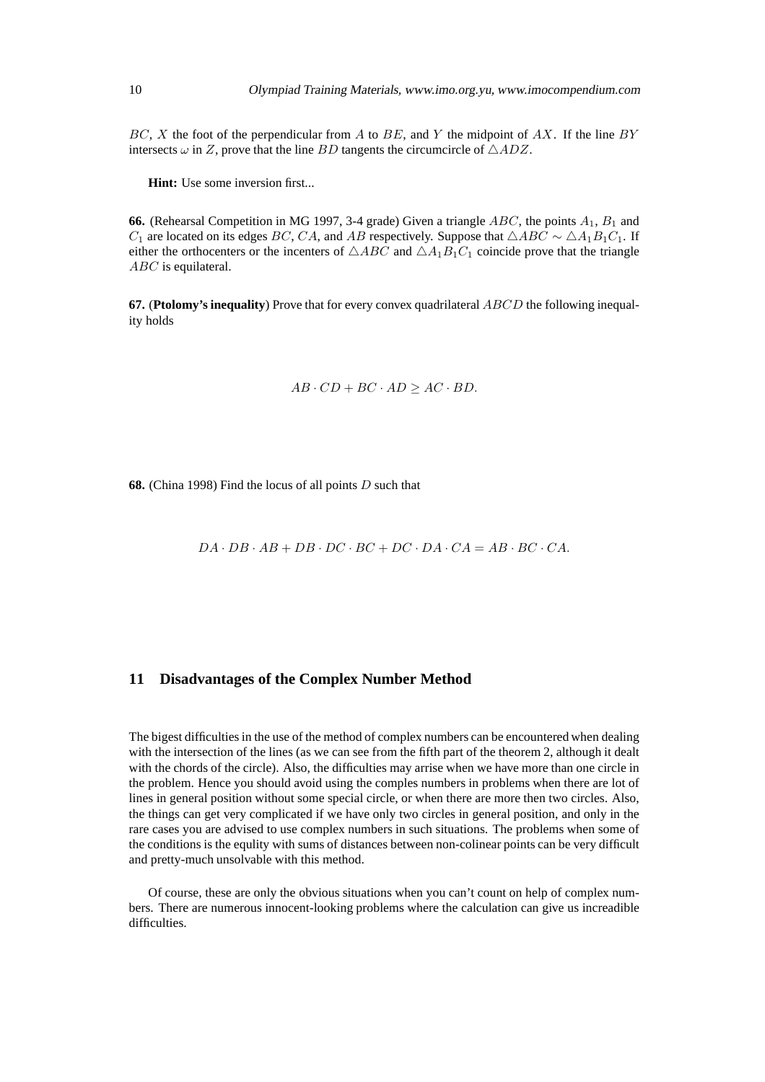$BC, X$  the foot of the perpendicular from A to BE, and Y the midpoint of AX. If the line BY intersects  $\omega$  in Z, prove that the line BD tangents the circumcircle of  $\triangle ADZ$ .

**Hint:** Use some inversion first...

**66.** (Rehearsal Competition in MG 1997, 3-4 grade) Given a triangle  $ABC$ , the points  $A_1$ ,  $B_1$  and  $C_1$  are located on its edges BC, CA, and AB respectively. Suppose that  $\triangle ABC \sim \triangle A_1 B_1 C_1$ . If either the orthocenters or the incenters of  $\triangle ABC$  and  $\triangle A_1B_1C_1$  coincide prove that the triangle ABC is equilateral.

**67.** (**Ptolomy's inequality**) Prove that for every convex quadrilateral ABCD the following inequality holds

$$
AB \cdot CD + BC \cdot AD \ge AC \cdot BD.
$$

**68.** (China 1998) Find the locus of all points D such that

 $DA \cdot DB \cdot AB + DB \cdot DC \cdot BC + DC \cdot DA \cdot CA = AB \cdot BC \cdot CA$ .

### **11 Disadvantages of the Complex Number Method**

The bigest difficulties in the use of the method of complex numbers can be encountered when dealing with the intersection of the lines (as we can see from the fifth part of the theorem 2, although it dealt with the chords of the circle). Also, the difficulties may arrise when we have more than one circle in the problem. Hence you should avoid using the comples numbers in problems when there are lot of lines in general position without some special circle, or when there are more then two circles. Also, the things can get very complicated if we have only two circles in general position, and only in the rare cases you are advised to use complex numbers in such situations. The problems when some of the conditions is the equlity with sums of distances between non-colinear points can be very difficult and pretty-much unsolvable with this method.

Of course, these are only the obvious situations when you can't count on help of complex numbers. There are numerous innocent-looking problems where the calculation can give us increadible difficulties.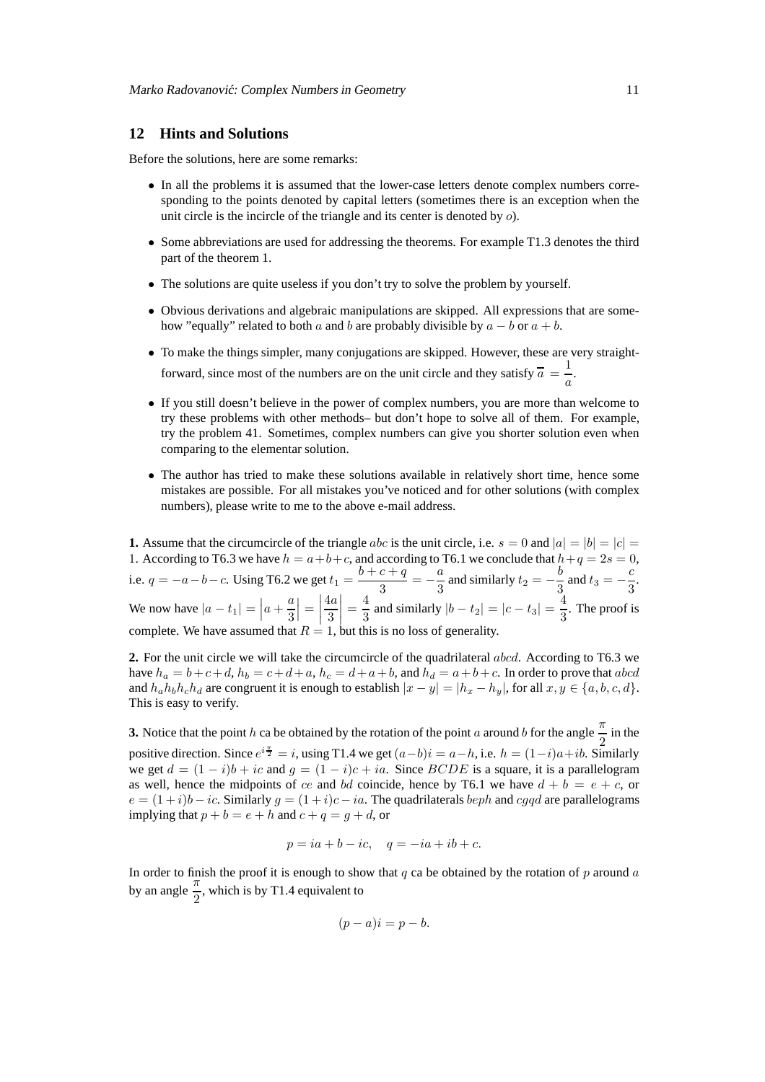## **12 Hints and Solutions**

Before the solutions, here are some remarks:

- In all the problems it is assumed that the lower-case letters denote complex numbers corresponding to the points denoted by capital letters (sometimes there is an exception when the unit circle is the incircle of the triangle and its center is denoted by o).
- Some abbreviations are used for addressing the theorems. For example T1.3 denotes the third part of the theorem 1.
- The solutions are quite useless if you don't try to solve the problem by yourself.
- Obvious derivations and algebraic manipulations are skipped. All expressions that are somehow "equally" related to both a and b are probably divisible by  $a - b$  or  $a + b$ .
- To make the things simpler, many conjugations are skipped. However, these are very straightforward, since most of the numbers are on the unit circle and they satisfy  $\overline{a} = \frac{1}{a}$  $\frac{1}{a}$ .
- If you still doesn't believe in the power of complex numbers, you are more than welcome to try these problems with other methods– but don't hope to solve all of them. For example, try the problem 41. Sometimes, complex numbers can give you shorter solution even when comparing to the elementar solution.
- The author has tried to make these solutions available in relatively short time, hence some mistakes are possible. For all mistakes you've noticed and for other solutions (with complex numbers), please write to me to the above e-mail address.

**1.** Assume that the circumcircle of the triangle abc is the unit circle, i.e.  $s = 0$  and  $|a| = |b| = |c|$ 1. According to T6.3 we have  $h = a+b+c$ , and according to T6.1 we conclude that  $h+q = 2s = 0$ , i.e.  $q = -a - b - c$ . Using T6.2 we get  $t_1 = \frac{b + c + q}{3}$  $\frac{c+q}{3} = -\frac{a}{3}$  $\frac{a}{3}$  and similarly  $t_2 = -\frac{b}{3}$  $\frac{b}{3}$  and  $t_3 = -\frac{c}{3}$  $\frac{8}{3}$ . We now have  $|a - t_1| = \left| a + \frac{a}{3} \right|$ 3  $\left| = \right|$ 4a 3  $=\frac{4}{3}$  $\frac{4}{3}$  and similarly  $|b - t_2| = |c - t_3| = \frac{4}{3}$  $\frac{1}{3}$ . The proof is complete. We have assumed that  $R = 1$ , but this is no loss of generality.

**2.** For the unit circle we will take the circumcircle of the quadrilateral abcd. According to T6.3 we have  $h_a = b+c+d$ ,  $h_b = c+d+a$ ,  $h_c = d+a+b$ , and  $h_d = a+b+c$ . In order to prove that abcd and  $h_a h_b h_c h_d$  are congruent it is enough to establish  $|x - y| = |h_x - h_y|$ , for all  $x, y \in \{a, b, c, d\}$ . This is easy to verify.

**3.** Notice that the point h ca be obtained by the rotation of the point a around b for the angle  $\frac{\pi}{2}$  in the positive direction. Since  $e^{i\frac{\pi}{2}} = i$ , using T1.4 we get  $(a - b)i = a - h$ , i.e.  $h = (1 - i)a + ib$ . Similarly we get  $d = (1 - i)b + ic$  and  $g = (1 - i)c + ia$ . Since  $BCDE$  is a square, it is a parallelogram as well, hence the midpoints of ce and bd coincide, hence by T6.1 we have  $d + b = e + c$ , or  $e = (1+i)b - ic$ . Similarly  $q = (1+i)c - ia$ . The quadrilaterals beph and cqqd are parallelograms implying that  $p + b = e + h$  and  $c + q = q + d$ , or

$$
p = ia + b - ic, \quad q = -ia + ib + c.
$$

In order to finish the proof it is enough to show that  $q$  ca be obtained by the rotation of  $p$  around  $q$ by an angle  $\frac{\pi}{2}$ , which is by T1.4 equivalent to

$$
(p-a)i = p-b.
$$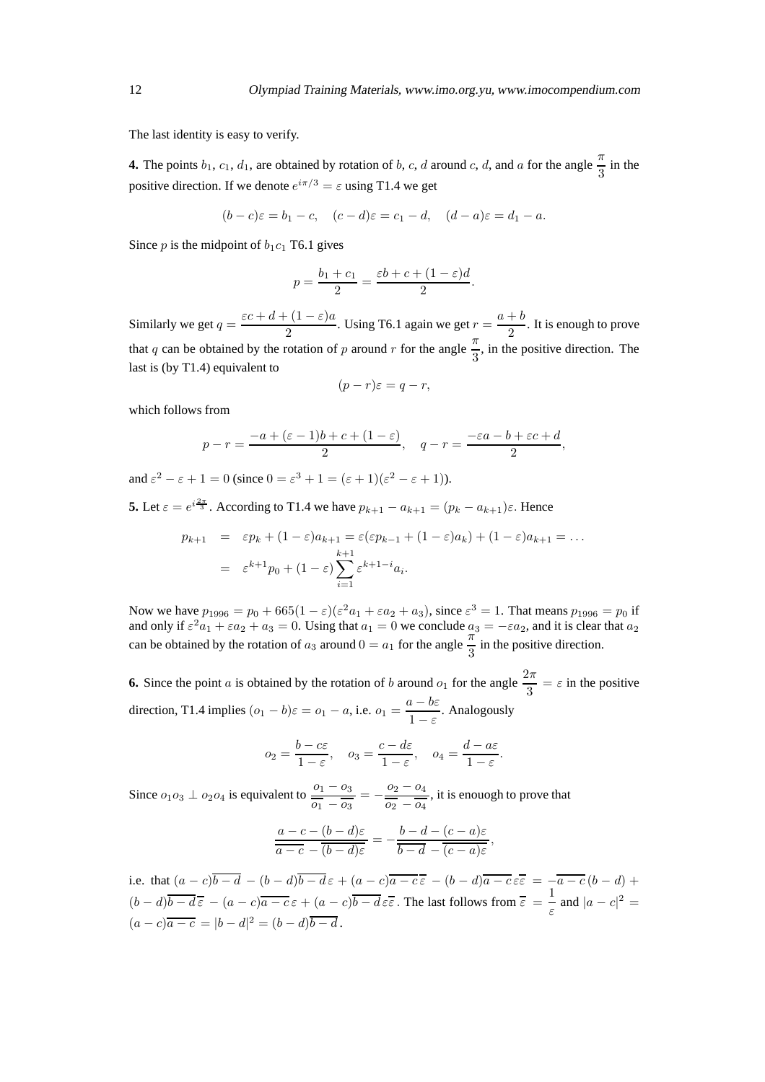The last identity is easy to verify.

**4.** The points  $b_1$ ,  $c_1$ ,  $d_1$ , are obtained by rotation of b, c, d around c, d, and a for the angle  $\frac{\pi}{3}$  in the positive direction. If we denote  $e^{i\pi/3} = \varepsilon$  using T1.4 we get

$$
(b-c)\varepsilon = b_1 - c
$$
,  $(c-d)\varepsilon = c_1 - d$ ,  $(d-a)\varepsilon = d_1 - a$ .

Since  $p$  is the midpoint of  $b_1c_1$  T6.1 gives

$$
p = \frac{b_1 + c_1}{2} = \frac{\varepsilon b + c + (1 - \varepsilon)d}{2}.
$$

Similarly we get  $q = \frac{\varepsilon c + d + (1 - \varepsilon)a}{2}$  $\frac{1-(1-\varepsilon)a}{2}$ . Using T6.1 again we get  $r = \frac{a+b}{2}$  $\frac{1}{2}$ . It is enough to prove that q can be obtained by the rotation of p around r for the angle  $\frac{\pi}{3}$ , in the positive direction. The last is (by T1.4) equivalent to

$$
(p-r)\varepsilon = q-r,
$$

which follows from

$$
p-r = \frac{-a + (\varepsilon - 1)b + c + (1 - \varepsilon)}{2}, \quad q - r = \frac{-\varepsilon a - b + \varepsilon c + d}{2},
$$

and  $\varepsilon^2 - \varepsilon + 1 = 0$  (since  $0 = \varepsilon^3 + 1 = (\varepsilon + 1)(\varepsilon^2 - \varepsilon + 1)$ ).

**5.** Let  $\varepsilon = e^{i\frac{2\pi}{3}}$ . According to T1.4 we have  $p_{k+1} - a_{k+1} = (p_k - a_{k+1})\varepsilon$ . Hence

$$
p_{k+1} = \varepsilon p_k + (1 - \varepsilon)a_{k+1} = \varepsilon(\varepsilon p_{k-1} + (1 - \varepsilon)a_k) + (1 - \varepsilon)a_{k+1} = \dots
$$

$$
= \varepsilon^{k+1} p_0 + (1 - \varepsilon) \sum_{i=1}^{k+1} \varepsilon^{k+1-i} a_i.
$$

Now we have  $p_{1996} = p_0 + 665(1-\epsilon)(\epsilon^2 a_1 + \epsilon a_2 + a_3)$ , since  $\epsilon^3 = 1$ . That means  $p_{1996} = p_0$  if and only if  $\varepsilon^2 a_1 + \varepsilon a_2 + a_3 = 0$ . Using that  $a_1 = 0$  we conclude  $a_3 = -\varepsilon a_2$ , and it is clear that  $a_2$ can be obtained by the rotation of  $a_3$  around  $0 = a_1$  for the angle  $\frac{\pi}{3}$  in the positive direction.

**6.** Since the point a is obtained by the rotation of b around  $o_1$  for the angle  $\frac{2\pi}{3} = \varepsilon$  in the positive direction, T1.4 implies  $(o_1 - b)\varepsilon = o_1 - a$ , i.e.  $o_1 = \frac{a - b\varepsilon}{1 - \varepsilon}$  $\frac{\epsilon}{1-\epsilon}$ . Analogously

$$
o_2 = \frac{b - c\varepsilon}{1 - \varepsilon}, \quad o_3 = \frac{c - d\varepsilon}{1 - \varepsilon}, \quad o_4 = \frac{d - a\varepsilon}{1 - \varepsilon}.
$$

Since  $o_1 o_3 \perp o_2 o_4$  is equivalent to  $\frac{o_1 - o_3}{\overline{o_1} - \overline{o_3}} = -\frac{o_2 - o_4}{\overline{o_2} - \overline{o_4}}$  $\frac{\sigma_2}{\sigma_2 - \sigma_4}$ , it is enouogh to prove that

$$
\frac{a-c-(b-d)\varepsilon}{a-c-(b-d)\varepsilon}=-\frac{b-d-(c-a)\varepsilon}{b-d-(c-a)\varepsilon},
$$

i.e. that  $(a-c)\overline{b-d} - (b-d)\overline{b-d} \varepsilon + (a-c)\overline{a-c} \overline{\varepsilon} - (b-d)\overline{a-c} \varepsilon = -\overline{a-c}(b-d) +$  $(b-d)\overline{b-d\overline{\varepsilon}} - (a-c)\overline{a-c\overline{\varepsilon}} + (a-c)\overline{b-d\overline{\varepsilon}}$ . The last follows from  $\overline{\varepsilon} = \frac{1}{\varepsilon}$  $\frac{1}{\varepsilon}$  and  $|a - c|^2 =$  $(a-c)a - c = |b - d|^2 = (b - d)\overline{b - d}.$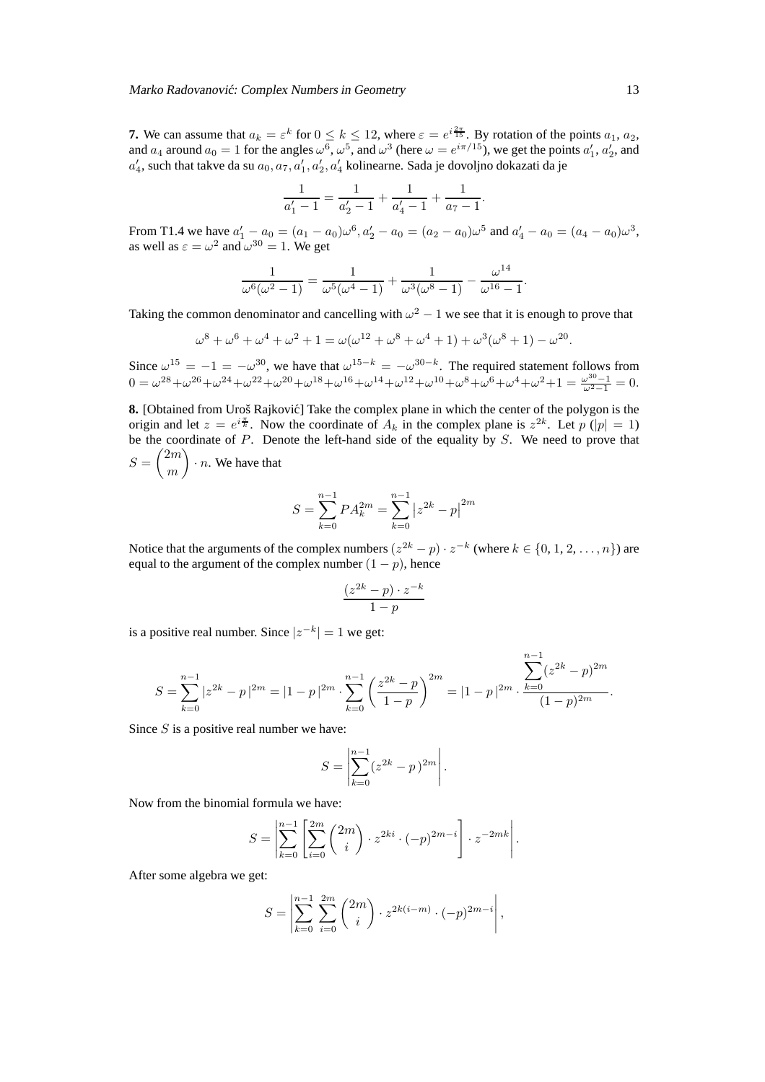**7.** We can assume that  $a_k = \varepsilon^k$  for  $0 \le k \le 12$ , where  $\varepsilon = e^{i\frac{2\pi}{15}}$ . By rotation of the points  $a_1, a_2$ , and  $a_4$  around  $a_0 = 1$  for the angles  $\omega^6$ ,  $\omega^5$ , and  $\omega^3$  (here  $\omega = e^{i\pi/15}$ ), we get the points  $a'_1$ ,  $a'_2$ , and  $a'_4$ , such that takve da su  $a_0, a_7, a'_1, a'_2, a'_4$  kolinearne. Sada je dovoljno dokazati da je

$$
\frac{1}{a'_1 - 1} = \frac{1}{a'_2 - 1} + \frac{1}{a'_4 - 1} + \frac{1}{a_7 - 1}.
$$

From T1.4 we have  $a'_1 - a_0 = (a_1 - a_0)\omega^6$ ,  $a'_2 - a_0 = (a_2 - a_0)\omega^5$  and  $a'_4 - a_0 = (a_4 - a_0)\omega^3$ , as well as  $\varepsilon = \omega^2$  and  $\omega^{30} = 1$ . We get

$$
\frac{1}{\omega^{6}(\omega^{2}-1)} = \frac{1}{\omega^{5}(\omega^{4}-1)} + \frac{1}{\omega^{3}(\omega^{8}-1)} - \frac{\omega^{14}}{\omega^{16}-1}.
$$

Taking the common denominator and cancelling with  $\omega^2 - 1$  we see that it is enough to prove that

$$
\omega^{8} + \omega^{6} + \omega^{4} + \omega^{2} + 1 = \omega(\omega^{12} + \omega^{8} + \omega^{4} + 1) + \omega^{3}(\omega^{8} + 1) - \omega^{20}.
$$

Since  $\omega^{15} = -1 = -\omega^{30}$ , we have that  $\omega^{15-k} = -\omega^{30-k}$ . The required statement follows from  $0 = \omega^{28} + \omega^{26} + \omega^{24} + \omega^{22} + \omega^{20} + \omega^{18} + \omega^{16} + \omega^{14} + \omega^{12} + \omega^{10} + \omega^8 + \omega^6 + \omega^4 + \omega^2 + 1 = \frac{\omega^{30} - 1}{\omega^2 - 1} = 0.$ 

**8.** [Obtained from Uroš Rajković] Take the complex plane in which the center of the polygon is the origin and let  $z = e^{i\frac{\pi}{k}}$ . Now the coordinate of  $A_k$  in the complex plane is  $z^{2k}$ . Let  $p(|p| = 1)$ be the coordinate of  $P$ . Denote the left-hand side of the equality by  $S$ . We need to prove that  $S = \binom{2m}{m}$ m  $\bigg) \cdot n$ . We have that

$$
S = \sum_{k=0}^{n-1} P A_k^{2m} = \sum_{k=0}^{n-1} |z^{2k} - p|^{2m}
$$

Notice that the arguments of the complex numbers  $(z^{2k} - p) \cdot z^{-k}$  (where  $k \in \{0, 1, 2, ..., n\}$ ) are equal to the argument of the complex number  $(1 - p)$ , hence

$$
\frac{(z^{2k}-p) \cdot z^{-k}}{1-p}
$$

is a positive real number. Since  $|z^{-k}| = 1$  we get:

$$
S = \sum_{k=0}^{n-1} |z^{2k} - p|^{2m} = |1 - p|^{2m} \cdot \sum_{k=0}^{n-1} \left(\frac{z^{2k} - p}{1 - p}\right)^{2m} = |1 - p|^{2m} \cdot \frac{\sum_{k=0}^{n-1} (z^{2k} - p)^{2m}}{(1 - p)^{2m}}.
$$

Since  $S$  is a positive real number we have:

$$
S = \left| \sum_{k=0}^{n-1} (z^{2k} - p)^{2m} \right|.
$$

Now from the binomial formula we have:

$$
S = \left| \sum_{k=0}^{n-1} \left[ \sum_{i=0}^{2m} {2m \choose i} \cdot z^{2ki} \cdot (-p)^{2m-i} \right] \cdot z^{-2mk} \right|.
$$

After some algebra we get:

$$
S = \left| \sum_{k=0}^{n-1} \sum_{i=0}^{2m} {2m \choose i} \cdot z^{2k(i-m)} \cdot (-p)^{2m-i} \right|,
$$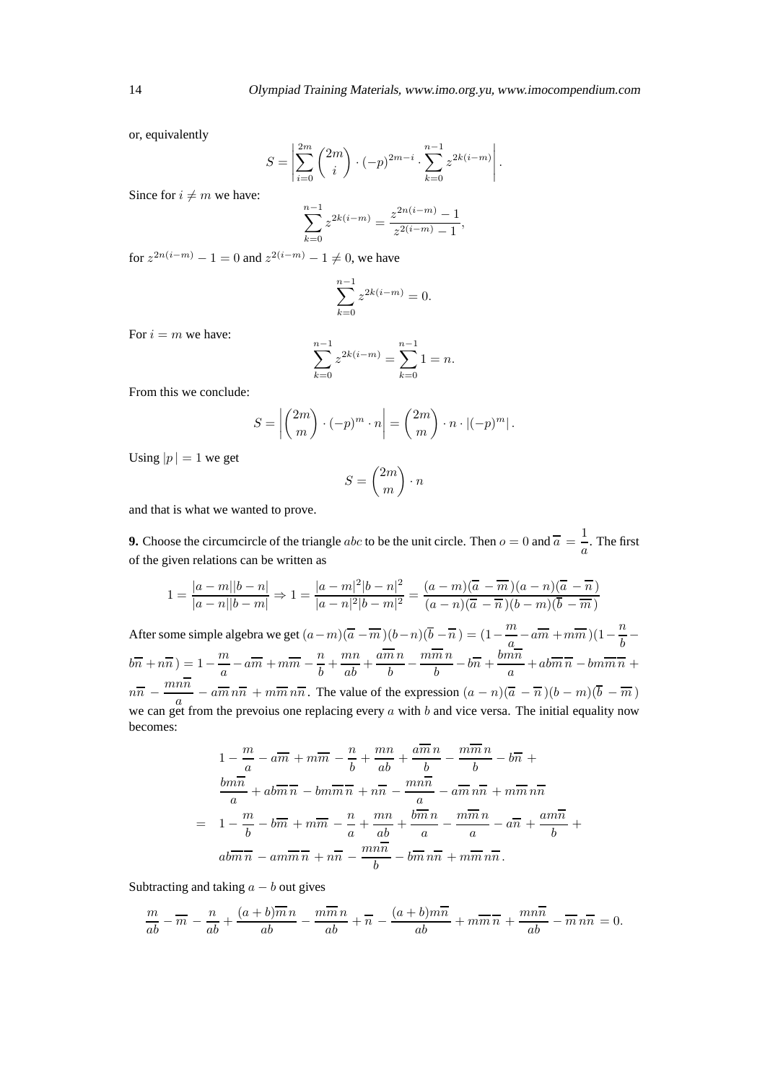or, equivalently

$$
S = \left| \sum_{i=0}^{2m} {2m \choose i} \cdot (-p)^{2m-i} \cdot \sum_{k=0}^{n-1} z^{2k(i-m)} \right|.
$$

Since for  $i \neq m$  we have:

$$
\sum_{k=0}^{n-1} z^{2k(i-m)} = \frac{z^{2n(i-m)} - 1}{z^{2(i-m)} - 1},
$$

for  $z^{2n(i-m)} - 1 = 0$  and  $z^{2(i-m)} - 1 \neq 0$ , we have

$$
\sum_{k=0}^{n-1} z^{2k(i-m)} = 0.
$$

For  $i = m$  we have:

$$
\sum_{k=0}^{n-1} z^{2k(i-m)} = \sum_{k=0}^{n-1} 1 = n.
$$

From this we conclude:

$$
S = \left| \binom{2m}{m} \cdot (-p)^m \cdot n \right| = \binom{2m}{m} \cdot n \cdot |(-p)^m| \, .
$$

Using  $|p| = 1$  we get

$$
S = \binom{2m}{m} \cdot n
$$

and that is what we wanted to prove.

**9.** Choose the circumcircle of the triangle abc to be the unit circle. Then  $o = 0$  and  $\overline{a} = \frac{1}{c}$  $\frac{1}{a}$ . The first of the given relations can be written as

$$
1 = \frac{|a-m||b-n|}{|a-n||b-m|} \Rightarrow 1 = \frac{|a-m|^2|b-n|^2}{|a-n|^2|b-m|^2} = \frac{(a-m)(\overline{a}-\overline{m})(a-n)(\overline{a}-\overline{n})}{(a-n)(\overline{a}-\overline{n})(b-m)(\overline{b}-\overline{m})}
$$

After some simple algebra we get  $(a-m)(\overline{a}-\overline{m})(b-n)(\overline{b}-\overline{n}) = (1-\frac{m}{a})$  $\frac{m}{a}$  –  $a\overline{m}$  +  $m\overline{m}$ )(1 –  $\frac{n}{b}$  $\overline{b}$  –  $b\overline{n} + n\overline{n}$ ) = 1 -  $\frac{m}{a}$  $\frac{m}{a} - a\overline{m} + m\overline{m} - \frac{n}{b}$  $\frac{m}{b} + \frac{mn}{ab} + \frac{a\overline{m}n}{b}$  $\overline{b}$  –  $m\overline{m}n$  $\frac{\overline{m} \, n}{b} - b\overline{n} + \frac{b m \overline{n}}{a}$  $\frac{\partial}{\partial a} + ab\overline{m} \overline{n} - bm\overline{m} \overline{n} +$  $n\overline{n} - \frac{mn\overline{n}}{a}$  $\frac{a}{a}$  –  $a\overline{m}$   $n\overline{n}$  +  $m\overline{m}$   $n\overline{n}$ . The value of the expression  $(a - n)(\overline{a} - \overline{n})(b - m)(b - \overline{m})$ we can get from the prevoius one replacing every  $a$  with  $b$  and vice versa. The initial equality now becomes:

$$
1 - \frac{m}{a} - a\overline{m} + m\overline{m} - \frac{n}{b} + \frac{mn}{ab} + \frac{a\overline{m}n}{b} - \frac{m\overline{m}n}{b} - b\overline{n} +
$$
  

$$
\frac{bm\overline{n}}{a} + ab\overline{m}\overline{n} - bm\overline{m}\overline{n} + n\overline{n} - \frac{mn\overline{n}}{a} - a\overline{m}n\overline{n} + m\overline{m}n\overline{n}
$$
  

$$
= 1 - \frac{m}{b} - b\overline{m} + m\overline{m} - \frac{n}{a} + \frac{mn}{ab} + \frac{b\overline{m}n}{a} - \frac{m\overline{m}n}{a} - a\overline{n} + \frac{am\overline{n}}{b} +
$$
  

$$
ab\overline{m}\overline{n} - am\overline{m}\overline{n} + n\overline{n} - \frac{mn\overline{n}}{b} - b\overline{m}n\overline{n} + m\overline{m}n\overline{n}.
$$

Subtracting and taking  $a - b$  out gives

$$
\frac{m}{ab} - \overline{m} - \frac{n}{ab} + \frac{(a+b)\overline{m}n}{ab} - \frac{m\overline{m}n}{ab} + \overline{n} - \frac{(a+b)m\overline{n}}{ab} + m\overline{m}\overline{n} + \frac{mn\overline{n}}{ab} - \overline{m}n\overline{n} = 0.
$$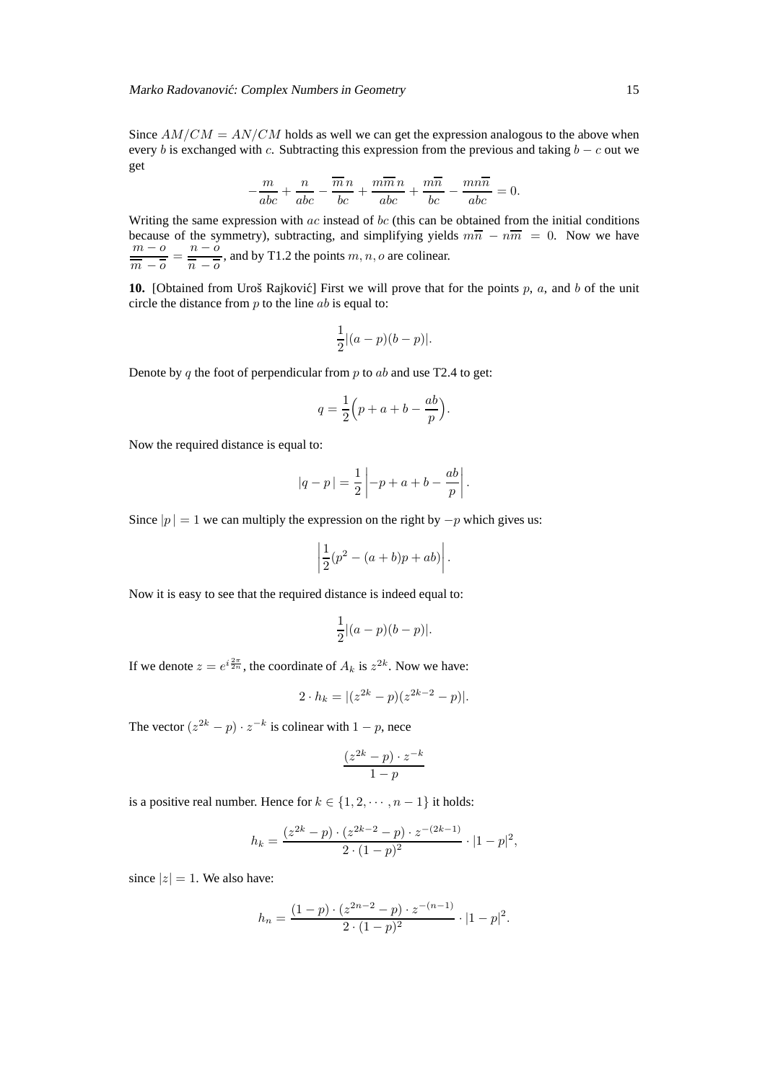Since  $AM/CM = AN/CM$  holds as well we can get the expression analogous to the above when every b is exchanged with c. Subtracting this expression from the previous and taking  $b - c$  out we get

$$
-\frac{m}{abc} + \frac{n}{abc} - \frac{\overline{m}n}{bc} + \frac{m\overline{m}n}{abc} + \frac{m\overline{n}}{bc} - \frac{mn\overline{n}}{abc} = 0.
$$

Writing the same expression with  $ac$  instead of bc (this can be obtained from the initial conditions because of the symmetry), subtracting, and simplifying yields  $m\overline{n} - n\overline{m} = 0$ . Now we have  $m - o$  $\frac{m - o}{\overline{m} - \overline{o}} = \frac{n - o}{\overline{n} - \overline{o}}$  $\frac{n}{\overline{n} - \overline{o}}$ , and by T1.2 the points m, n, o are colinear.

**10.** [Obtained from Uroš Rajković] First we will prove that for the points p, a, and b of the unit circle the distance from  $p$  to the line  $ab$  is equal to:

$$
\frac{1}{2}|(a-p)(b-p)|.
$$

Denote by q the foot of perpendicular from  $p$  to  $ab$  and use T2.4 to get:

$$
q = \frac{1}{2} \left( p + a + b - \frac{ab}{p} \right).
$$

Now the required distance is equal to:

$$
|q-p| = \frac{1}{2} \left| -p + a + b - \frac{ab}{p} \right|.
$$

Since  $|p| = 1$  we can multiply the expression on the right by  $-p$  which gives us:

$$
\left|\frac{1}{2}(p^2 - (a+b)p + ab)\right|.
$$

Now it is easy to see that the required distance is indeed equal to:

$$
\frac{1}{2}|(a-p)(b-p)|.
$$

If we denote  $z = e^{i\frac{2\pi}{2n}}$ , the coordinate of  $A_k$  is  $z^{2k}$ . Now we have:

$$
2 \cdot h_k = |(z^{2k} - p)(z^{2k-2} - p)|.
$$

The vector  $(z^{2k} - p) \cdot z^{-k}$  is colinear with  $1 - p$ , nece

$$
\frac{(z^{2k}-p) \cdot z^{-k}}{1-p}
$$

is a positive real number. Hence for  $k \in \{1, 2, \dots, n-1\}$  it holds:

$$
h_k = \frac{(z^{2k} - p) \cdot (z^{2k-2} - p) \cdot z^{-(2k-1)}}{2 \cdot (1-p)^2} \cdot |1-p|^2,
$$

since  $|z| = 1$ . We also have:

$$
h_n = \frac{(1-p) \cdot (z^{2n-2} - p) \cdot z^{-(n-1)}}{2 \cdot (1-p)^2} \cdot |1-p|^2.
$$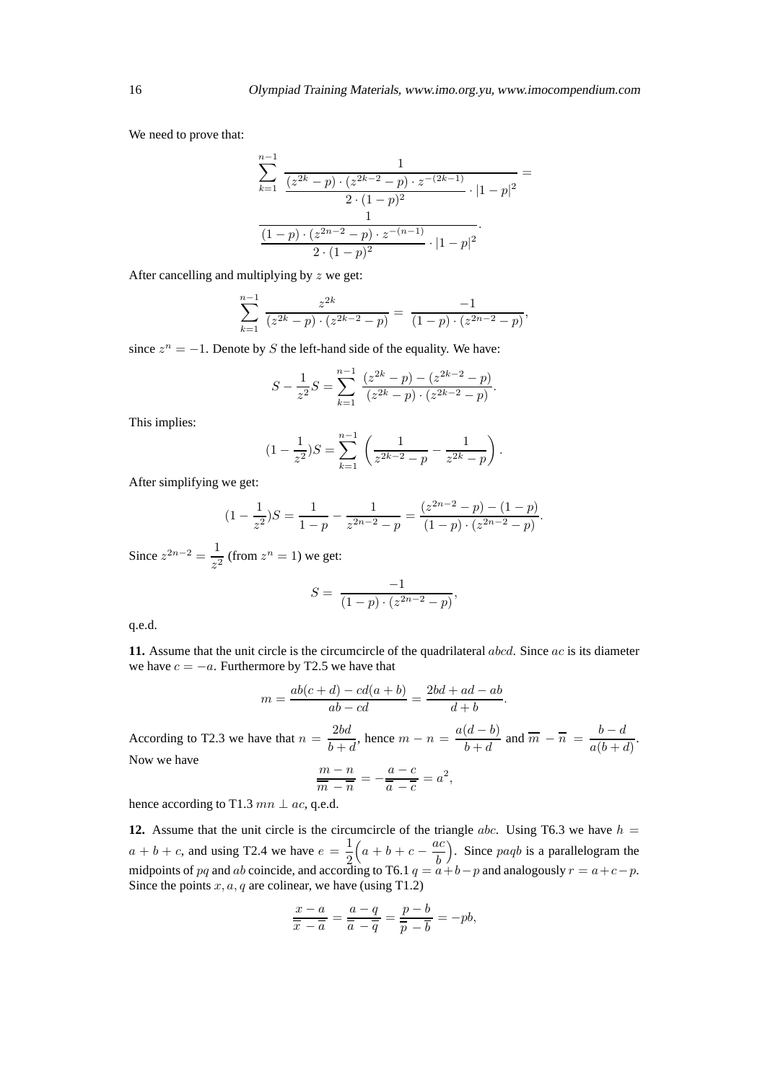We need to prove that:

$$
\sum_{k=1}^{n-1} \frac{1}{\frac{(z^{2k}-p)\cdot(z^{2k-2}-p)\cdot z^{-(2k-1)}}{2\cdot(1-p)^2}\cdot|1-p|^2} = \frac{1}{\frac{(1-p)\cdot(z^{2n-2}-p)\cdot z^{-(n-1)}}{2\cdot(1-p)^2}\cdot|1-p|^2}.
$$

After cancelling and multiplying by  $z$  we get:

$$
\sum_{k=1}^{n-1} \frac{z^{2k}}{(z^{2k}-p)\cdot(z^{2k-2}-p)} = \frac{-1}{(1-p)\cdot(z^{2n-2}-p)},
$$

since  $z^n = -1$ . Denote by S the left-hand side of the equality. We have:

$$
S - \frac{1}{z^2}S = \sum_{k=1}^{n-1} \frac{(z^{2k} - p) - (z^{2k-2} - p)}{(z^{2k} - p) \cdot (z^{2k-2} - p)}.
$$

This implies:

$$
(1 - \frac{1}{z^2})S = \sum_{k=1}^{n-1} \left( \frac{1}{z^{2k-2} - p} - \frac{1}{z^{2k} - p} \right).
$$

After simplifying we get:

$$
(1 - \frac{1}{z^2})S = \frac{1}{1 - p} - \frac{1}{z^{2n - 2} - p} = \frac{(z^{2n - 2} - p) - (1 - p)}{(1 - p) \cdot (z^{2n - 2} - p)}.
$$

Since  $z^{2n-2} = \frac{1}{z}$  $\frac{1}{z^2}$  (from  $z^n = 1$ ) we get:

$$
S = \frac{-1}{(1-p) \cdot (z^{2n-2} - p)},
$$

q.e.d.

**11.** Assume that the unit circle is the circumcircle of the quadrilateral abcd. Since ac is its diameter we have  $c = -a$ . Furthermore by T2.5 we have that

$$
m = \frac{ab(c+d) - cd(a+b)}{ab - cd} = \frac{2bd + ad - ab}{d+b}.
$$
  
According to T2.3 we have that  $n = \frac{2bd}{b+d}$ , hence  $m - n = \frac{a(d-b)}{b+d}$  and  $\overline{m} - \overline{n} = \frac{b-d}{a(b+d)}$ .  
Now we have 
$$
\frac{m-n}{\overline{m} - \overline{n}} = -\frac{a-c}{\overline{a} - \overline{c}} = a^2,
$$

hence according to T1.3  $mn \perp ac$ , q.e.d.

**12.** Assume that the unit circle is the circumcircle of the triangle *abc*. Using T6.3 we have  $h =$  $a + b + c$ , and using T2.4 we have  $e = \frac{1}{2}$ 2  $\left(a+b+c-\frac{ac}{b}\right)$ b ). Since  $paqb$  is a parallelogram the midpoints of pq and ab coincide, and according to T6.1  $q = a+b-p$  and analogously  $r = a+c-p$ . Since the points  $x, a, q$  are colinear, we have (using T1.2)

$$
\frac{x-a}{\overline{x}-\overline{a}}=\frac{a-q}{\overline{a}-\overline{q}}=\frac{p-b}{\overline{p}-\overline{b}}=-pb,
$$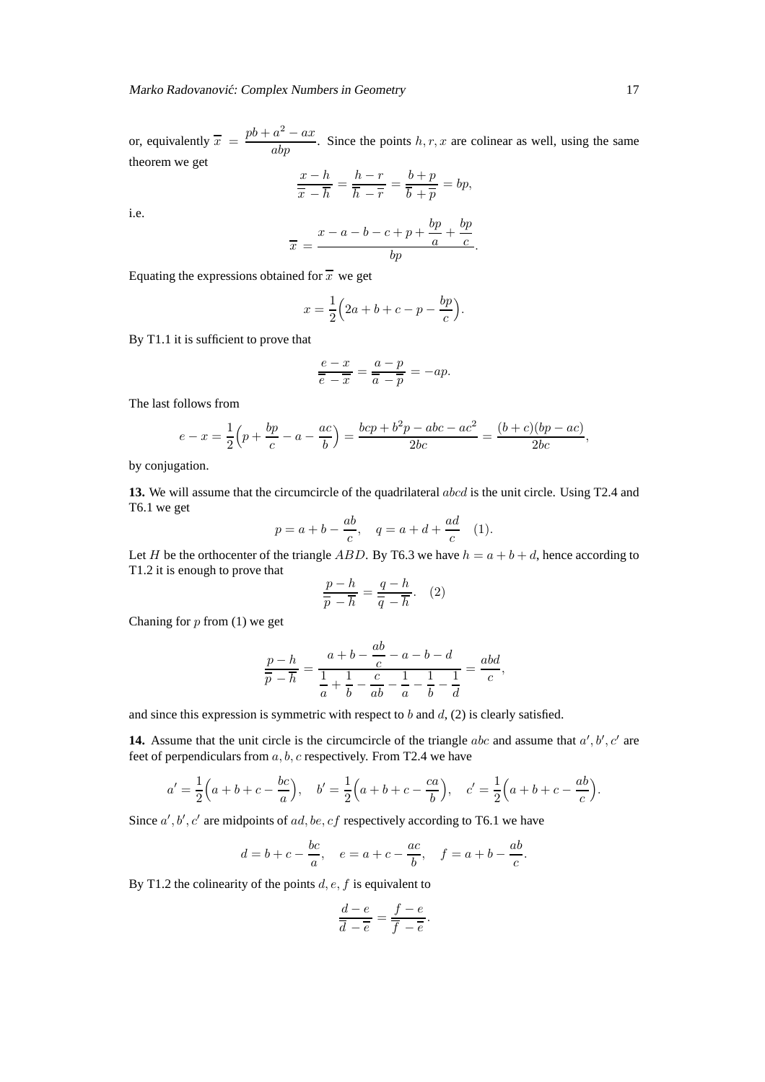or, equivalently  $\overline{x} = \frac{pb + a^2 - ax}{abp}$ . Since the points h, r, x are colinear as well, using the same theorem we get

$$
\frac{x-h}{\overline{x}-\overline{h}} = \frac{h-r}{\overline{h}-\overline{r}} = \frac{b+p}{\overline{b}+\overline{p}} = bp,
$$

i.e.

$$
\overline{x} = \frac{x - a - b - c + p + \frac{bp}{a} + \frac{bp}{c}}{bp}.
$$

Equating the expressions obtained for  $\overline{x}$  we get

$$
x = \frac{1}{2} \left( 2a + b + c - p - \frac{bp}{c} \right).
$$

By T1.1 it is sufficient to prove that

$$
\frac{e-x}{\overline{e}-\overline{x}} = \frac{a-p}{\overline{a}-\overline{p}} = -ap.
$$

The last follows from

$$
e - x = \frac{1}{2} \left( p + \frac{bp}{c} - a - \frac{ac}{b} \right) = \frac{bcp + b^2p - abc - ac^2}{2bc} = \frac{(b+c)(bp - ac)}{2bc},
$$

by conjugation.

**13.** We will assume that the circumcircle of the quadrilateral abcd is the unit circle. Using T2.4 and T6.1 we get

$$
p = a + b - \frac{ab}{c}
$$
,  $q = a + d + \frac{ad}{c}$  (1).

Let H be the orthocenter of the triangle ABD. By T6.3 we have  $h = a + b + d$ , hence according to T1.2 it is enough to prove that

$$
\frac{p-h}{\overline{p}-\overline{h}} = \frac{q-h}{\overline{q}-\overline{h}}.\quad (2)
$$

Chaning for  $p$  from (1) we get

$$
\frac{p-h}{\overline{p}-\overline{h}}=\frac{a+b-\frac{ab}{c}-a-b-d}{\frac{1}{a}+\frac{1}{b}-\frac{c}{ab}-\frac{1}{a}-\frac{1}{b}-\frac{1}{d}}=\frac{abd}{c},
$$

and since this expression is symmetric with respect to b and  $d$ , (2) is clearly satisfied.

**14.** Assume that the unit circle is the circumcircle of the triangle  $abc$  and assume that  $a', b', c'$  are feet of perpendiculars from  $a, b, c$  respectively. From T2.4 we have

$$
a' = \frac{1}{2}(a+b+c-\frac{bc}{a}),
$$
  $b' = \frac{1}{2}(a+b+c-\frac{ca}{b}),$   $c' = \frac{1}{2}(a+b+c-\frac{ab}{c}).$ 

Since  $a', b', c'$  are midpoints of  $ad, be, cf$  respectively according to T6.1 we have

$$
d=b+c-\frac{bc}{a},\quad e=a+c-\frac{ac}{b},\quad f=a+b-\frac{ab}{c}.
$$

By T1.2 the colinearity of the points  $d, e, f$  is equivalent to

$$
\frac{d-e}{\overline{d}-\overline{e}} = \frac{f-e}{\overline{f}-\overline{e}}
$$

.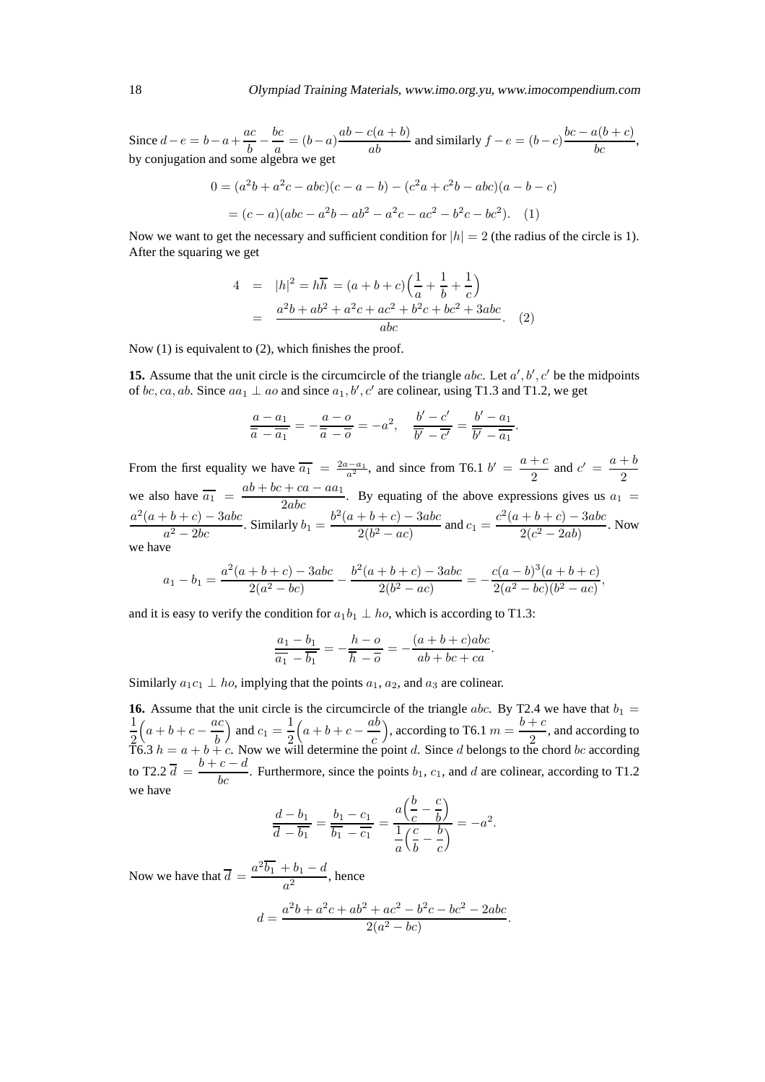Since  $d - e = b - a + \frac{ac}{b}$  $\overline{b}$  – bc Since  $d - e = b - a + \frac{ac}{b} - \frac{bc}{a} = (b - a) \frac{ab - c(a + b)}{ab}$  and similarly  $f - e = (b - c) \frac{bc - a(b + c)}{bc}$ , by conjugation and some algebra we get

$$
0 = (a2b + a2c - abc)(c - a - b) - (c2a + c2b - abc)(a - b - c)
$$
  
= (c - a)(abc - a<sup>2</sup>b - ab<sup>2</sup> - a<sup>2</sup>c - ac<sup>2</sup> - b<sup>2</sup>c - bc<sup>2</sup>). (1)

Now we want to get the necessary and sufficient condition for  $|h| = 2$  (the radius of the circle is 1). After the squaring we get

$$
4 = |h|^2 = h\overline{h} = (a+b+c)\left(\frac{1}{a} + \frac{1}{b} + \frac{1}{c}\right)
$$
  
= 
$$
\frac{a^2b + ab^2 + a^2c + ac^2 + b^2c + bc^2 + 3abc}{abc}.
$$
 (2)

Now (1) is equivalent to (2), which finishes the proof.

**15.** Assume that the unit circle is the circumcircle of the triangle abc. Let  $a', b', c'$  be the midpoints of bc, ca, ab. Since  $aa_1 \perp a_0$  and since  $a_1, b', c'$  are colinear, using T1.3 and T1.2, we get

$$
\frac{a-a_1}{\overline{a}-\overline{a_1}} = -\frac{a-o}{\overline{a}-\overline{o}} = -a^2, \quad \frac{b'-c'}{\overline{b'}-\overline{c'}} = \frac{b'-a_1}{\overline{b'}-\overline{a_1}}.
$$

From the first equality we have  $\overline{a_1} = \frac{2a-a_1}{a^2}$ , and since from T6.1  $b' = \frac{a+c}{2}$  and  $c' = \frac{a+b}{2}$ 2 2 we also have  $\overline{a_1} = \frac{ab + bc + ca - aa_1}{2abc}$ . By equating of the above expressions gives us  $a_1 =$  $a^2(a + b + c) - 3abc$  $\frac{(a+b+c)-3abc}{a^2-2bc}$ . Similarly  $b_1 = \frac{b^2(a+b+c)-3abc}{2(b^2-ac)}$  $\frac{(b+b+c)-3abc}{2(b^2-ac)}$  and  $c_1 = \frac{c^2(a+b+c)-3abc}{2(c^2-2ab)}$  $\frac{16+Cf}{2(c^2-2ab)}$ . Now we have

$$
a_1 - b_1 = \frac{a^2(a+b+c) - 3abc}{2(a^2 - bc)} - \frac{b^2(a+b+c) - 3abc}{2(b^2 - ac)} = -\frac{c(a-b)^3(a+b+c)}{2(a^2 - bc)(b^2 - ac)},
$$

and it is easy to verify the condition for  $a_1b_1 \perp ho$ , which is according to T1.3:

$$
\frac{a_1 - b_1}{\overline{a_1} - \overline{b_1}} = -\frac{h - o}{\overline{h} - \overline{o}} = -\frac{(a + b + c)abc}{ab + bc + ca}.
$$

Similarly  $a_1c_1 \perp ho$ , implying that the points  $a_1, a_2$ , and  $a_3$  are colinear.

**16.** Assume that the unit circle is the circumcircle of the triangle abc. By T2.4 we have that  $b_1 =$ 1 2  $\left(a+b+c-\frac{ac}{b}\right)$ b ) and  $c_1 = \frac{1}{2}$ 2  $\left(a+b+c-\frac{ab}{c}\right)$ c ), according to T6.1  $m = \frac{b+c}{2}$  $\frac{1}{2}$ , and according to T6.3  $h = a + b + c$ . Now we will determine the point d. Since d belongs to the chord bc according to T2.2  $\overline{d} = \frac{b+c-d}{bc}$ . Furthermore, since the points  $b_1$ ,  $c_1$ , and d are colinear, according to T1.2 we have  $\overline{h}$ 

$$
\frac{d-b_1}{\overline{d} - \overline{b_1}} = \frac{b_1 - c_1}{\overline{b_1} - \overline{c_1}} = \frac{a\left(\frac{b}{c} - \frac{c}{b}\right)}{\frac{1}{a}\left(\frac{c}{b} - \frac{b}{c}\right)} = -a^2.
$$

Now we have that  $\overline{d} = \frac{a^2 \overline{b_1} + b_1 - d}{a}$  $\frac{a^2}{a^2}$ , hence

$$
d = \frac{a^2b + a^2c + ab^2 + ac^2 - b^2c - bc^2 - 2abc}{2(a^2 - bc)}.
$$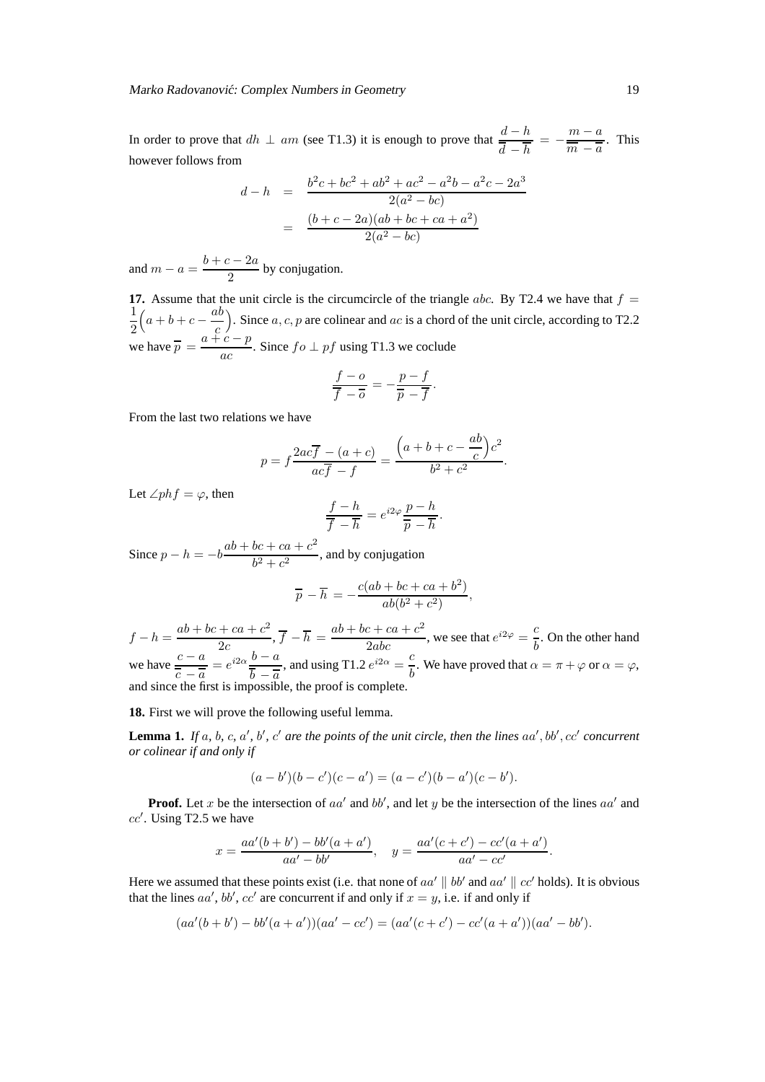In order to prove that  $dh \perp am$  (see T1.3) it is enough to prove that  $\frac{d-h}{\overline{d}-\overline{h}} = -\frac{m-a}{\overline{m}-\overline{a}}$  $\frac{\overline{m}}{\overline{m}-\overline{a}}$ . This however follows from

$$
d - h = \frac{b^2c + bc^2 + ab^2 + ac^2 - a^2b - a^2c - 2a^3}{2(a^2 - bc)}
$$
  
= 
$$
\frac{(b + c - 2a)(ab + bc + ca + a^2)}{2(a^2 - bc)}
$$

and  $m - a = \frac{b + c - 2a}{2}$  $\frac{2}{2}$  by conjugation.

**17.** Assume that the unit circle is the circumcircle of the triangle abc. By T2.4 we have that  $f =$ 1 2  $\left(a+b+c-\frac{ab}{c}\right)$ c ). Since  $a, c, p$  are colinear and  $ac$  is a chord of the unit circle, according to T2.2 we have  $\overline{p} = \frac{a + c - p}{ }$  $\frac{c}{ac}$ . Since  $fo \perp pf$  using T1.3 we coclude

$$
\frac{f - o}{\overline{f} - \overline{o}} = -\frac{p - f}{\overline{p} - \overline{f}}.
$$

From the last two relations we have

$$
p = f \frac{2ac\overline{f} - (a+c)}{ac\overline{f} - f} = \frac{(a+b+c - \frac{ab}{c})c^2}{b^2 + c^2}.
$$

Let  $\angle phf = \varphi$ , then

$$
\frac{f-h}{\overline{f}-\overline{h}} = e^{i2\varphi} \frac{p-h}{\overline{p}-\overline{h}}
$$

.

Since  $p - h = -b \frac{ab + bc + ca + c^2}{b^2 + c^2}$  $\frac{bc + bc + b}{b^2 + c^2}$ , and by conjugation

$$
\overline{p} - \overline{h} = -\frac{c(ab + bc + ca + b^2)}{ab(b^2 + c^2)},
$$

 $f - h = \frac{ab + bc + ca + c^2}{2c}$  $\frac{1}{2c} + ca + c^2}{2c}$ ,  $\overline{f} - \overline{h} = \frac{ab + bc + ca + c^2}{2abc}$ , we see that  $e^{i2\varphi} = \frac{c}{b}$  $\frac{6}{b}$ . On the other hand we have  $\frac{c - a}{\cdot}$  $\frac{c-a}{\overline{c-a}} = e^{i2\alpha} \frac{b-a}{\overline{b-a}}$  $b - \overline{a}$ , and using T1.2  $e^{i2\alpha} = \frac{c}{l}$  $\frac{\partial}{\partial b}$ . We have proved that  $\alpha = \pi + \varphi$  or  $\alpha = \varphi$ , and since the first is impossible, the proof is complete.

**18.** First we will prove the following useful lemma.

**Lemma 1.** If  $a$ ,  $b$ ,  $c$ ,  $a'$ ,  $b'$ ,  $c'$  are the points of the unit circle, then the lines  $aa'$ ,  $bb'$ ,  $cc'$  concurrent *or colinear if and only if*

$$
(a - b')(b - c')(c - a') = (a - c')(b - a')(c - b').
$$

**Proof.** Let x be the intersection of  $aa'$  and  $bb'$ , and let y be the intersection of the lines  $aa'$  and  $cc'$ . Using T2.5 we have

$$
x = \frac{aa'(b+b') - bb'(a+a')}{aa' - bb'}, \quad y = \frac{aa'(c+c') - cc'(a+a')}{aa' - cc'}.
$$

Here we assumed that these points exist (i.e. that none of  $aa' \parallel bb'$  and  $aa' \parallel cc'$  holds). It is obvious that the lines  $aa', bb', cc'$  are concurrent if and only if  $x = y$ , i.e. if and only if

$$
(aa'(b+b') - bb'(a+a'))(aa'-cc') = (aa'(c+c') - cc'(a+a'))(aa'-bb').
$$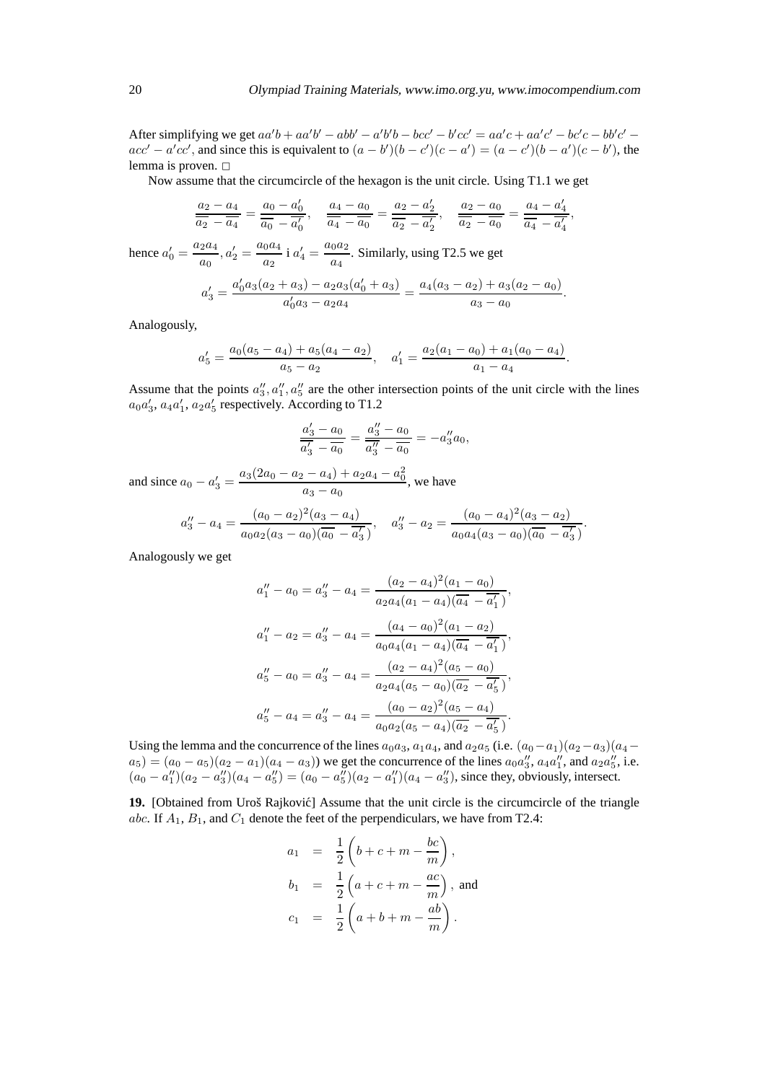After simplifying we get  $aa'b + aa'b' - abb' - a'b'b - bcc' - b'cc' = aa'c + aa'c' - bc'c - bb'c'$  $acc' - a'cc'$ , and since this is equivalent to  $(a - b')(b - c')(c - a') = (a - c')(b - a')(c - b')$ , the lemma is proven.  $\square$ 

Now assume that the circumcircle of the hexagon is the unit circle. Using T1.1 we get

$$
\frac{a_2 - a_4}{\overline{a_2} - \overline{a_4}} = \frac{a_0 - a'_0}{\overline{a_0} - \overline{a'_0}}, \quad \frac{a_4 - a_0}{\overline{a_4} - \overline{a_0}} = \frac{a_2 - a'_2}{\overline{a_2} - \overline{a'_2}}, \quad \frac{a_2 - a_0}{\overline{a_2} - \overline{a_0}} = \frac{a_4 - a'_4}{\overline{a_4} - \overline{a'_4}},
$$

hence  $a'_0 = \frac{a_2 a_4}{a_2 a_4}$  $\frac{a_2 a_4}{a_0}, a'_2 = \frac{a_0 a_4}{a_2}$  $\frac{0^{a_4}}{a_2}$  i  $a'_4 = \frac{a_0 a_2}{a_4}$  $\frac{6a}{a_4}$ . Similarly, using T2.5 we get

$$
a'_3 = \frac{a'_0 a_3 (a_2 + a_3) - a_2 a_3 (a'_0 + a_3)}{a'_0 a_3 - a_2 a_4} = \frac{a_4 (a_3 - a_2) + a_3 (a_2 - a_0)}{a_3 - a_0}.
$$

Analogously,

$$
a'_5 = \frac{a_0(a_5 - a_4) + a_5(a_4 - a_2)}{a_5 - a_2}, \quad a'_1 = \frac{a_2(a_1 - a_0) + a_1(a_0 - a_4)}{a_1 - a_4}.
$$

Assume that the points  $a''_3, a''_1, a''_5$  are the other intersection points of the unit circle with the lines  $a_0a'_3$ ,  $a_4a'_1$ ,  $a_2a'_5$  respectively. According to T1.2

$$
\frac{a'_3 - a_0}{\overline{a'_3} - \overline{a_0}} = \frac{a''_3 - a_0}{\overline{a''_3} - \overline{a_0}} = -a''_3 a_0,
$$

and since  $a_0 - a'_3 = \frac{a_3(2a_0 - a_2 - a_4) + a_2a_4 - a_0^2}{a_3 - a_0}$  $\frac{a_4 - a_0}{a_3 - a_0}$ , we have

$$
a_3'' - a_4 = \frac{(a_0 - a_2)^2(a_3 - a_4)}{a_0 a_2 (a_3 - a_0)(\overline{a_0} - \overline{a_3'})}, \quad a_3'' - a_2 = \frac{(a_0 - a_4)^2(a_3 - a_2)}{a_0 a_4 (a_3 - a_0)(\overline{a_0} - \overline{a_3'})}.
$$

Analogously we get

$$
a_1'' - a_0 = a_3'' - a_4 = \frac{(a_2 - a_4)^2(a_1 - a_0)}{a_2 a_4 (a_1 - a_4)(\overline{a_4} - \overline{a_1'})},
$$
  
\n
$$
a_1'' - a_2 = a_3'' - a_4 = \frac{(a_4 - a_0)^2(a_1 - a_2)}{a_0 a_4 (a_1 - a_4)(\overline{a_4} - \overline{a_1'})},
$$
  
\n
$$
a_5'' - a_0 = a_3'' - a_4 = \frac{(a_2 - a_4)^2(a_5 - a_0)}{a_2 a_4 (a_5 - a_0)(\overline{a_2} - \overline{a_5'})},
$$
  
\n
$$
a_5'' - a_4 = a_3'' - a_4 = \frac{(a_0 - a_2)^2(a_5 - a_4)}{a_0 a_2 (a_5 - a_4)(\overline{a_2} - \overline{a_5'})}.
$$

Using the lemma and the concurrence of the lines  $a_0a_3, a_1a_4$ , and  $a_2a_5$  (i.e.  $(a_0-a_1)(a_2-a_3)(a_4-a_5)$  $a_5$  =  $(a_0 - a_5)(a_2 - a_1)(a_4 - a_3)$  we get the concurrence of the lines  $a_0 a_3''$ ,  $a_4 a_1''$ , and  $a_2 a_5''$ , i.e.  $(a_0 - a_1'')(a_2 - a_3'')(a_4 - a_5'') = (a_0 - a_5'')(a_2 - a_1'')(a_4 - a_3'')$ , since they, obviously, intersect.

**19.** [Obtained from Uroš Rajković] Assume that the unit circle is the circumcircle of the triangle abc. If  $A_1$ ,  $B_1$ , and  $C_1$  denote the feet of the perpendiculars, we have from T2.4:

$$
a_1 = \frac{1}{2} \left( b + c + m - \frac{bc}{m} \right),
$$
  
\n
$$
b_1 = \frac{1}{2} \left( a + c + m - \frac{ac}{m} \right),
$$
 and  
\n
$$
c_1 = \frac{1}{2} \left( a + b + m - \frac{ab}{m} \right).
$$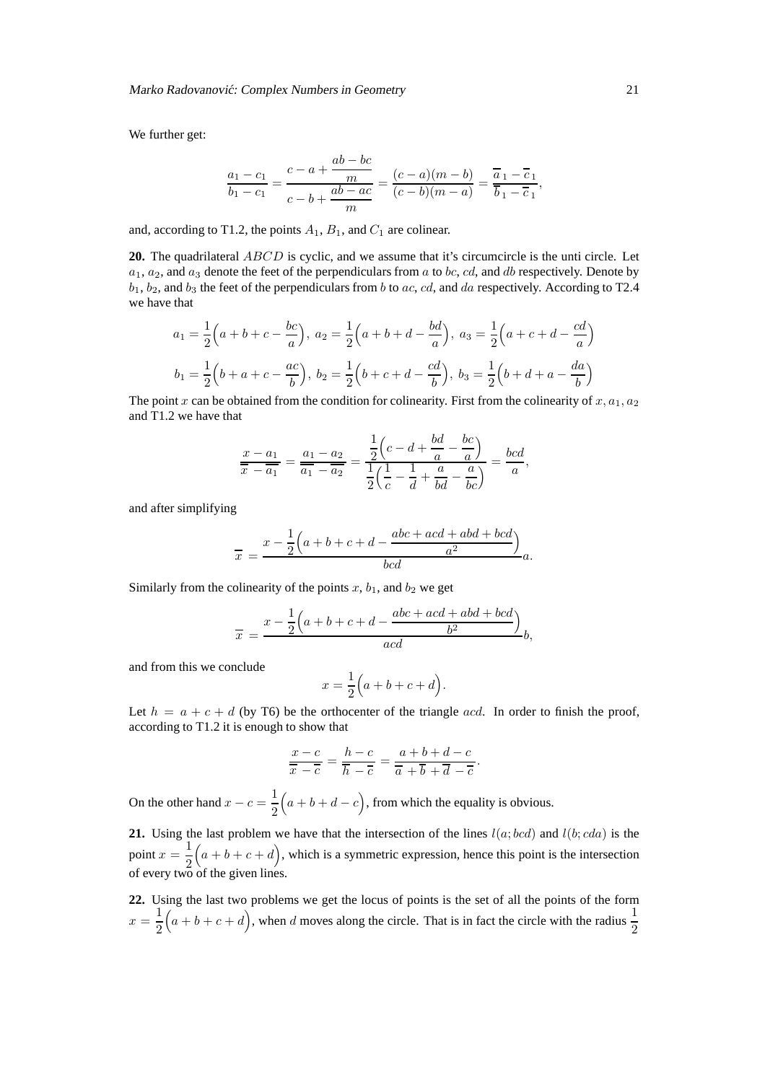We further get:

$$
\frac{a_1 - c_1}{b_1 - c_1} = \frac{c - a + \frac{ab - bc}{m}}{c - b + \frac{ab - ac}{m}} = \frac{(c - a)(m - b)}{(c - b)(m - a)} = \frac{\overline{a}_1 - \overline{c}_1}{\overline{b}_1 - \overline{c}_1}
$$

and, according to T1.2, the points  $A_1$ ,  $B_1$ , and  $C_1$  are colinear.

**20.** The quadrilateral ABCD is cyclic, and we assume that it's circumcircle is the unti circle. Let  $a_1, a_2$ , and  $a_3$  denote the feet of the perpendiculars from a to bc, cd, and db respectively. Denote by  $b_1$ ,  $b_2$ , and  $b_3$  the feet of the perpendiculars from  $b$  to  $ac$ ,  $cd$ , and  $da$  respectively. According to T2.4 we have that

$$
a_1 = \frac{1}{2} \left( a + b + c - \frac{bc}{a} \right), \ a_2 = \frac{1}{2} \left( a + b + d - \frac{bd}{a} \right), \ a_3 = \frac{1}{2} \left( a + c + d - \frac{cd}{a} \right)
$$

$$
b_1 = \frac{1}{2} \left( b + a + c - \frac{ac}{b} \right), \ b_2 = \frac{1}{2} \left( b + c + d - \frac{cd}{b} \right), \ b_3 = \frac{1}{2} \left( b + d + a - \frac{da}{b} \right)
$$

The point x can be obtained from the condition for colinearity. First from the colinearity of  $x, a_1, a_2$ and T1.2 we have that

$$
\frac{x-a_1}{x-a_1} = \frac{a_1 - a_2}{a_1 - a_2} = \frac{\frac{1}{2}(c - d + \frac{bd}{a} - \frac{bc}{a})}{\frac{1}{2}(\frac{1}{c} - \frac{1}{d} + \frac{a}{bd} - \frac{a}{bc})} = \frac{bcd}{a},
$$

and after simplifying

$$
\overline{x} = \frac{x - \frac{1}{2}(a+b+c+d-\frac{abc+acd+abd+bcd}{ac})}{bcd}a.
$$

Similarly from the colinearity of the points  $x$ ,  $b_1$ , and  $b_2$  we get

$$
\overline{x} = \frac{x - \frac{1}{2} \left( a + b + c + d - \frac{abc + acd + abd + bcd}{b^2} \right)}{acd}b,
$$

and from this we conclude

$$
x = \frac{1}{2} \Big( a + b + c + d \Big).
$$

Let  $h = a + c + d$  (by T6) be the orthocenter of the triangle acd. In order to finish the proof, according to T1.2 it is enough to show that

$$
\frac{x-c}{\overline{x}-\overline{c}}=\frac{h-c}{\overline{h}-\overline{c}}=\frac{a+b+d-c}{\overline{a}+\overline{b}+\overline{d}-\overline{c}}.
$$

On the other hand  $x - c = \frac{1}{2}$ 2  $(a + b + d - c)$ , from which the equality is obvious.

**21.** Using the last problem we have that the intersection of the lines  $l(a; bcd)$  and  $l(b; cda)$  is the point  $x=\frac{1}{2}$ 2  $(a + b + c + d)$ , which is a symmetric expression, hence this point is the intersection of every two of the given lines.

**22.** Using the last two problems we get the locus of points is the set of all the points of the form  $x=\frac{1}{2}$ 2  $(a + b + c + d)$ , when d moves along the circle. That is in fact the circle with the radius  $\frac{1}{2}$ 2

,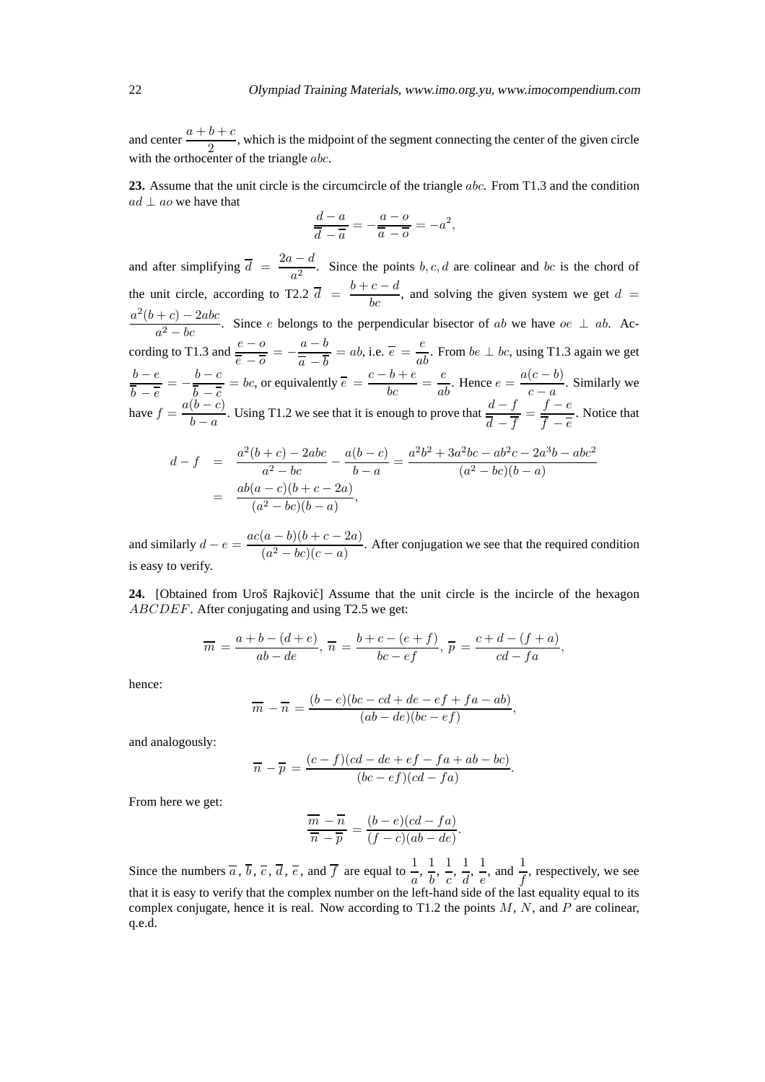and center  $\frac{a+b+c}{2}$ , which is the midpoint of the segment connecting the center of the given circle with the orthocenter of the triangle *abc*.

**23.** Assume that the unit circle is the circumcircle of the triangle abc. From T1.3 and the condition  $ad \perp ao$  we have that

$$
\frac{d-a}{\overline{d}-\overline{a}}=-\frac{a-o}{\overline{a}-\overline{o}}=-a^2,
$$

and after simplifying  $\overline{d} = \frac{2a - d}{2}$  $\frac{a}{a^2}$ . Since the points b, c, d are colinear and bc is the chord of the unit circle, according to T2.2  $\overline{d} = \frac{b+c-d}{bc}$ , and solving the given system we get  $d =$  $a^2(b+c) - 2abc$  $\frac{a^2 - bc}{a^2 - bc}$ . Since e belongs to the perpendicular bisector of ab we have  $oe \perp ab$ . According to T1.3 and  $\frac{e - o}{\cdot}$  $\frac{e - o}{\overline{e} - \overline{o}} = -\frac{a - b}{\overline{a} - \overline{b}}$  $\overline{a} - b$  $= ab$ , i.e.  $\overline{e} = \frac{e}{ab}$ . From  $be \perp bc$ , using T1.3 again we get  $b - e$  $\frac{b-e}{\overline{b}-\overline{e}}=-\frac{b-c}{\overline{b}-\overline{c}}$  $\frac{b}{a} - \overline{c}$ = bc, or equivalently  $\overline{e} = \frac{c - b + e}{bc} = \frac{e}{ab}$ . Hence  $e = \frac{a(c - b)}{c - a}$  $\frac{c}{c-a}$ . Similarly we have  $f = \frac{a(b-c)}{b}$  $b - a$ . Using T1.2 we see that it is enough to prove that  $\frac{d - f}{\overline{d}}$  $\frac{d-f}{\overline{d}-\overline{f}} = \frac{f-e}{\overline{f}-\overline{e}}$  $f - \overline{e}$ . Notice that

$$
d - f = \frac{a^2(b+c) - 2abc}{a^2 - bc} - \frac{a(b-c)}{b-a} = \frac{a^2b^2 + 3a^2bc - ab^2c - 2a^3b - abc^2}{(a^2 - bc)(b-a)}
$$
  
= 
$$
\frac{ab(a-c)(b+c-2a)}{(a^2 - bc)(b-a)},
$$

and similarly  $d - e = \frac{ac(a - b)(b + c - 2a)}{(a^2 - bc)(c - a)}$  $\frac{a^{(a)} - b^{(b)} + b^{(c)} - 2a^{(c)}}{a^{(a)} - bc)(c - a)}$ . After conjugation we see that the required condition is easy to verify.

**24.** [Obtained from Uroš Rajković] Assume that the unit circle is the incircle of the hexagon ABCDEF. After conjugating and using T2.5 we get:

$$
\overline{m} = \frac{a+b-(d+e)}{ab-de}, \overline{n} = \frac{b+c-(e+f)}{bc-ef}, \overline{p} = \frac{c+d-(f+a)}{cd-fa},
$$

hence:

$$
\overline{m} - \overline{n} = \frac{(b-e)(bc - cd + de - ef + fa - ab)}{(ab - de)(bc - ef)},
$$

and analogously:

$$
\overline{n} - \overline{p} = \frac{(c-f)(cd - de + ef - fa + ab - bc)}{(bc - ef)(cd - fa)}.
$$

From here we get:

$$
\frac{\overline{m}-\overline{n}}{\overline{n}-\overline{p}} = \frac{(b-e)(cd-fa)}{(f-c)(ab-de)}.
$$

Since the numbers  $\overline{a}$ ,  $\overline{b}$ ,  $\overline{c}$ ,  $\overline{d}$ ,  $\overline{e}$ , and  $\overline{f}$  are equal to  $\frac{1}{a}$ ,  $\frac{1}{b}$  $\frac{1}{b}$ ,  $\frac{1}{c}$  $\frac{1}{c}$ ,  $\frac{1}{d}$  $\frac{1}{d}$ ,  $\frac{1}{e}$  $\frac{1}{e}$ , and  $\frac{1}{f}$ , respectively, we see that it is easy to verify that the complex number on the left-hand side of the last equality equal to its complex conjugate, hence it is real. Now according to T1.2 the points  $M$ ,  $N$ , and  $P$  are colinear, q.e.d.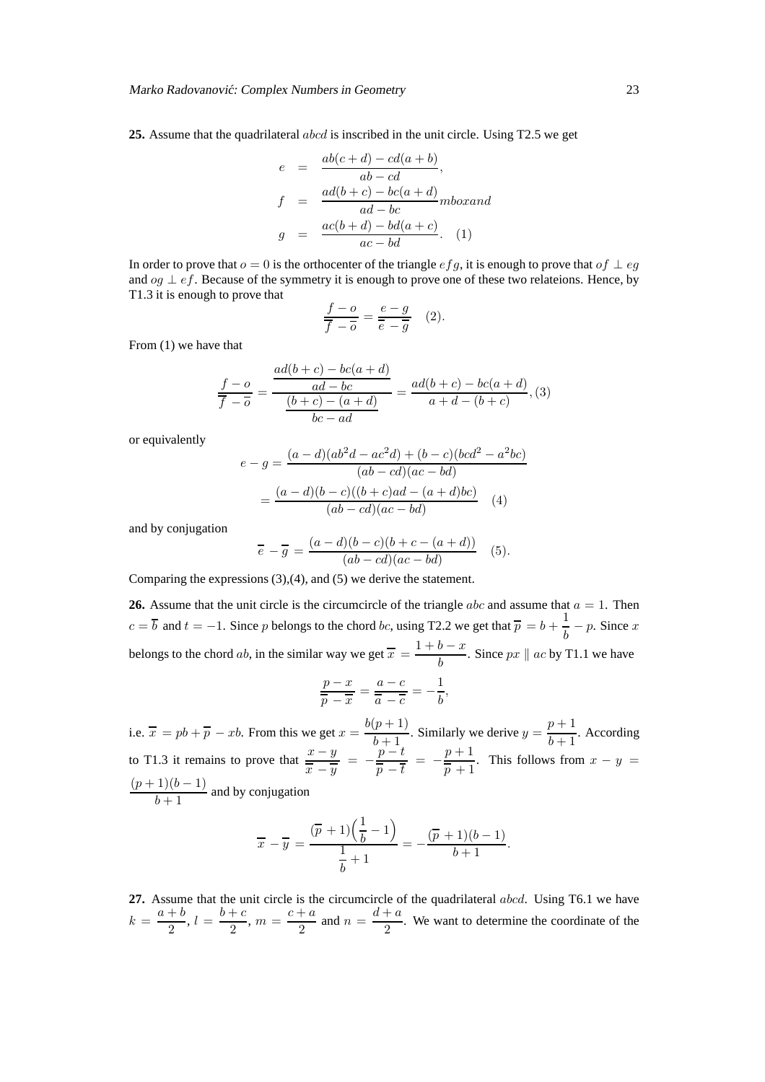**25.** Assume that the quadrilateral abcd is inscribed in the unit circle. Using T2.5 we get

$$
e = \frac{ab(c+d) - cd(a+b)}{ab - cd},
$$
  
\n
$$
f = \frac{ad(b+c) - bc(a+d)}{ad - bc}mbox{ab}
$$
  
\n
$$
g = \frac{ac(b+d) - bd(a+c)}{ac - bd}.
$$
 (1)

In order to prove that  $o = 0$  is the orthocenter of the triangle  $efg$ , it is enough to prove that  $of \perp eg$ and  $og \perp ef$ . Because of the symmetry it is enough to prove one of these two relateions. Hence, by T1.3 it is enough to prove that

$$
\frac{f - o}{\overline{f} - \overline{o}} = \frac{e - g}{\overline{e} - \overline{g}} \quad (2).
$$

From (1) we have that

$$
\frac{f - o}{\overline{f} - \overline{o}} = \frac{\frac{ad(b + c) - bc(a + d)}{ad - bc}}{\frac{(b + c) - (a + d)}{bc - ad}} = \frac{ad(b + c) - bc(a + d)}{a + d - (b + c)},
$$
(3)

or equivalently

$$
e - g = \frac{(a - d)(ab^2d - ac^2d) + (b - c)(bcd^2 - a^2bc)}{(ab - cd)(ac - bd)}
$$

$$
= \frac{(a - d)(b - c)((b + c)ad - (a + d)bc)}{(ab - cd)(ac - bd)}
$$
(4)

and by conjugation

$$
\overline{e} - \overline{g} = \frac{(a-d)(b-c)(b+c-(a+d))}{(ab-cd)(ac-bd)} \quad (5).
$$

Comparing the expressions (3),(4), and (5) we derive the statement.

**26.** Assume that the unit circle is the circumcircle of the triangle  $abc$  and assume that  $a = 1$ . Then  $c = \overline{b}$  and  $t = -1$ . Since p belongs to the chord bc, using T2.2 we get that  $\overline{p} = b + \frac{1}{b}$  $\frac{1}{b}$  – p. Since x belongs to the chord ab, in the similar way we get  $\overline{x} = \frac{1+b-x}{1}$  $\frac{b}{b}$ . Since  $px \parallel ac$  by T1.1 we have

$$
\frac{p-x}{\overline{p}-\overline{x}}=\frac{a-c}{\overline{a}-\overline{c}}=-\frac{1}{b},
$$

i.e.  $\bar{x} = pb + \bar{p} - xb$ . From this we get  $x = \frac{b(p+1)}{b+1}$  $\frac{(p+1)}{b+1}$ . Similarly we derive  $y = \frac{p+1}{b+1}$  $\frac{b^2+1}{b+1}$ . According to T1.3 it remains to prove that  $\frac{x - y}{x - y}$  $\frac{x-y}{x-y} = -\frac{p-t}{\overline{p}-\overline{t}}$  $\frac{p-t}{\overline{p}-\overline{t}} = -\frac{p+1}{\overline{p}+1}$  $\frac{p+1}{p+1}$ . This follows from  $x - y =$  $(p+1)(b-1)$  $\frac{1}{b+1}$  and by conjugation

$$
\overline{x} - \overline{y} = \frac{(\overline{p} + 1)(\frac{1}{b} - 1)}{\frac{1}{b} + 1} = -\frac{(\overline{p} + 1)(b - 1)}{b + 1}.
$$

**27.** Assume that the unit circle is the circumcircle of the quadrilateral abcd. Using T6.1 we have  $k = \frac{a+b}{a}$  $\frac{+b}{2}, l = \frac{b+c}{2}$  $\frac{c+a}{2}$ ,  $m = \frac{c+a}{2}$  $\frac{a}{2}$  and  $n = \frac{d+a}{2}$  $\frac{1}{2}$ . We want to determine the coordinate of the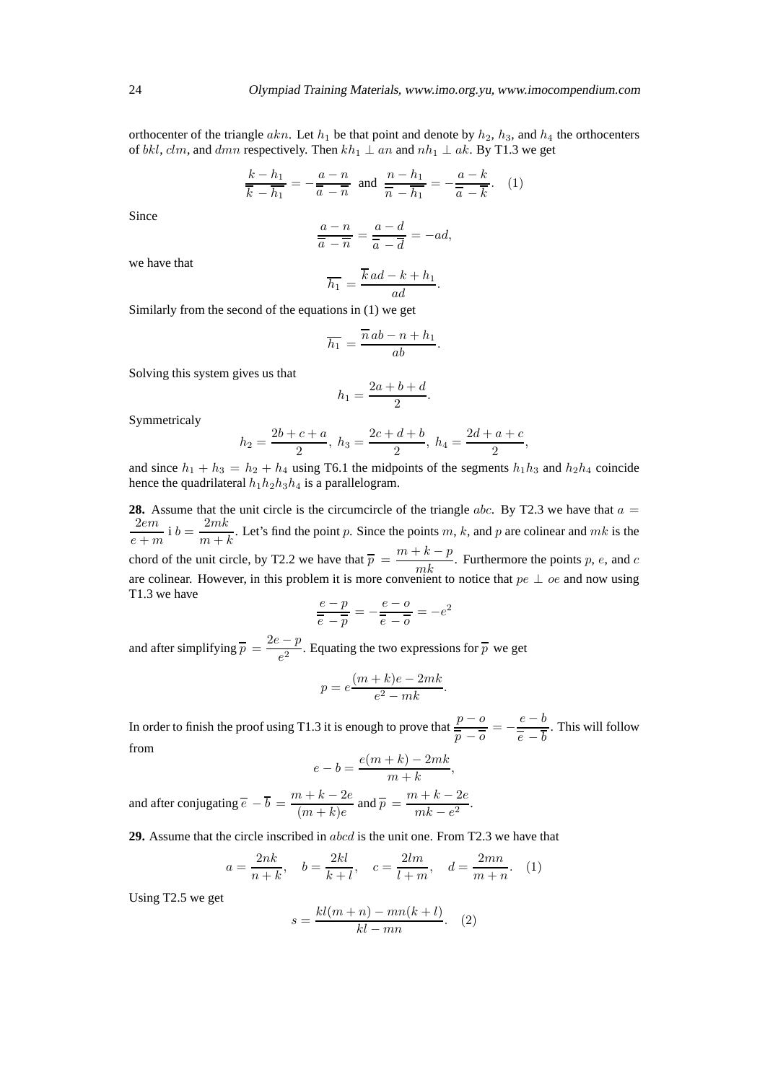orthocenter of the triangle akn. Let  $h_1$  be that point and denote by  $h_2$ ,  $h_3$ , and  $h_4$  the orthocenters of bkl, clm, and dmn respectively. Then  $kh_1 \perp an$  and  $nh_1 \perp ak$ . By T1.3 we get

$$
\frac{k - h_1}{\overline{k} - \overline{h_1}} = -\frac{a - n}{\overline{a} - \overline{n}} \text{ and } \frac{n - h_1}{\overline{n} - \overline{h_1}} = -\frac{a - k}{\overline{a} - \overline{k}}.
$$
 (1)

Since

$$
\frac{a-n}{\overline{a}-\overline{n}}=\frac{a-d}{\overline{a}-\overline{d}}=-ad,
$$

we have that

$$
\overline{h_1} = \frac{\overline{k}ad - k + h_1}{ad}.
$$

Similarly from the second of the equations in (1) we get

$$
\overline{h_1} = \frac{\overline{n} ab - n + h_1}{ab}.
$$

Solving this system gives us that

$$
h_1 = \frac{2a+b+d}{2}.
$$

Symmetricaly

$$
h_2 = \frac{2b+c+a}{2}, h_3 = \frac{2c+d+b}{2}, h_4 = \frac{2d+a+c}{2},
$$

and since  $h_1 + h_3 = h_2 + h_4$  using T6.1 the midpoints of the segments  $h_1h_3$  and  $h_2h_4$  coincide hence the quadrilateral  $h_1h_2h_3h_4$  is a parallelogram.

**28.** Assume that the unit circle is the circumcircle of the triangle abc. By T2.3 we have that  $a =$ 2em  $\frac{2em}{e+m}$  i  $b = \frac{2mk}{m+i}$  $\frac{2mn}{m+k}$ . Let's find the point p. Since the points m, k, and p are colinear and mk is the chord of the unit circle, by T2.2 we have that  $\overline{p} = \frac{m + k - p}{mk}$ . Furthermore the points p, e, and c are colinear. However, in this problem it is more convenient to notice that  $pe \perp oe$  and now using T1.3 we have

$$
\frac{e-p}{\overline{e}-\overline{p}} = -\frac{e-o}{\overline{e}-\overline{o}} = -e^2
$$

and after simplifying  $\overline{p} = \frac{2e - p}{2}$  $\frac{P}{e^2}$ . Equating the two expressions for  $\overline{p}$  we get

$$
p = e \frac{(m+k)e - 2mk}{e^2 - mk}.
$$

In order to finish the proof using T1.3 it is enough to prove that  $\frac{p - o}{q - q}$  $\frac{p - o}{\overline{p} - \overline{o}} = -\frac{e - b}{\overline{e} - \overline{b}}$  $\overline{e}$  – b . This will follow from

$$
e-b=\frac{e(m+k)-2mk}{m+k},
$$

and after conjugating  $\overline{e} - \overline{b} = \frac{m+k-2e}{(m+k)e}$  $\frac{n+k-2e}{(m+k)e}$  and  $\overline{p} = \frac{m+k-2e}{mk-e^2}$  $\frac{m k - e^2}{mk - e^2}$ .

**29.** Assume that the circle inscribed in abcd is the unit one. From T2.3 we have that

$$
a = \frac{2nk}{n+k}
$$
,  $b = \frac{2kl}{k+l}$ ,  $c = \frac{2lm}{l+m}$ ,  $d = \frac{2mn}{m+n}$ . (1)

Using T2.5 we get

$$
s = \frac{kl(m+n) - mn(k+l)}{kl - mn}.
$$
 (2)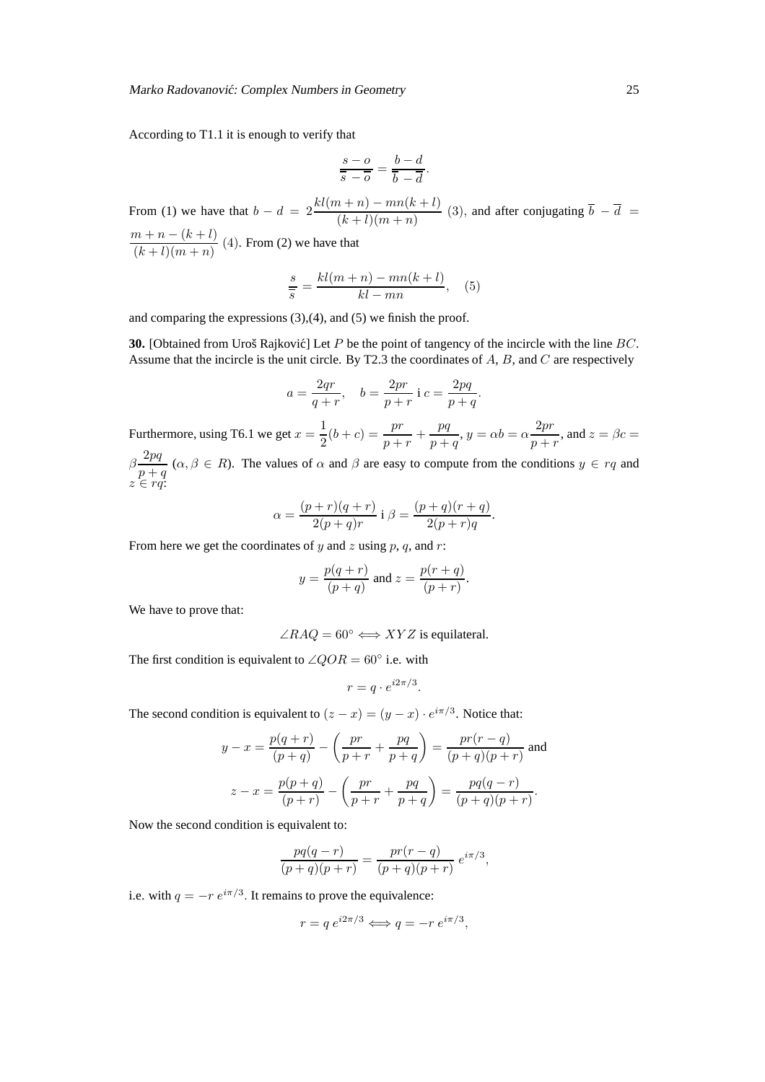According to T1.1 it is enough to verify that

$$
\frac{s - o}{\overline{s} - \overline{o}} = \frac{b - d}{\overline{b} - \overline{d}}.
$$

From (1) we have that  $b - d = 2\frac{kl(m+n) - mn(k+l)}{(k+l)(m+n)}$  $\frac{(k+1)(m+n)}{(k+1)(m+n)}$  (3), and after conjugating  $b - d =$  $m + n - (k + l)$  $\frac{(k+l)(m+n)}{(k+l)(m+n)}$  (4). From (2) we have that

$$
\frac{s}{s} = \frac{kl(m+n) - mn(k+l)}{kl - mn}, \quad (5)
$$

and comparing the expressions (3),(4), and (5) we finish the proof.

**30.** [Obtained from Uroš Rajković] Let P be the point of tangency of the incircle with the line BC. Assume that the incircle is the unit circle. By T2.3 the coordinates of A, B, and C are respectively

$$
a = \frac{2qr}{q+r}
$$
,  $b = \frac{2pr}{p+r}$  i  $c = \frac{2pq}{p+q}$ .

Furthermore, using T6.1 we get  $x = \frac{1}{2}$  $\frac{1}{2}(b+c) = \frac{pr}{p+r} + \frac{pq}{p+r}$  $\frac{pq}{p+q}, y = \alpha b = \alpha \frac{2pr}{p+q}$  $\frac{2p}{p+r}$ , and  $z = \beta c =$  $\beta \frac{2pq}{\sigma}$  $\frac{p+q}{p+q}$  ( $\alpha, \beta \in R$ ). The values of  $\alpha$  and  $\beta$  are easy to compute from the conditions  $y \in rq$  and  $z \in rq$ :

$$
\alpha = \frac{(p+r)(q+r)}{2(p+q)r} \text{ i } \beta = \frac{(p+q)(r+q)}{2(p+r)q}.
$$

From here we get the coordinates of y and z using p, q, and r:

$$
y = \frac{p(q+r)}{(p+q)}
$$
 and  $z = \frac{p(r+q)}{(p+r)}$ .

We have to prove that:

 $\angle RAQ = 60^\circ \Longleftrightarrow XYZ$  is equilateral.

The first condition is equivalent to  $\angle QOR = 60^\circ$  i.e. with

$$
r = q \cdot e^{i2\pi/3}.
$$

The second condition is equivalent to  $(z - x) = (y - x) \cdot e^{i\pi/3}$ . Notice that:

$$
y - x = \frac{p(q+r)}{(p+q)} - \left(\frac{pr}{p+r} + \frac{pq}{p+q}\right) = \frac{pr(r-q)}{(p+q)(p+r)}
$$
 and  

$$
z - x = \frac{p(p+q)}{(p+r)} - \left(\frac{pr}{p+r} + \frac{pq}{p+q}\right) = \frac{pq(q-r)}{(p+q)(p+r)}.
$$

Now the second condition is equivalent to:

$$
\frac{pq(q-r)}{(p+q)(p+r)} = \frac{pr(r-q)}{(p+q)(p+r)} e^{i\pi/3},
$$

i.e. with  $q = -r e^{i\pi/3}$ . It remains to prove the equivalence:

$$
r = q e^{i2\pi/3} \Longleftrightarrow q = -r e^{i\pi/3},
$$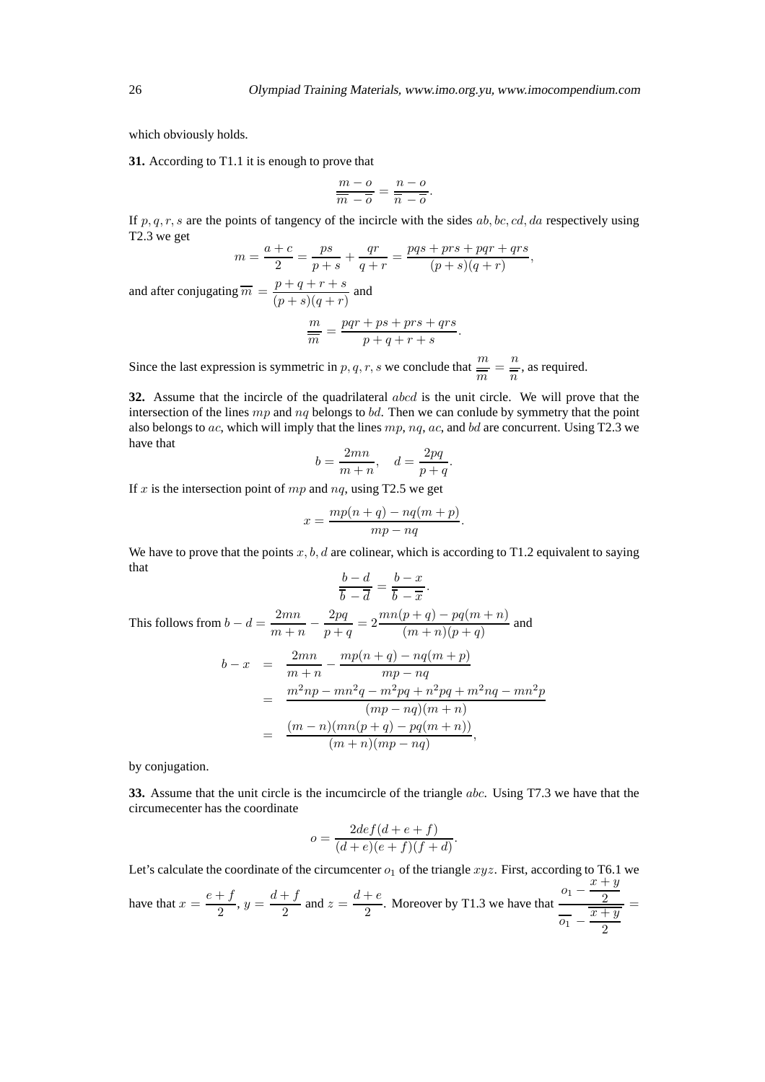which obviously holds.

**31.** According to T1.1 it is enough to prove that

$$
\frac{m - o}{\overline{m} - \overline{o}} = \frac{n - o}{\overline{n} - \overline{o}}.
$$

If p, q, r, s are the points of tangency of the incircle with the sides ab, bc, cd, da respectively using T2.3 we get

$$
m = \frac{a+c}{2} = \frac{ps}{p+s} + \frac{qr}{q+r} = \frac{pqs+prs+pqr+qrs}{(p+s)(q+r)},
$$

and after conjugating  $\overline{m} = \frac{p+q+r+s}{(p+q)(p+q)}$  $\frac{p+q+r+5}{(p+s)(q+r)}$  and

$$
\frac{m}{\overline{m}} = \frac{pqr + ps + prs + qrs}{p + q + r + s}.
$$

Since the last expression is symmetric in p, q, r, s we conclude that  $\frac{m}{\overline{m}} = \frac{n}{\overline{n}}$  $\frac{n}{n}$ , as required.

**32.** Assume that the incircle of the quadrilateral abcd is the unit circle. We will prove that the intersection of the lines  $mp$  and  $nq$  belongs to bd. Then we can conlude by symmetry that the point also belongs to ac, which will imply that the lines  $mp$ ,  $nq$ ,  $ac$ , and  $bd$  are concurrent. Using T2.3 we have that

$$
b = \frac{2mn}{m+n}, \quad d = \frac{2pq}{p+q}.
$$

If x is the intersection point of  $mp$  and  $nq$ , using T2.5 we get

$$
x = \frac{mp(n+q) - nq(m+p)}{mp - nq}.
$$

We have to prove that the points  $x, b, d$  are colinear, which is according to T1.2 equivalent to saying that  $\overline{1}$   $\overline{1}$ 

$$
\frac{b-d}{\overline{b}-\overline{d}}=\frac{b-x}{\overline{b}-\overline{x}}.
$$

This follows from  $b - d = \frac{2mn}{m + 1}$  $\frac{m+n}{-}$ 2pq  $\frac{2pq}{p+q} = 2\frac{mn(p+q) - pq(m+n)}{(m+n)(p+q)}$  $\frac{p+q}{(m+n)(p+q)}$  and

$$
b - x = \frac{2mn}{m+n} - \frac{mp(n+q) - nq(m+p)}{mp - nq}
$$
  
= 
$$
\frac{m^2np - mn^2q - m^2pq + n^2pq + m^2nq - mn^2p}{(mp - nq)(m + n)}
$$
  
= 
$$
\frac{(m-n)(mn(p+q) - pq(m+n))}{(m+n)(mp - nq)},
$$

by conjugation.

**33.** Assume that the unit circle is the incumcircle of the triangle abc. Using T7.3 we have that the circumecenter has the coordinate

$$
o = \frac{2def(d+e+f)}{(d+e)(e+f)(f+d)}
$$

.

Let's calculate the coordinate of the circumcenter  $o_1$  of the triangle  $xyz$ . First, according to T6.1 we

have that 
$$
x = \frac{e+f}{2}
$$
,  $y = \frac{d+f}{2}$  and  $z = \frac{d+e}{2}$ . Moreover by T1.3 we have that  $\frac{o_1 - \frac{x+y}{2}}{\overline{o_1} - \frac{\overline{x+y}}{2}}$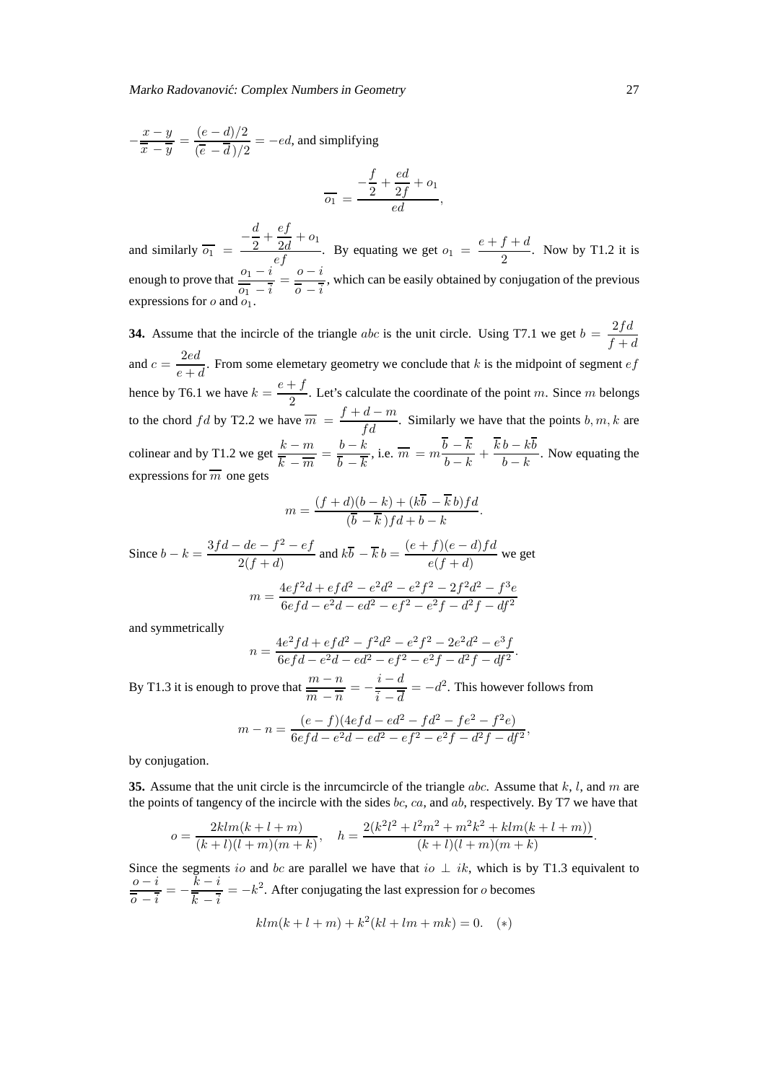$$
-\frac{x-y}{\overline{x}-\overline{y}} = \frac{(e-d)/2}{(\overline{e}-\overline{d})/2} = -ed
$$
, and simplifying  

$$
\overline{o_1} = \frac{-\frac{f}{2} + \frac{ed}{2f} + o_1}{ed},
$$

and similarly  $\overline{o_1}$  =  $\overline{\phantom{a}}$ d  $rac{d}{2} + \frac{ef}{2d}$  $\frac{c_j}{2d} + o_1$  $\frac{2d}{ef} + o_1$ . By equating we get  $o_1 = \frac{e + f + d}{2}$  $\frac{y + \alpha}{2}$ . Now by T1.2 it is enough to prove that  $\frac{o_1 - i}{\sqrt{2}}$  $\frac{o_1-i}{\overline{o_1}-\overline{i}}=\frac{o-i}{\overline{o}-\overline{i}}$  $\frac{0}{\overline{0}-\overline{i}}$ , which can be easily obtained by conjugation of the previous expressions for  $o$  and  $o_1$ .

**34.** Assume that the incircle of the triangle *abc* is the unit circle. Using T7.1 we get  $b = \frac{2fd}{f}$  $f + d$ and  $c = \frac{2ed}{\cdot}$  $\frac{2\pi}{e+d}$ . From some elemetary geometry we conclude that k is the midpoint of segment ef hence by T6.1 we have  $k = \frac{e + f}{2}$  $\frac{1}{2}$ . Let's calculate the coordinate of the point m. Since m belongs to the chord fd by T2.2 we have  $\overline{m} = \frac{f + d - m}{fd}$ . Similarly we have that the points b, m, k are colinear and by T1.2 we get  $\frac{k-m}{\epsilon}$  $\frac{k-m}{\overline{k}-\overline{m}}=\frac{b-k}{\overline{b}-\overline{k}}$  $b - k$ , i.e.  $\overline{m} = m \frac{b-k}{l}$  $\frac{b-k}{b-k} + \frac{kb - kb}{b-k}$  $\frac{b - h \delta}{b - k}$ . Now equating the expressions for  $\overline{m}$  one gets

$$
m = \frac{(f+d)(b-k) + (k\overline{b} - \overline{k}b)fd}{(\overline{b} - \overline{k})fd + b - k}.
$$

Since  $b - k = \frac{3fd - de - f^2 - ef}{2(f + d)}$  $\frac{1}{2}(e^a - f^2 - e^f)$  and  $k\overline{b} - \overline{k}b = \frac{(e+f)(e-d)fd}{e(f+d)}$  $\frac{f'(c-a)f''}{e(f+d)}$  we get  $m = \frac{4ef^2d + efd^2 - e^2d^2 - e^2f^2 - 2f^2d^2 - f^3e}{e^2d^2 - 2f^2}$  $6efd - e^2d - ed^2 - ef^2 - e^2f - d^2f - df^2$ 

and symmetrically

$$
n = \frac{4e^2fd + ef d^2 - f^2d^2 - e^2f^2 - 2e^2d^2 - e^3f}{6efd - e^2d - ed^2 - ef^2 - e^2f - d^2f - df^2}.
$$

By T1.3 it is enough to prove that  $\frac{m - n}{\sqrt{m}}$  $\frac{m-n}{m-n} = -\frac{i-d}{i-\overline{d}}$  $\frac{i}{\overline{i} - \overline{d}} = -d^2$ . This however follows from

$$
m-n = \frac{(e-f)(4efd - ed^2 - fd^2 - fe^2 - f^2e)}{6efd - e^2d - ed^2 - ef^2 - e^2f - d^2f - df^2},
$$

by conjugation.

**35.** Assume that the unit circle is the inrcumcircle of the triangle abc. Assume that  $k$ ,  $l$ , and  $m$  are the points of tangency of the incircle with the sides bc, ca, and ab, respectively. By T7 we have that

$$
o = \frac{2klm(k+l+m)}{(k+l)(l+m)(m+k)}, \quad h = \frac{2(k^2l^2 + l^2m^2 + m^2k^2 + klm(k+l+m))}{(k+l)(l+m)(m+k)}.
$$

Since the segments io and bc are parallel we have that io  $\perp$  ik, which is by T1.3 equivalent to  $o - i$  $\frac{0-i}{\overline{0}-\overline{i}}=-\frac{k-i}{\overline{k}-\overline{i}}$  $\frac{k}{k} - \frac{i}{i} = -k^2$ . After conjugating the last expression for *o* becomes

$$
klm(k + l + m) + k^{2}(kl + lm + mk) = 0.
$$
 (\*)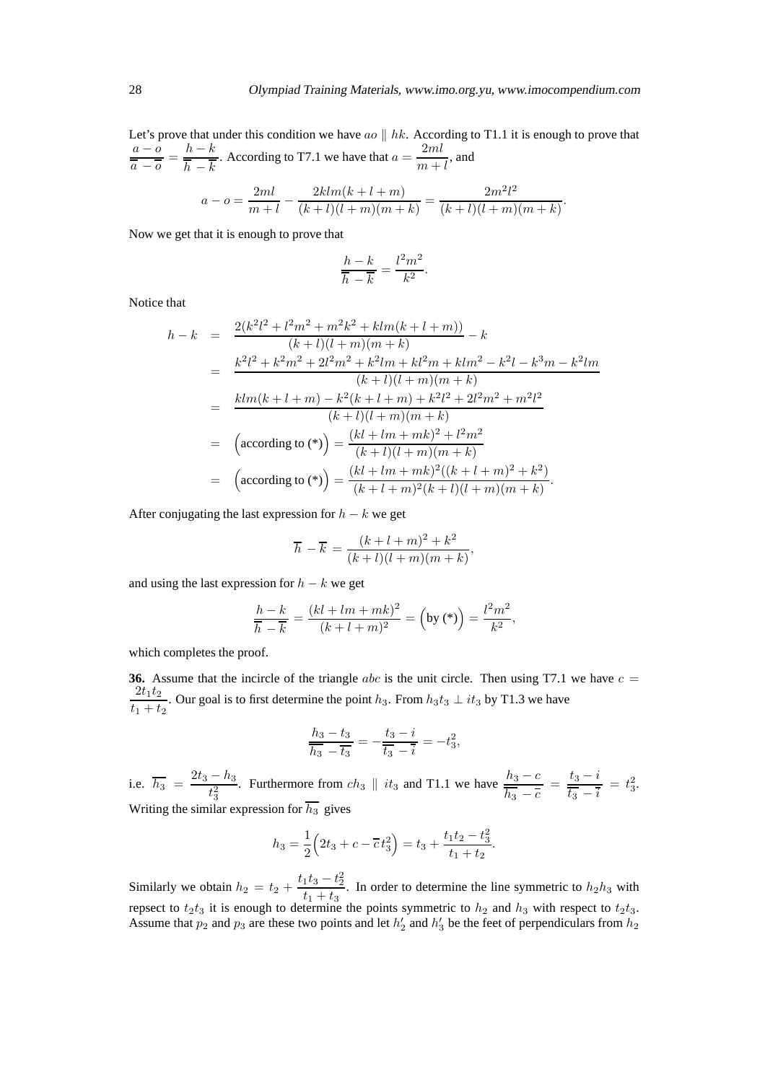Let's prove that under this condition we have  $ao \parallel hk$ . According to T1.1 it is enough to prove that  $a - o$  $\frac{a - b}{\overline{a} - \overline{b}} = \frac{h - k}{\overline{h} - \overline{k}}$  $|h - k$ . According to T7.1 we have that  $a = \frac{2ml}{r}$  $\frac{2mc}{m+l}$ , and

$$
a - o = \frac{2ml}{m+l} - \frac{2klm(k+l+m)}{(k+l)(l+m)(m+k)} = \frac{2m^2l^2}{(k+l)(l+m)(m+k)}.
$$

Now we get that it is enough to prove that

$$
\frac{h-k}{\overline{h}-\overline{k}} = \frac{l^2m^2}{k^2}.
$$

Notice that

$$
h - k = \frac{2(k^2l^2 + l^2m^2 + m^2k^2 + klm(k+l+m))}{(k+l)(l+m)(m+k)} - k
$$
  
\n
$$
= \frac{k^2l^2 + k^2m^2 + 2l^2m^2 + k^2lm + kl^2m + klm^2 - k^2l - k^3m - k^2lm}{(k+l)(l+m)(m+k)}
$$
  
\n
$$
= \frac{klm(k+l+m) - k^2(k+l+m) + k^2l^2 + 2l^2m^2 + m^2l^2}{(k+l)(l+m)(m+k)}
$$
  
\n
$$
= \left(\operatorname{according to (*)}\right) = \frac{(kl+lm+mk)^2 + l^2m^2}{(k+l)(l+m)(m+k)}
$$
  
\n
$$
= \left(\operatorname{according to (*)}\right) = \frac{(kl+lm+mk)^2((k+l+m)^2+k^2)}{(k+l+m)^2(k+l)(l+m)(m+k)}.
$$

After conjugating the last expression for  $h - k$  we get

$$
\overline{h} - \overline{k} = \frac{(k+l+m)^2 + k^2}{(k+l)(l+m)(m+k)},
$$

and using the last expression for  $h - k$  we get

$$
\frac{h-k}{\overline{h}-\overline{k}} = \frac{(kl+lm+mk)^2}{(k+l+m)^2} = \left(\text{by (*)}\right) = \frac{l^2m^2}{k^2},
$$

which completes the proof.

**36.** Assume that the incircle of the triangle abc is the unit circle. Then using T7.1 we have  $c =$  $2t_1t_2$  $\frac{1}{t_1 + t_2}$ . Our goal is to first determine the point  $h_3$ . From  $h_3t_3 \perp it_3$  by T1.3 we have

$$
\frac{h_3 - t_3}{\overline{h_3} - \overline{t_3}} = -\frac{t_3 - i}{\overline{t_3} - \overline{i}} = -t_3^2,
$$

i.e.  $\overline{h_3} = \frac{2t_3 - h_3}{4}$  $\frac{-h_3}{t_3^2}$ . Furthermore from  $ch_3 \parallel it_3$  and T1.1 we have  $\frac{h_3 - c}{\overline{h_3} - \overline{c}} = \frac{t_3 - i}{\overline{t_3} - \overline{i}}$  $\frac{t_3 - t}{t_3 - \bar{t}} = t_3^2.$ Writing the similar expression for  $\overline{h_3}$  gives

$$
h_3 = \frac{1}{2} \left( 2t_3 + c - \overline{c}t_3^2 \right) = t_3 + \frac{t_1t_2 - t_3^2}{t_1 + t_2}.
$$

Similarly we obtain  $h_2 = t_2 + \frac{t_1t_3 - t_2^2}{t_1 + t_2}$  $\frac{1}{t_1 + t_3}$ . In order to determine the line symmetric to  $h_2 h_3$  with repsect to  $t_2t_3$  it is enough to determine the points symmetric to  $h_2$  and  $h_3$  with respect to  $t_2t_3$ . Assume that  $p_2$  and  $p_3$  are these two points and let  $h'_2$  and  $h'_3$  be the feet of perpendiculars from  $h_2$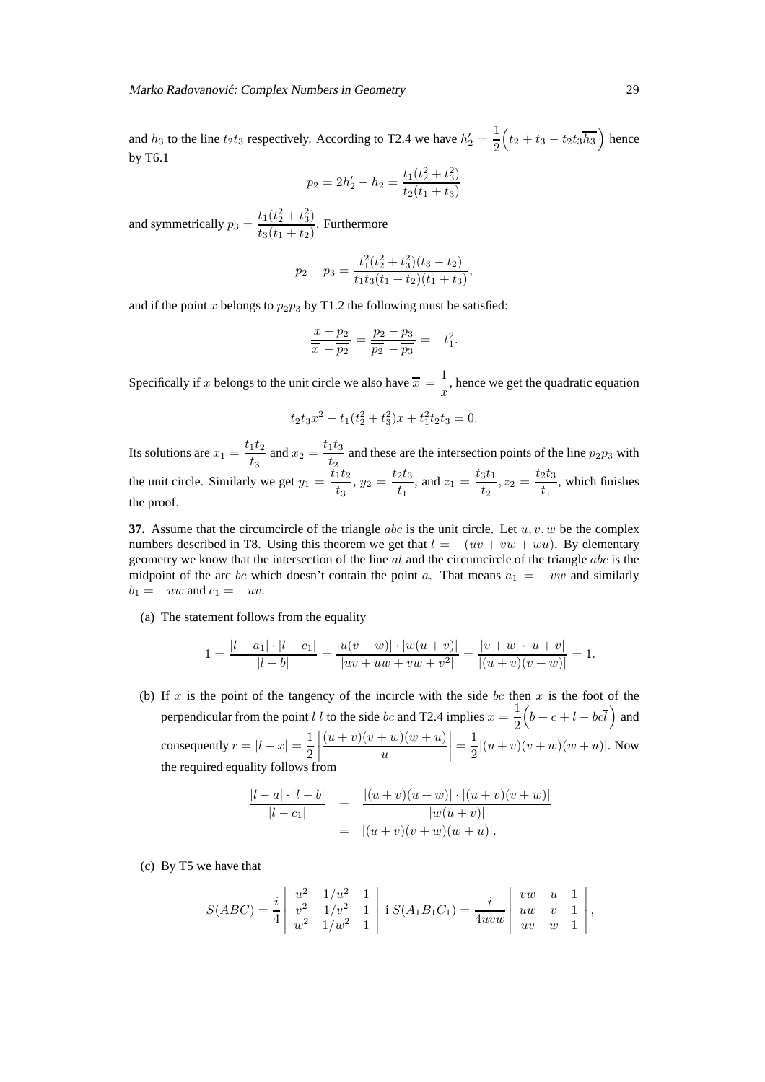Marko Radovanović: Complex Numbers in Geometry 29

and  $h_3$  to the line  $t_2t_3$  respectively. According to T2.4 we have  $h'_2 = \frac{1}{2}$ 2  $\left(t_2+t_3-t_2t_3\overline{h_3}\right)$  hence by T6.1

$$
p_2 = 2h'_2 - h_2 = \frac{t_1(t_2^2 + t_3^2)}{t_2(t_1 + t_3)}
$$

and symmetrically  $p_3 = \frac{t_1(t_2^2 + t_3^2)}{t_1(t_1 + t_2)}$  $\frac{t_1(t_2 + t_3)}{t_3(t_1 + t_2)}$ . Furthermore

$$
p_2 - p_3 = \frac{t_1^2(t_2^2 + t_3^2)(t_3 - t_2)}{t_1 t_3(t_1 + t_2)(t_1 + t_3)},
$$

and if the point x belongs to  $p_2p_3$  by T1.2 the following must be satisfied:

$$
\frac{x-p_2}{\overline{x}-\overline{p_2}} = \frac{p_2-p_3}{\overline{p_2}-\overline{p_3}} = -t_1^2.
$$

Specifically if x belongs to the unit circle we also have  $\bar{x} = \frac{1}{x}$  $\frac{1}{x}$ , hence we get the quadratic equation

$$
t_2t_3x^2 - t_1(t_2^2 + t_3^2)x + t_1^2t_2t_3 = 0.
$$

Its solutions are  $x_1 = \frac{t_1 t_2}{t_1}$  $\frac{1}{t_3}$  and  $x_2 = \frac{t_1 t_3}{t_2}$  $\frac{1}{2}$  and these are the intersection points of the line  $p_2p_3$  with the unit circle. Similarly we get  $y_1 = \frac{\bar{t_1} t_2}{t_1}$  $\frac{1}{t_3}t_2, y_2 = \frac{t_2t_3}{t_1}$  $\frac{2t_3}{t_1}$ , and  $z_1 = \frac{t_3t_1}{t_2}$  $\frac{3t_1}{t_2}, z_2 = \frac{t_2t_3}{t_1}$  $t_1^{20}$ , which finishes the proof.

**37.** Assume that the circumcircle of the triangle abc is the unit circle. Let  $u, v, w$  be the complex numbers described in T8. Using this theorem we get that  $l = -(uv + vw + wu)$ . By elementary geometry we know that the intersection of the line  $al$  and the circumcircle of the triangle  $abc$  is the midpoint of the arc bc which doesn't contain the point a. That means  $a_1 = -vw$  and similarly  $b_1 = -uw$  and  $c_1 = -uv$ .

(a) The statement follows from the equality

$$
1 = \frac{|l - a_1| \cdot |l - c_1|}{|l - b|} = \frac{|u(v + w)| \cdot |w(u + v)|}{|uv + uw + vw + v^2|} = \frac{|v + w| \cdot |u + v|}{|(u + v)(v + w)|} = 1.
$$

(b) If  $x$  is the point of the tangency of the incircle with the side  $bc$  then  $x$  is the foot of the perpendicular from the point l l to the side bc and T2.4 implies  $x = \frac{1}{2}$ 2  $\left(b+c+l-bc\overline{l}\right)$  and consequently  $r = |l - x| = \frac{1}{2}$ 2  $\begin{array}{c} \n\end{array}$  $(u + v)(v + w)(w + u)$ u  $=\frac{1}{2}$  $\frac{1}{2} |(u+v)(v+w)(w+u)|$ . Now the required equality follows from

$$
\frac{|l-a|\cdot|l-b|}{|l-c_1|} = \frac{|(u+v)(u+w)|\cdot|(u+v)(v+w)|}{|w(u+v)|}
$$
  
=  $|(u+v)(v+w)(w+u)|$ .

(c) By T5 we have that

$$
S(ABC) = \frac{i}{4} \begin{vmatrix} u^2 & 1/u^2 & 1 \\ v^2 & 1/v^2 & 1 \\ w^2 & 1/w^2 & 1 \end{vmatrix} \mathbf{i} S(A_1B_1C_1) = \frac{i}{4uvw} \begin{vmatrix} vw & u & 1 \\ uw & v & 1 \\ uv & w & 1 \end{vmatrix},
$$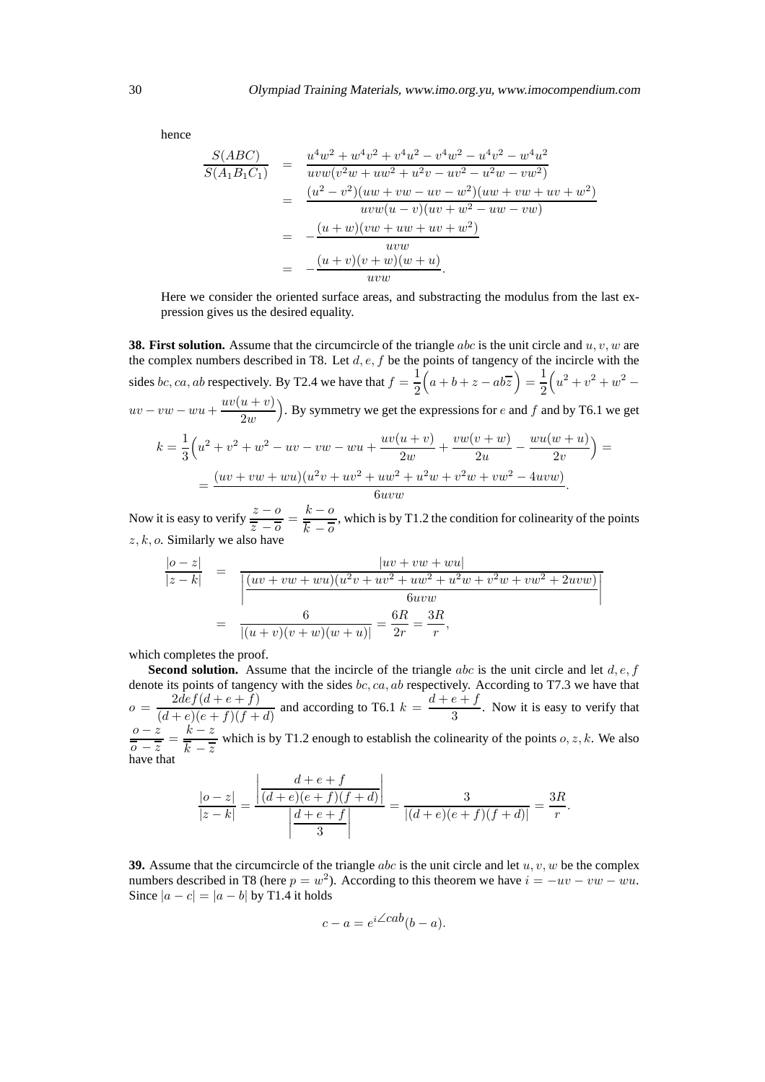hence

$$
\frac{S(ABC)}{S(A_1B_1C_1)} = \frac{u^4w^2 + w^4v^2 + v^4u^2 - v^4w^2 - u^4v^2 - w^4u^2}{uvw(v^2w + uw^2 + u^2v - uv^2 - u^2w - vw^2)}
$$
  
\n
$$
= \frac{(u^2 - v^2)(uw + vw - uv - w^2)(uw + vw + uv + w^2)}{uvw(u - v)(uv + w^2 - uw - vw)}
$$
  
\n
$$
= -\frac{(u + w)(vw + uw + uv^2)}{uvw}
$$
  
\n
$$
= -\frac{(u + v)(v + w)(w + u)}{uvw}
$$

Here we consider the oriented surface areas, and substracting the modulus from the last expression gives us the desired equality.

**38. First solution.** Assume that the circumcircle of the triangle abc is the unit circle and  $u, v, w$  are the complex numbers described in T8. Let  $d, e, f$  be the points of tangency of the incircle with the sides bc, ca, ab respectively. By T2.4 we have that  $f = \frac{1}{2}$ 2  $\overline{\left(a+b+z-ab\overline{z}\right)}=\frac{1}{2}$ 2  $\left(u^2+v^2+w^2- \right)$  $uv - vw - wu + \frac{uv(u + v)}{2w}$  $2w$ ). By symmetry we get the expressions for  $e$  and  $f$  and by T6.1 we get

$$
k = \frac{1}{3} \left( u^2 + v^2 + w^2 - uv - vw - wu + \frac{uv(u+v)}{2w} + \frac{vw(v+w)}{2u} - \frac{wu(w+u)}{2v} \right) =
$$
  
= 
$$
\frac{(uv + vw + wu)(u^2v + uv^2 + uw^2 + u^2w + v^2w + vw^2 - 4uvw)}{6uvw}.
$$

Now it is easy to verify  $\frac{z - 0}{z - 0}$  $\frac{\overline{z} - \overline{o}}{\overline{z} - \overline{o}} = \frac{k - \overline{o}}{\overline{k} - \overline{o}}$  $k-\overline{0}$ , which is by T1.2 the condition for colinearity of the points  $z, k, o$ . Similarly we also have

$$
\frac{|v-z|}{|z-k|} = \frac{|uv + vw + wu|}{\left|\frac{(uv + vw + wu)(u^2v + uv^2 + uw^2 + u^2w + v^2w + vw^2 + 2uvw)}{6uvw}\right|}
$$
  
= 
$$
\frac{6}{|(u+v)(v+w)(w+u)|} = \frac{6R}{2r} = \frac{3R}{r},
$$

which completes the proof.

**Second solution.** Assume that the incircle of the triangle abc is the unit circle and let  $d, e, f$ denote its points of tangency with the sides bc,  $ca$ ,  $ab$  respectively. According to T7.3 we have that  $o = \frac{2def(d+e+f)}{(d+e+f)(d+e+f)}$  $\frac{2def(d+e+f)}{(d+e)(e+f)(f+d)}$  and according to T6.1  $k = \frac{d+e+f}{3}$  $\frac{3}{3}$ . Now it is easy to verify that  $\overline{o-z}$  $\frac{0-z}{0-z} = \frac{k-z}{k-\overline{z}}$  $k - \overline{z}$ which is by T1.2 enough to establish the colinearity of the points  $o, z, k$ . We also have that

$$
\frac{|o-z|}{|z-k|} = \frac{\left| \frac{d+e+f}{(d+e)(e+f)(f+d)} \right|}{\left| \frac{d+e+f}{3} \right|} = \frac{3}{|(d+e)(e+f)(f+d)|} = \frac{3R}{r}.
$$

**39.** Assume that the circumcircle of the triangle abc is the unit circle and let  $u, v, w$  be the complex numbers described in T8 (here  $p = w^2$ ). According to this theorem we have  $i = -uv - vw - wu$ . Since  $|a - c| = |a - b|$  by T1.4 it holds

$$
c - a = e^{i \angle cab}(b - a).
$$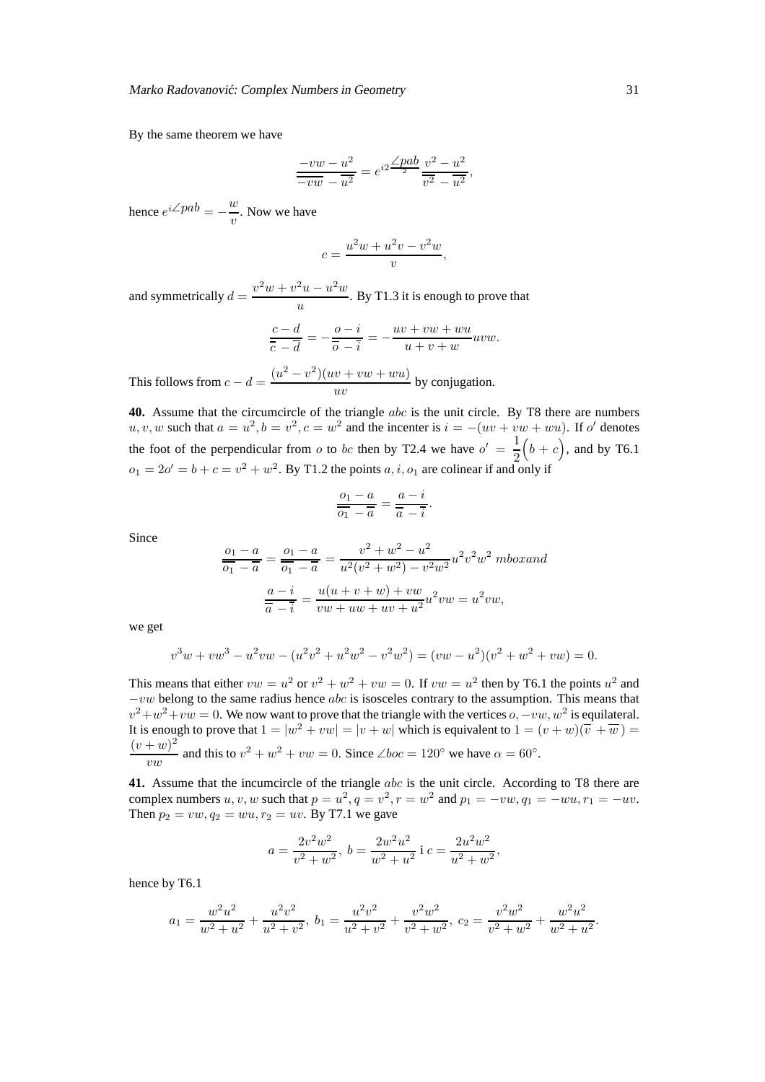By the same theorem we have

$$
\frac{-vw - u^2}{-vw - u^2} = e^{i2} \frac{\angle pab}{2} \frac{v^2 - u^2}{v^2 - u^2},
$$

hence  $e^{i\angle pab} = -\frac{w}{w}$  $\frac{w}{v}$ . Now we have

$$
c = \frac{u^2w + u^2v - v^2w}{v},
$$

and symmetrically  $d = \frac{v^2w + v^2u - u^2w}{u^2}$  $\frac{u}{u}$ . By T1.3 it is enough to prove that

$$
\frac{c-d}{\overline{c}-\overline{d}}=-\frac{o-i}{\overline{o}-\overline{i}}=-\frac{uv+vw+wu}{u+v+w}uvw.
$$

This follows from  $c - d = \frac{(u^2 - v^2)(uv + vw + wu)}{uv}$  $\frac{dv + v \omega + w \omega}{uv}$  by conjugation.

**40.** Assume that the circumcircle of the triangle abc is the unit circle. By T8 there are numbers  $u, v, w$  such that  $a = u^2, b = v^2, c = w^2$  and the incenter is  $i = -(uv + vw + wu)$ . If o' denotes the foot of the perpendicular from o to bc then by T2.4 we have  $o' = \frac{1}{2}$ 2  $(b + c)$ , and by T6.1  $o_1 = 2o' = b + c = v^2 + w^2$ . By T1.2 the points  $a, i, o_1$  are colinear if and only if

$$
\frac{o_1 - a}{\overline{o_1} - \overline{a}} = \frac{a - i}{\overline{a} - \overline{i}}
$$

.

Since

$$
\frac{o_1 - a}{\overline{o_1} - \overline{a}} = \frac{o_1 - a}{\overline{o_1} - \overline{a}} = \frac{v^2 + w^2 - u^2}{u^2(v^2 + w^2) - v^2w^2}u^2v^2w^2 \text{ mbox} and
$$

$$
\frac{a - i}{\overline{a} - \overline{i}} = \frac{u(u + v + w) + vw}{vw + uw + u^2}u^2vw = u^2vw,
$$

we get

$$
v3w + vw3 - u2vw - (u2v2 + u2w2 - v2w2) = (vw - u2)(v2 + w2 + vw) = 0.
$$

This means that either  $vw = u^2$  or  $v^2 + w^2 + vw = 0$ . If  $vw = u^2$  then by T6.1 the points  $u^2$  and  $-vw$  belong to the same radius hence abc is isosceles contrary to the assumption. This means that  $v^2 + w^2 + vw = 0$ . We now want to prove that the triangle with the vertices  $o, -vw, w^2$  is equilateral. It is enough to prove that  $1 = |w^2 + vw| = |v + w|$  which is equivalent to  $1 = (v + w)(\overline{v} + \overline{w}) =$  $(v + w)^2$  $\frac{w}{vw}$  and this to  $v^2 + w^2 + vw = 0$ . Since  $\angle boc = 120^\circ$  we have  $\alpha = 60^\circ$ .

**41.** Assume that the incumcircle of the triangle abc is the unit circle. According to T8 there are complex numbers  $u, v, w$  such that  $p = u^2, q = v^2, r = w^2$  and  $p_1 = -vw, q_1 = -wu, r_1 = -uv$ . Then  $p_2 = vw, q_2 = wu, r_2 = uv$ . By T7.1 we gave

$$
a = \frac{2v^2w^2}{v^2 + w^2}, \ b = \frac{2w^2u^2}{w^2 + u^2} \text{ i } c = \frac{2u^2w^2}{u^2 + w^2},
$$

hence by T6.1

$$
a_1=\frac{w^2u^2}{w^2+u^2}+\frac{u^2v^2}{u^2+v^2},\ b_1=\frac{u^2v^2}{u^2+v^2}+\frac{v^2w^2}{v^2+w^2},\ c_2=\frac{v^2w^2}{v^2+w^2}+\frac{w^2u^2}{w^2+u^2}
$$

.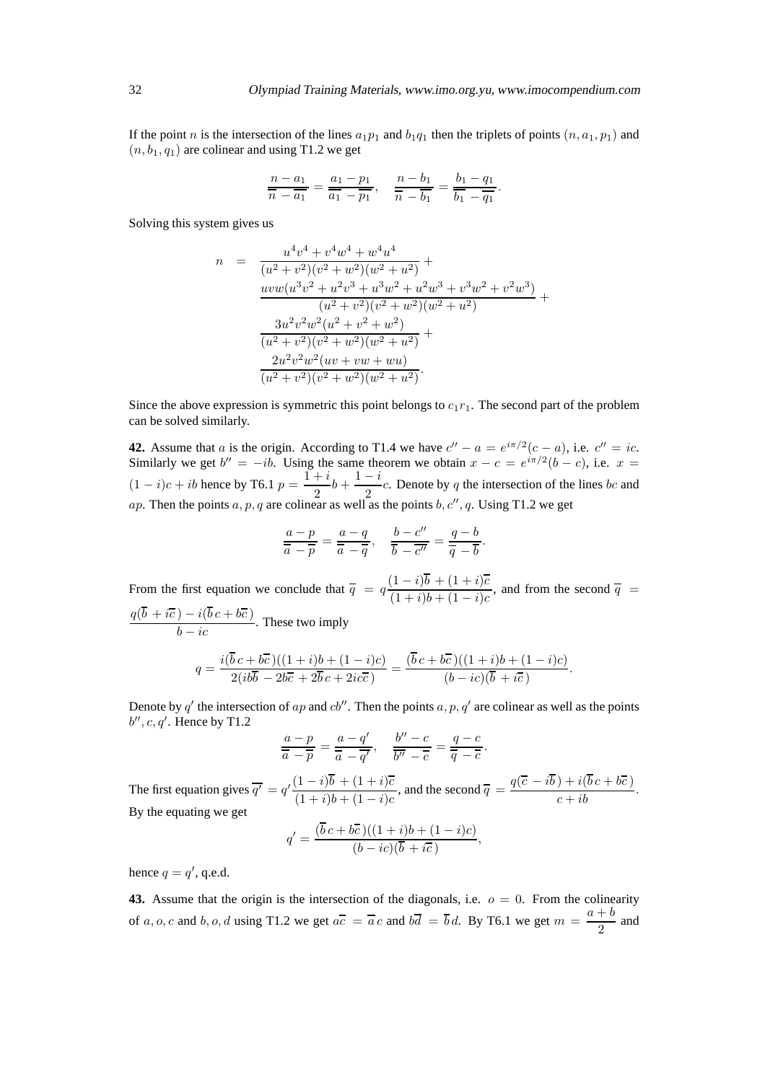If the point n is the intersection of the lines  $a_1p_1$  and  $b_1q_1$  then the triplets of points  $(n, a_1, p_1)$  and  $(n, b_1, q_1)$  are colinear and using T1.2 we get

$$
\frac{n-a_1}{n-a_1} = \frac{a_1 - p_1}{a_1 - p_1}, \quad \frac{n-b_1}{n-b_1} = \frac{b_1 - q_1}{b_1 - q_1}
$$

Solving this system gives us

$$
n = \frac{u^4v^4 + v^4w^4 + w^4u^4}{(u^2 + v^2)(v^2 + w^2)(w^2 + u^2)} +
$$
  
\n
$$
\frac{uvw(u^3v^2 + u^2v^3 + u^3w^2 + u^2w^3 + v^3w^2 + v^2w^3)}{(u^2 + v^2)(v^2 + w^2)(w^2 + u^2)} +
$$
  
\n
$$
\frac{3u^2v^2w^2(u^2 + v^2 + w^2)}{(u^2 + v^2)(v^2 + w^2)(w^2 + u^2)} +
$$
  
\n
$$
\frac{2u^2v^2w^2(uv + vw + wu)}{(u^2 + v^2)(v^2 + w^2)(w^2 + u^2)}.
$$

Since the above expression is symmetric this point belongs to  $c_1r_1$ . The second part of the problem can be solved similarly.

**42.** Assume that a is the origin. According to T1.4 we have  $c'' - a = e^{i\pi/2}(c - a)$ , i.e.  $c'' = ic$ . Similarly we get  $b'' = -ib$ . Using the same theorem we obtain  $x - c = e^{i\pi/2}(b - c)$ , i.e.  $x =$  $(1-i)c + ib$  hence by T6.1  $p = \frac{1+i}{2}$  $\frac{+i}{2}b + \frac{1-i}{2}$  $\frac{1}{2}$  c. Denote by q the intersection of the lines bc and ap. Then the points  $a, p, q$  are colinear as well as the points  $b, c'', q$ . Using T1.2 we get

$$
\frac{a-p}{\overline{a}-\overline{p}}=\frac{a-q}{\overline{a}-\overline{q}}, \quad \frac{b-c''}{\overline{b}-\overline{c''}}=\frac{q-b}{\overline{q}-\overline{b}}.
$$

From the first equation we conclude that  $\overline{q} = q \frac{(1-i)b + (1+i)c}{(1+i)(1-i)}$  $\frac{(1+i)\theta + (1+i)\theta}{(1+i)b + (1-i)c}$ , and from the second  $\overline{q}$  =  $q(b + i\overline{c}) - i(bc + b\overline{c})$  $\frac{b - i(c - 1)(b - 1)}{b - ic}$ . These two imply

$$
q = \frac{i(\overline{b}c + b\overline{c})((1+i)b + (1-i)c)}{2(i b\overline{b} - 2b\overline{c} + 2\overline{b}c + 2i c\overline{c})} = \frac{(\overline{b}c + b\overline{c})((1+i)b + (1-i)c)}{(b - ic)(\overline{b} + i\overline{c})}.
$$

Denote by  $q'$  the intersection of ap and  $cb''$ . Then the points  $a, p, q'$  are colinear as well as the points  $b'', c, q'$ . Hence by T1.2

$$
\frac{a-p}{\overline{a}-\overline{p}}=\frac{a-q'}{\overline{a}-\overline{q}'}, \quad \frac{b''-c}{\overline{b''}-\overline{c}}=\frac{q-c}{\overline{q}-\overline{c}}.
$$

The first equation gives  $\overline{q'} = q' \frac{(1-i)b + (1+i)\overline{c}}{(1-i)\overline{b} + (1-i)\overline{c}}$  $\frac{(1-i)b + (1+i)\overline{c}}{(1+i)b + (1-i)c}$ , and the second  $\overline{q} = \frac{q(\overline{c} - ib) + i(bc + b\overline{c})}{c + ib}$ . By the equating we get

$$
q' = \frac{(\overline{b}\,c + b\overline{c})((1+i)b + (1-i)c)}{(b - ic)(\overline{b} + i\overline{c})},
$$

hence  $q = q'$ , q.e.d.

**43.** Assume that the origin is the intersection of the diagonals, i.e.  $o = 0$ . From the colinearity of a, o, c and b, o, d using T1.2 we get  $a\overline{c} = \overline{a}c$  and  $b\overline{d} = \overline{b}d$ . By T6.1 we get  $m = \frac{a+b}{2}$  $\frac{1}{2}$  and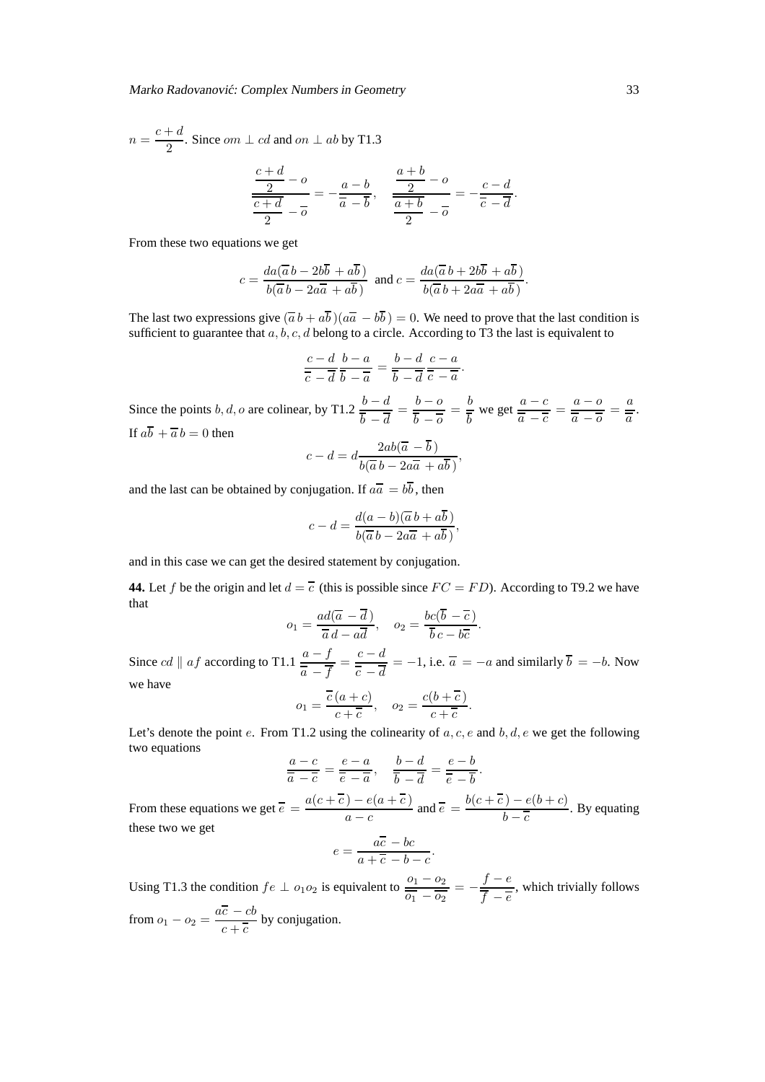$$
n = \frac{c+d}{2}
$$
. Since  $om \perp cd$  and  $on \perp ab$  by T1.3  

$$
\frac{c+d}{2} = 0
$$

$$
\frac{\frac{c+d}{2}-o}{\frac{c+d}{2}-\overline{o}}=-\frac{a-b}{\overline{a}-\overline{b}}, \quad \frac{\frac{a+b}{2}-o}{\frac{a+b}{2}-\overline{o}}=-\frac{c-d}{\overline{c}-\overline{d}}
$$

From these two equations we get

$$
c = \frac{da(\overline{a}\,b - 2b\overline{b} + a\overline{b})}{b(\overline{a}\,b - 2a\overline{a} + a\overline{b})} \text{ and } c = \frac{da(\overline{a}\,b + 2b\overline{b} + a\overline{b})}{b(\overline{a}\,b + 2a\overline{a} + a\overline{b})}.
$$

The last two expressions give  $(\overline{a} b + a\overline{b}) (a\overline{a} - b\overline{b}) = 0$ . We need to prove that the last condition is sufficient to guarantee that  $a, b, c, d$  belong to a circle. According to T3 the last is equivalent to

$$
\frac{c-d}{\overline{c}-\overline{d}}\frac{b-a}{\overline{b}-\overline{a}}=\frac{b-d}{\overline{b}-\overline{d}}\frac{c-a}{\overline{c}-\overline{a}}.
$$

Since the points b, d, o are colinear, by T1.2  $\frac{b-d}{b-a}$  $\frac{b-d}{\overline{b}-\overline{d}}=\frac{b-o}{\overline{b}-\overline{o}}$  $\frac{b - o}{\overline{b} - \overline{o}} = \frac{b}{\overline{b}}$ b we get  $\frac{a-c}{a}$  $\frac{a-c}{\overline{a}-\overline{c}}=\frac{a-o}{\overline{a}-\overline{o}}$  $\frac{a - b}{\overline{a} - \overline{b}} = \frac{a}{\overline{a}}$  $\frac{a}{\overline{a}}$ . If  $a\overline{b} + \overline{a} b = 0$  then

$$
c - d = d \frac{2ab(\overline{a} - b)}{b(\overline{a}b - 2a\overline{a} + a\overline{b})},
$$

and the last can be obtained by conjugation. If  $a\overline{a} = b\overline{b}$ , then

$$
c-d = \frac{d(a-b)(\overline{a}\,b + a\overline{b})}{b(\overline{a}\,b - 2a\overline{a} + a\overline{b})},
$$

and in this case we can get the desired statement by conjugation.

**44.** Let f be the origin and let  $d = \overline{c}$  (this is possible since  $FC = FD$ ). According to T9.2 we have that

$$
o_1 = \frac{ad(\overline{a} - \overline{d})}{\overline{a}d - a\overline{d}}, \quad o_2 = \frac{bc(\overline{b} - \overline{c})}{\overline{b}c - b\overline{c}}.
$$

Since *cd*  $\|af$  according to T1.1  $\frac{a-f}{\overline{a} - \overline{f}} = \frac{c-d}{\overline{c} - \overline{d}}$  $\frac{\partial}{\partial c} - \frac{\partial}{\partial d} = -1$ , i.e.  $\overline{a} = -a$  and similarly  $b = -b$ . Now we have

$$
o_1 = \frac{\overline{c}(a+c)}{c+\overline{c}}, \quad o_2 = \frac{c(b+\overline{c})}{c+\overline{c}}
$$

.

Let's denote the point e. From T1.2 using the colinearity of  $a, c, e$  and  $b, d, e$  we get the following two equations

$$
\frac{a-c}{\overline{a}-\overline{c}}=\frac{e-a}{\overline{e}-\overline{a}}, \quad \frac{b-d}{\overline{b}-\overline{d}}=\frac{e-b}{\overline{e}-\overline{b}}.
$$

From these equations we get  $\overline{e} = \frac{a(c + \overline{c}) - e(a + \overline{c})}{\overline{c}}$  $\frac{(-b)-e(a+\overline{c})}{a-c}$  and  $\overline{e} = \frac{b(c+\overline{c})-e(b+c)}{b-\overline{c}}$  $\frac{b}{b-c}$ . By equating these two we get

$$
e = \frac{a\overline{c} - bc}{a + \overline{c} - b - c}.
$$

Using T1.3 the condition  $fe \perp o_1 o_2$  is equivalent to  $\frac{o_1 - o_2}{\overline{o_1} - \overline{o_2}} = -\frac{f - e}{\overline{f} - \overline{e}}$  $f - e$ , which trivially follows from  $o_1 - o_2 = \frac{a\overline{c} - cb}{c + \overline{c}}$  $\frac{c}{c + c}$  by conjugation.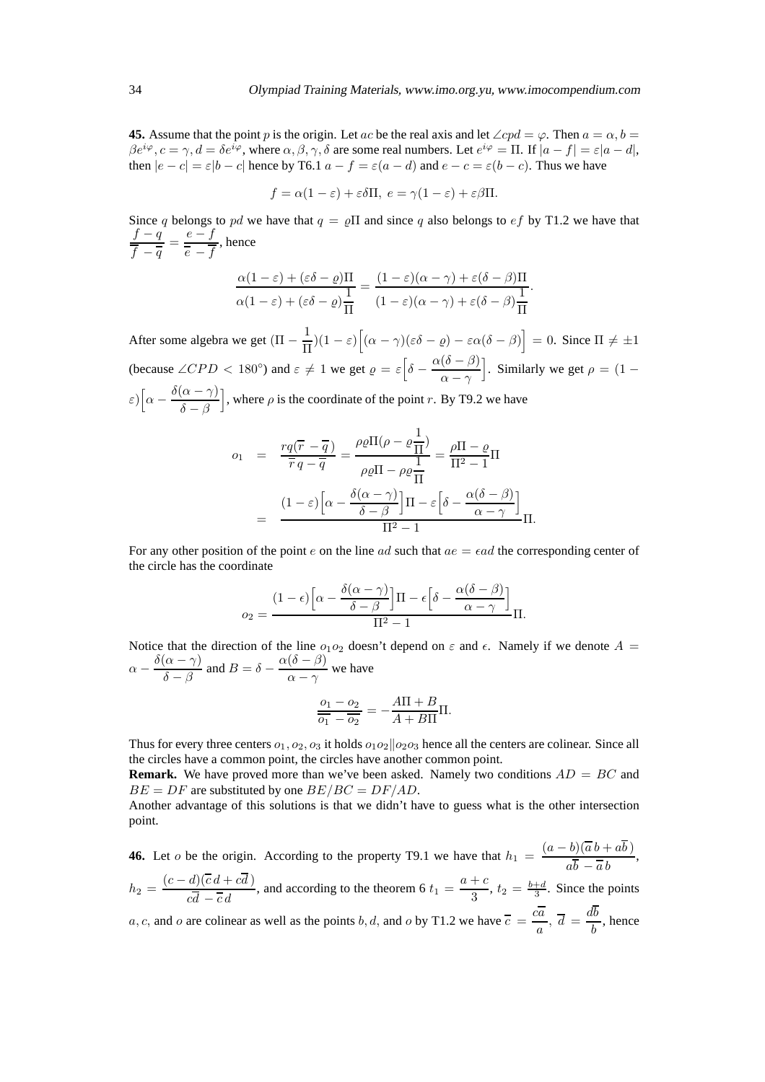**45.** Assume that the point p is the origin. Let ac be the real axis and let  $\angle cpd = \varphi$ . Then  $a = \alpha, b =$  $\beta e^{i\varphi}$ ,  $c = \gamma$ ,  $d = \delta e^{i\varphi}$ , where  $\alpha, \beta, \gamma, \delta$  are some real numbers. Let  $e^{i\varphi} = \Pi$ . If  $|a - f| = \varepsilon |a - d|$ , then  $|e - c| = \varepsilon |b - c|$  hence by T6.1  $a - f = \varepsilon (a - d)$  and  $e - c = \varepsilon (b - c)$ . Thus we have

$$
f = \alpha(1 - \varepsilon) + \varepsilon \delta \Pi, \ e = \gamma(1 - \varepsilon) + \varepsilon \beta \Pi.
$$

Since q belongs to pd we have that  $q = \rho \Pi$  and since q also belongs to  $ef$  by T1.2 we have that  $f - q$  $\frac{f-q}{\overline{f}-\overline{q}}=\frac{e-f}{\overline{e}-\overline{f}}$  $\overline{e} - f$ , hence

$$
\frac{\alpha(1-\varepsilon) + (\varepsilon \delta - \varrho)\Pi}{\alpha(1-\varepsilon) + (\varepsilon \delta - \varrho)\frac{1}{\Pi}} = \frac{(1-\varepsilon)(\alpha-\gamma) + \varepsilon(\delta-\beta)\Pi}{(1-\varepsilon)(\alpha-\gamma) + \varepsilon(\delta-\beta)\frac{1}{\Pi}}
$$

After some algebra we get  $(\Pi - \frac{1}{\Pi})$  $\frac{1}{\Pi}$ )(1 –  $\varepsilon$ ) $\left[ (\alpha - \gamma)(\varepsilon \delta - \varrho) - \varepsilon \alpha (\delta - \beta) \right] = 0$ . Since  $\Pi \neq \pm 1$ (because  $\angle CPD < 180^\circ$ ) and  $\varepsilon \neq 1$  we get  $\rho = \varepsilon \left[ \delta - \frac{\alpha(\delta - \beta)}{\alpha - \gamma} \right]$  $\alpha - \gamma$ . Similarly we get  $\rho = (1 - \mathbb{I})$  $\epsilon) \Big[ \alpha - \frac{\delta(\alpha-\gamma)}{\delta-\beta}$  $\delta - \beta$ , where  $\rho$  is the coordinate of the point r. By T9.2 we have

$$
o_1 = \frac{rq(\overline{r} - \overline{q})}{\overline{r}q - \overline{q}} = \frac{\rho \rho \Pi(\rho - \rho \frac{1}{\Pi})}{\rho \rho \Pi - \rho \rho \frac{1}{\Pi}} = \frac{\rho \Pi - \rho}{\Pi^2 - 1} \Pi
$$

$$
= \frac{(1 - \varepsilon) \left[ \alpha - \frac{\delta(\alpha - \gamma)}{\delta - \beta} \right] \Pi - \varepsilon \left[ \delta - \frac{\alpha(\delta - \beta)}{\alpha - \gamma} \right]}{\Pi^2 - 1} \Pi.
$$

For any other position of the point e on the line ad such that  $ae = \epsilon ad$  the corresponding center of the circle has the coordinate

$$
o_2 = \frac{(1-\epsilon)\left[\alpha - \frac{\delta(\alpha-\gamma)}{\delta-\beta}\right]\Pi - \epsilon\left[\delta - \frac{\alpha(\delta-\beta)}{\alpha-\gamma}\right]}{\Pi^2 - 1}\Pi.
$$

Notice that the direction of the line  $o_1o_2$  doesn't depend on  $\varepsilon$  and  $\epsilon$ . Namely if we denote  $A =$  $\alpha - \frac{\delta(\alpha - \gamma)}{\delta - \beta}$  $\frac{(\alpha - \gamma)}{\delta - \beta}$  and  $B = \delta - \frac{\alpha(\delta - \beta)}{\alpha - \gamma}$  $\frac{(\sigma - \beta)}{\alpha - \gamma}$  we have

$$
\frac{o_1 - o_2}{\overline{o_1} - \overline{o_2}} = -\frac{A\Pi + B}{A + B\Pi}\Pi.
$$

Thus for every three centers  $o_1, o_2, o_3$  it holds  $o_1o_2||o_2o_3$  hence all the centers are colinear. Since all the circles have a common point, the circles have another common point.

**Remark.** We have proved more than we've been asked. Namely two conditions  $AD = BC$  and  $BE = DF$  are substituted by one  $BE/BC = DF/AD$ .

Another advantage of this solutions is that we didn't have to guess what is the other intersection point.

**46.** Let *o* be the origin. According to the property T9.1 we have that  $h_1 = \frac{(a-b)(\overline{a}b + ab)}{\overline{b} - \overline{b}}$  $ab - \overline{a}b$ ,  $h_2 = \frac{(c-d)(\overline{c}d + cd)}{7}$ , and according to the theorem 6  $t_1 = \frac{a+c}{2}$ 

 $cd - \overline{c}d$  $\frac{1}{3}$ ,  $t_2 = \frac{b+d}{3}$ . Since the points

a, c, and o are colinear as well as the points b, d, and o by T1.2 we have  $\overline{c} = \frac{c\overline{a}}{c}$  $\frac{a}{a}$ ,  $\overline{d} = \frac{db}{b}$  $\frac{b}{b}$ , hence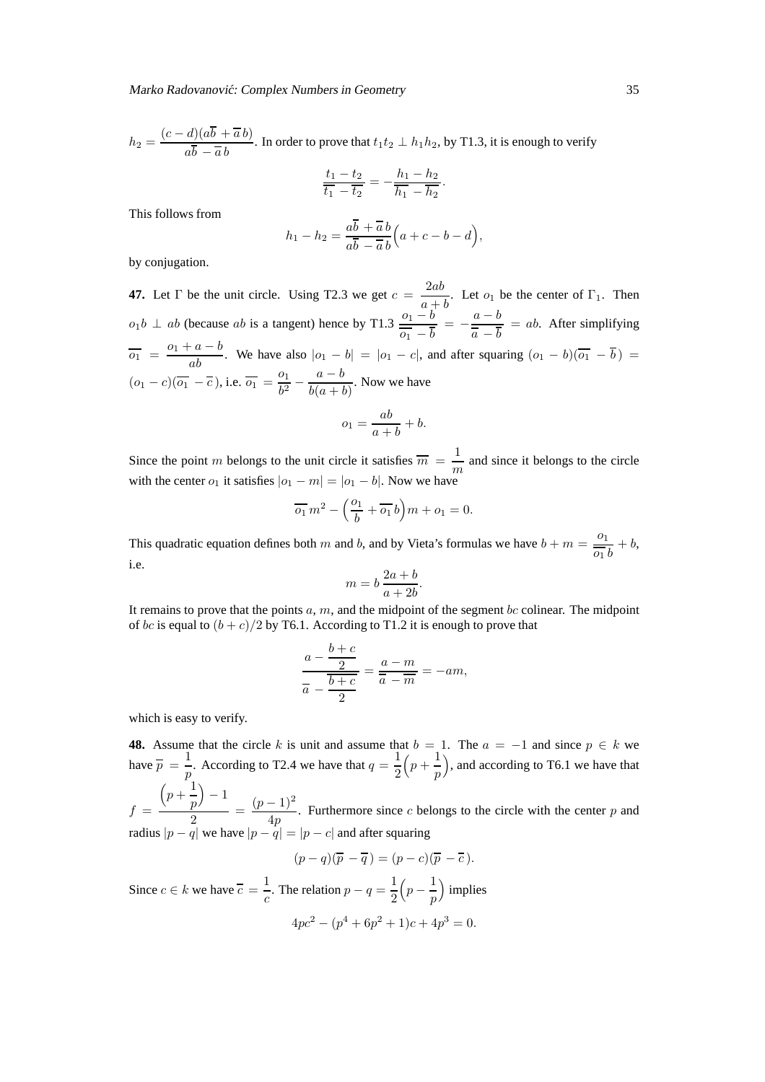$$
h_2 = \frac{(c-d)(a\overline{b} + \overline{a}b)}{a\overline{b} - \overline{a}b}
$$
. In order to prove that  $t_1t_2 \perp h_1h_2$ , by T1.3, it is enough to verify

$$
\frac{t_1 - t_2}{\overline{t_1} - \overline{t_2}} = -\frac{h_1 - h_2}{\overline{h_1} - \overline{h_2}}
$$

This follows from

$$
h_1 - h_2 = \frac{a\overline{b} + \overline{a}b}{a\overline{b} - \overline{a}b}\Big(a + c - b - d\Big),
$$

by conjugation.

**47.** Let  $\Gamma$  be the unit circle. Using T2.3 we get  $c = \frac{2ab}{\Gamma}$  $\frac{2ax}{a+b}$ . Let  $o_1$  be the center of  $\Gamma_1$ . Then  $o_1b \perp ab$  (because ab is a tangent) hence by T1.3  $\frac{o_1-b}{\overline{o_1}-\overline{b}} = -\frac{a-b}{\overline{a}-\overline{b}}$  $\overline{a} - b$  $=$  ab. After simplifying  $\overline{o_1} = \frac{o_1 + a - b}{ab}$ . We have also  $|o_1 - b| = |o_1 - c|$ , and after squaring  $(o_1 - b)(\overline{o_1} - \overline{b}) =$  $(o_1 - c)(\overline{o_1} - \overline{c})$ , i.e.  $\overline{o_1} = \frac{o_1}{h^2}$  $\frac{a-b}{b^2} - \frac{a-b}{b(a+l)}$  $\frac{a}{b(a + b)}$ . Now we have  $o_1 = \frac{ab}{a}$  $\frac{ab}{a+b}+b.$ 

Since the point m belongs to the unit circle it satisfies  $\overline{m} = \frac{1}{m}$  $\frac{1}{m}$  and since it belongs to the circle with the center  $o_1$  it satisfies  $|o_1 - m| = |o_1 - b|$ . Now we have

$$
\overline{o_1} m^2 - \left(\frac{o_1}{b} + \overline{o_1} b\right) m + o_1 = 0.
$$

This quadratic equation defines both m and b, and by Vieta's formulas we have  $b + m = \frac{0}{n}$  $\frac{\partial}{\partial y} + b$ , i.e.

$$
m = b \frac{2a+b}{a+2b}.
$$

It remains to prove that the points  $a, m$ , and the midpoint of the segment bc colinear. The midpoint of bc is equal to  $(b + c)/2$  by T6.1. According to T1.2 it is enough to prove that

$$
\frac{a - \frac{b + c}{2}}{\overline{a} - \frac{\overline{b} + c}{2}} = \frac{a - m}{\overline{a} - \overline{m}} = -am,
$$

which is easy to verify.

**48.** Assume that the circle k is unit and assume that  $b = 1$ . The  $a = -1$  and since  $p \in k$  we have  $\overline{p} = \frac{1}{n}$  $\frac{1}{p}$ . According to T2.4 we have that  $q = \frac{1}{2}$ 2  $\left(p + \frac{1}{n}\right)$ p ), and according to T6.1 we have that  $f =$  $\left(p+\frac{1}{\cdot}\right)$ p  $-1$  $\frac{p}{2} \frac{p-1}{2} = \frac{(p-1)^2}{4p}$  $\frac{1}{4p}$ . Furthermore since c belongs to the circle with the center p and

radius  $|p - q|$  we have  $|p - q| = |p - c|$  and after squaring

$$
(p-q)(\overline{p} - \overline{q}) = (p-c)(\overline{p} - \overline{c}).
$$

Since  $c \in k$  we have  $\overline{c} = \frac{1}{c}$  $\frac{1}{c}$ . The relation  $p - q = \frac{1}{2}$ 2  $\left(p-\frac{1}{n}\right)$ p implies  $4pc<sup>2</sup> - (p<sup>4</sup> + 6p<sup>2</sup> + 1)c + 4p<sup>3</sup> = 0.$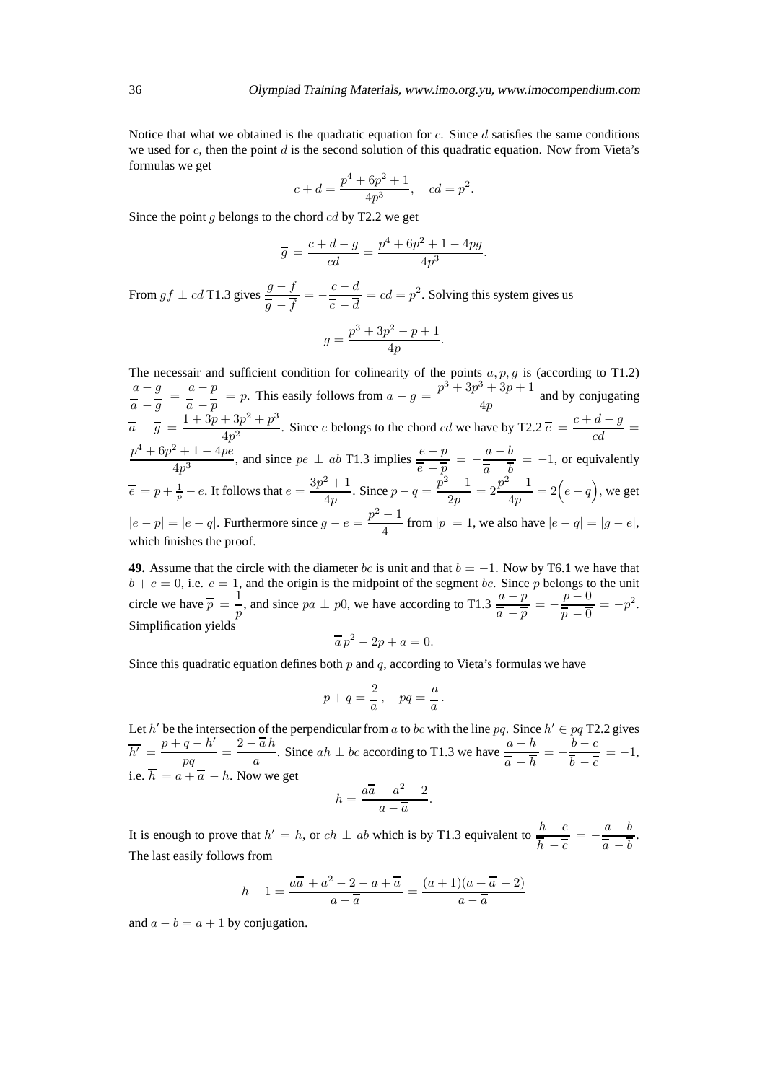Notice that what we obtained is the quadratic equation for c. Since  $d$  satisfies the same conditions we used for c, then the point d is the second solution of this quadratic equation. Now from Vieta's formulas we get

$$
c + d = \frac{p^4 + 6p^2 + 1}{4p^3}
$$
,  $cd = p^2$ .

Since the point g belongs to the chord  $cd$  by T2.2 we get

$$
\overline{g} = \frac{c+d-g}{cd} = \frac{p^4 + 6p^2 + 1 - 4pg}{4p^3}.
$$

From  $gf \perp cd$  T1.3 gives  $\frac{g - f}{\overline{g} - \overline{f}} = -\frac{c - d}{\overline{c} - \overline{d}}$  $\frac{\overline{c} - \overline{a}}{\overline{c} - \overline{d}} = cd = p^2$ . Solving this system gives us

$$
g = \frac{p^3 + 3p^2 - p + 1}{4p}.
$$

The necessair and sufficient condition for colinearity of the points  $a, p, g$  is (according to T1.2)  $a-g$  $\frac{a-g}{\overline{a} - \overline{g}} = \frac{a-p}{\overline{a} - \overline{p}}$  $\frac{a-p}{\overline{a} - \overline{p}} = p$ . This easily follows from  $a - g = \frac{p^3 + 3p^3 + 3p + 1}{4p}$  $\frac{4p}{4p}$  and by conjugating  $\overline{a} - \overline{g} = \frac{1 + 3p + 3p^2 + p^3}{4n^2}$  $\frac{(4+3p^2+p^3)}{4p^2}$ . Since *e* belongs to the chord *cd* we have by T2.2  $\overline{e} = \frac{c+d-g}{cd} =$  $p^4 + 6p^2 + 1 - 4pe$  $\frac{2+1-4pe}{4p^3}$ , and since  $pe \perp ab$  T1.3 implies  $\frac{e-p}{\overline{e-p}}$  $\frac{e-p}{\overline{e}-\overline{p}} = -\frac{a-b}{\overline{a}-\overline{b}} = -1$ , or equivalently  $\overline{a} - b$  $\overline{e} = p + \frac{1}{p} - e$ . It follows that  $e = \frac{3p^2 + 1}{4p}$  $\frac{p^2+1}{4p}$ . Since  $p - q = \frac{p^2-1}{2p}$  $rac{(-1)}{2p} = 2\frac{p^2-1}{4p}$  $\frac{q-1}{4p} = 2\Big(e-q\Big)$ , we get  $|e-p| = |e-q|$ . Furthermore since  $g - e = \frac{p^2 - 1}{4}$  $\frac{1}{4}$  from  $|p| = 1$ , we also have  $|e - q| = |g - e|$ , which finishes the proof.

**49.** Assume that the circle with the diameter bc is unit and that  $b = -1$ . Now by T6.1 we have that  $b + c = 0$ , i.e.  $c = 1$ , and the origin is the midpoint of the segment bc. Since p belongs to the unit circle we have  $\overline{p} = \frac{1}{n}$  $\frac{1}{p}$ , and since  $pa \perp p0$ , we have according to T1.3  $\frac{a-p}{\overline{a} - \overline{p}} = -\frac{p-0}{\overline{p} - \overline{0}}$  $\frac{p-\sigma}{\overline{p}-\overline{0}}=-p^2.$ Simplification yields

$$
\overline{a}p^2 - 2p + a = 0.
$$

Since this quadratic equation defines both  $p$  and  $q$ , according to Vieta's formulas we have

$$
p + q = \frac{2}{\overline{a}}, \quad pq = \frac{a}{\overline{a}}.
$$

Let h' be the intersection of the perpendicular from a to bc with the line pq. Since  $h' \in pq$  T2.2 gives  $\overline{h'} = \frac{p+q-h'}{h}$  $\frac{q-h'}{pq}=\frac{2-\overline{a}\,h}{a}$  $\frac{a}{a}$ . Since  $ah \perp bc$  according to T1.3 we have  $\frac{a-h}{\overline{a}-\overline{h}}$  $\frac{a-h}{\overline{a}-\overline{h}}=-\frac{b-c}{\overline{b}-\overline{c}}$  $\frac{\partial}{\partial b - \overline{c}} = -1,$ i.e.  $h = a + \overline{a} - h$ . Now we get

$$
h = \frac{a\overline{a} + a^2 - 2}{a - \overline{a}}.
$$

It is enough to prove that  $h' = h$ , or  $ch \perp ab$  which is by T1.3 equivalent to  $\frac{h-c}{\overline{h} - \overline{c}} = -\frac{a-b}{\overline{a} - \overline{b}}$  $\overline{a} - b$ . The last easily follows from

$$
h-1 = \frac{a\overline{a} + a^2 - 2 - a + \overline{a}}{a - \overline{a}} = \frac{(a+1)(a+\overline{a}-2)}{a-\overline{a}}
$$

and  $a - b = a + 1$  by conjugation.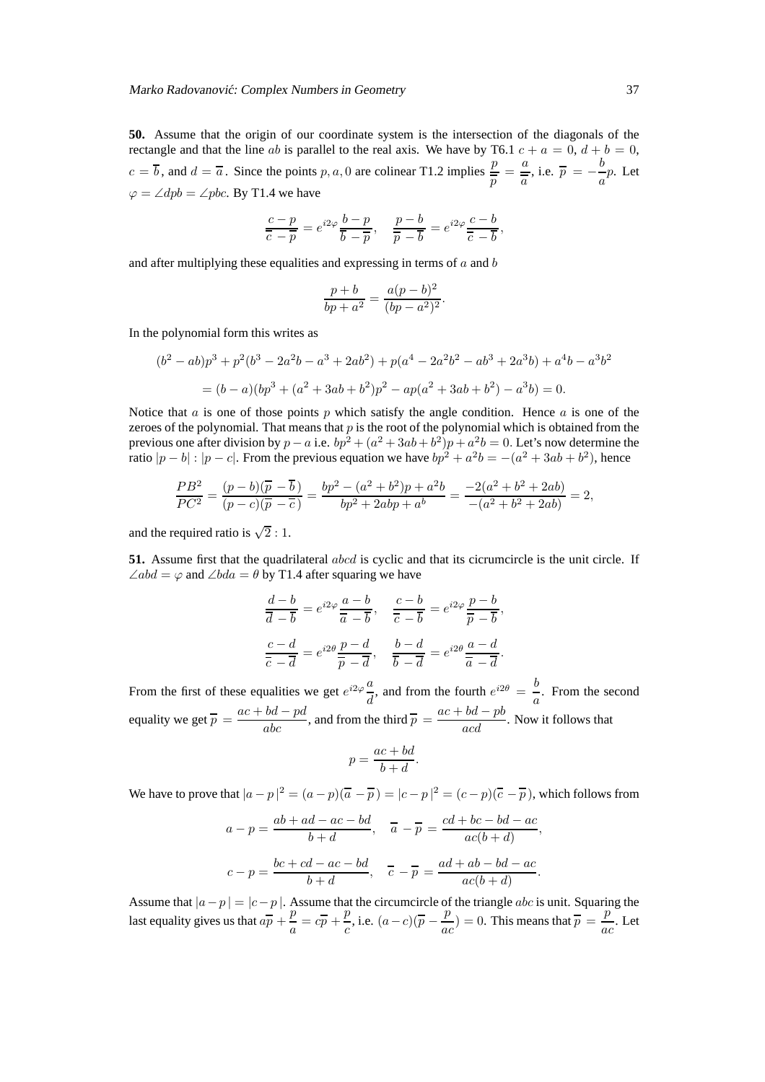**50.** Assume that the origin of our coordinate system is the intersection of the diagonals of the rectangle and that the line ab is parallel to the real axis. We have by T6.1  $c + a = 0$ ,  $d + b = 0$ ,  $c = \overline{b}$ , and  $d = \overline{a}$ . Since the points p, a, 0 are colinear T1.2 implies  $\frac{p}{\overline{p}} = \frac{a}{\overline{a}}$  $\frac{a}{\overline{a}}$ , i.e.  $\overline{p} = -\frac{b}{a}$  $\frac{a}{a}$ *p*. Let  $\varphi = \angle dpb = \angle pbc$ . By T1.4 we have

$$
\frac{c-p}{\overline{c}-\overline{p}} = e^{i2\varphi} \frac{b-p}{\overline{b}-\overline{p}}, \quad \frac{p-b}{\overline{p}-\overline{b}} = e^{i2\varphi} \frac{c-b}{\overline{c}-\overline{b}},
$$

and after multiplying these equalities and expressing in terms of  $a$  and  $b$ 

$$
\frac{p+b}{bp+a^2} = \frac{a(p-b)^2}{(bp-a^2)^2}.
$$

In the polynomial form this writes as

$$
(b2 – ab)p3 + p2(b3 – 2a2b – a3 + 2ab2) + p(a4 – 2a2b2 – ab3 + 2a3b) + a4b – a3b2
$$
  
= (b – a)(bp<sup>3</sup> + (a<sup>2</sup> + 3ab + b<sup>2</sup>)p<sup>2</sup> – ap(a<sup>2</sup> + 3ab + b<sup>2</sup>) – a<sup>3</sup>b) = 0.

Notice that  $\alpha$  is one of those points  $p$  which satisfy the angle condition. Hence  $\alpha$  is one of the zeroes of the polynomial. That means that  $p$  is the root of the polynomial which is obtained from the previous one after division by  $p - a$  i.e.  $bp^2 + (a^2 + 3ab + b^2)p + a^2b = 0$ . Let's now determine the ratio  $|p - b| : |p - c|$ . From the previous equation we have  $bp^2 + a^2b = -(a^2 + 3ab + b^2)$ , hence

$$
\frac{PB^2}{PC^2} = \frac{(p-b)(\overline{p}-\overline{b})}{(p-c)(\overline{p}-\overline{c})} = \frac{bp^2 - (a^2 + b^2)p + a^2b}{bp^2 + 2abp + a^b} = \frac{-2(a^2 + b^2 + 2ab)}{-(a^2 + b^2 + 2ab)} = 2,
$$

and the required ratio is  $\sqrt{2}$  : 1.

**51.** Assume first that the quadrilateral abcd is cyclic and that its cicrumcircle is the unit circle. If  $\angle abd = \varphi$  and  $\angle bda = \theta$  by T1.4 after squaring we have

$$
\frac{d-b}{\overline{d}-\overline{b}} = e^{i2\varphi} \frac{a-b}{\overline{a}-\overline{b}}, \quad \frac{c-b}{\overline{c}-\overline{b}} = e^{i2\varphi} \frac{p-b}{\overline{p}-\overline{b}},
$$

$$
\frac{c-d}{\overline{c}-\overline{d}} = e^{i2\theta} \frac{p-d}{\overline{p}-\overline{d}}, \quad \frac{b-d}{\overline{b}-\overline{d}} = e^{i2\theta} \frac{a-d}{\overline{a}-\overline{d}}.
$$

From the first of these equalities we get  $e^{i2\varphi} \frac{a}{\tau}$ , and from the fourth  $e^{i2\theta} = \frac{b}{\tau}$ . From the second  $d$ , and not the fourth  $a$ equality we get  $\overline{p} = \frac{ac + bd - pd}{abc}$ , and from the third  $\overline{p} = \frac{ac + bd - pb}{acd}$ . Now it follows that

$$
p = \frac{ac + bd}{b + d}.
$$

We have to prove that  $|a-p|^2 = (a-p)(\overline{a}-\overline{p}) = |c-p|^2 = (c-p)(\overline{c}-\overline{p})$ , which follows from

$$
a - p = \frac{ab + ad - ac - bd}{b + d}, \quad \overline{a} - \overline{p} = \frac{cd + bc - bd - ac}{ac(b + d)},
$$

$$
c - p = \frac{bc + cd - ac - bd}{b + d}, \quad \overline{c} - \overline{p} = \frac{ad + ab - bd - ac}{ac(b + d)}.
$$

Assume that  $|a-p| = |c-p|$ . Assume that the circumcircle of the triangle *abc* is unit. Squaring the last equality gives us that  $a\overline{p} + \frac{p}{q}$  $\frac{p}{a} = c\overline{p} + \frac{p}{c}$  $\frac{p}{c}$ , i.e.  $(a-c)(\overline{p} - \frac{p}{ac})$  $\frac{p}{ac}$ ) = 0. This means that  $\overline{p} = \frac{p}{ab}$  $\frac{P}{ac}$ . Let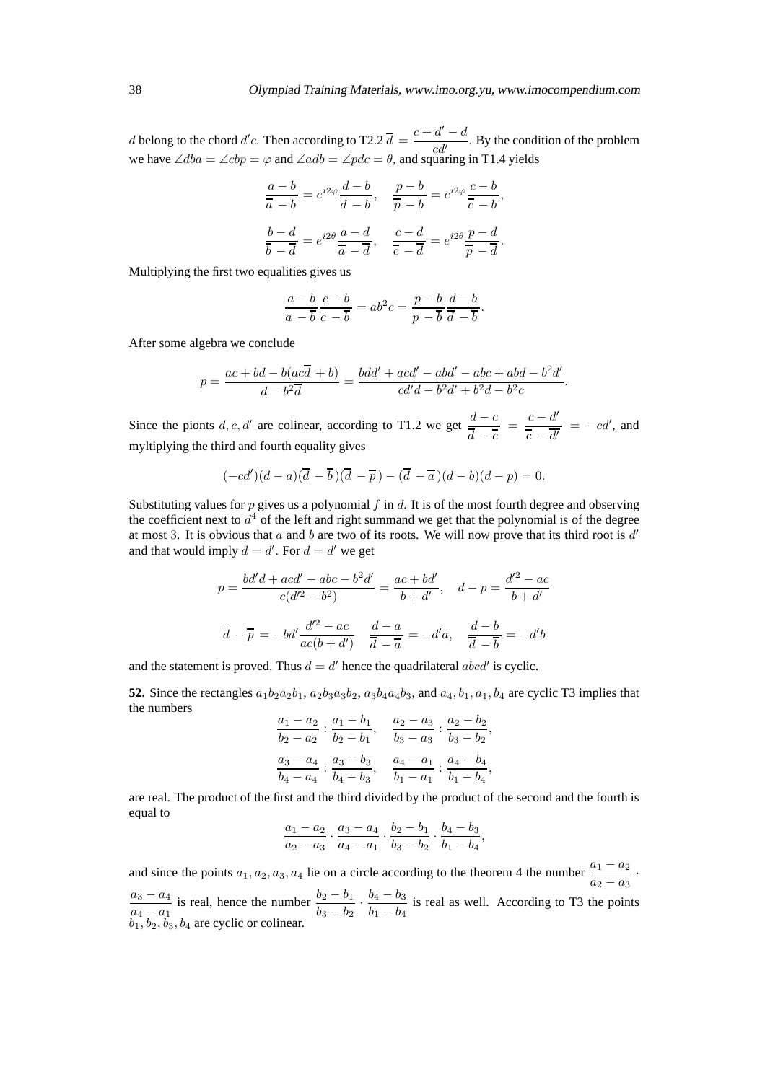*d* belong to the chord *d'c*. Then according to T2.2  $\overline{d} = \frac{c + d' - d}{d}$  $\frac{a}{c d'}$ . By the condition of the problem we have  $\angle dba = \angle cbp = \varphi$  and  $\angle adb = \angle pdc = \theta$ , and squaring in T1.4 yields

$$
\frac{a-b}{\overline{a}-\overline{b}} = e^{i2\varphi} \frac{d-b}{\overline{d}-\overline{b}}, \quad \frac{p-b}{\overline{p}-\overline{b}} = e^{i2\varphi} \frac{c-b}{\overline{c}-\overline{b}},
$$

$$
\frac{b-d}{\overline{b}-\overline{d}} = e^{i2\theta} \frac{a-d}{\overline{a}-\overline{d}}, \quad \frac{c-d}{\overline{c}-\overline{d}} = e^{i2\theta} \frac{p-d}{\overline{p}-\overline{d}}.
$$

Multiplying the first two equalities gives us

$$
\frac{a-b}{\overline{a}-\overline{b}}\frac{c-b}{\overline{c}-\overline{b}}=ab^2c=\frac{p-b}{\overline{p}-\overline{b}}\frac{d-b}{\overline{d}-\overline{b}}.
$$

After some algebra we conclude

$$
p = \frac{ac + bd - b(ac\overline{d} + b)}{d - b^2\overline{d}} = \frac{bdd' + acd' - abd' - abc + abd - b^2d'}{cd'd - b^2d' + b^2d - b^2c}.
$$

Since the pionts d, c, d' are colinear, according to T1.2 we get  $\frac{d-c}{d}$  $\frac{d-c}{\overline{d}-\overline{c}} = \frac{c-d'}{\overline{c}-\overline{d'}}$  $\frac{\overline{c} - \overline{d'}}{\overline{c} - \overline{d'}} = -cd', \text{ and}$ myltiplying the third and fourth equality gives

$$
(-cd')(d-a)(\overline{d}-\overline{b})(\overline{d}-\overline{p}) - (\overline{d}-\overline{a})(d-b)(d-p) = 0.
$$

Substituting values for  $p$  gives us a polynomial  $f$  in  $d$ . It is of the most fourth degree and observing the coefficient next to  $d^4$  of the left and right summand we get that the polynomial is of the degree at most 3. It is obvious that  $a$  and  $b$  are two of its roots. We will now prove that its third root is  $d'$ and that would imply  $d = d'$ . For  $d = d'$  we get

$$
p = \frac{bd'd + acd' - abc - b^2d'}{c(d'^2 - b^2)} = \frac{ac + bd'}{b + d'}, \quad d - p = \frac{d'^2 - ac}{b + d'}
$$

$$
\overline{d} - \overline{p} = -bd'\frac{d'^2 - ac}{ac(b + d')} \quad \frac{d - a}{\overline{d} - \overline{a}} = -d'a, \quad \frac{d - b}{\overline{d} - \overline{b}} = -d'b
$$

and the statement is proved. Thus  $d = d'$  hence the quadrilateral abcd' is cyclic.

**52.** Since the rectangles  $a_1b_2a_2b_1$ ,  $a_2b_3a_3b_2$ ,  $a_3b_4a_4b_3$ , and  $a_4$ ,  $b_1$ ,  $a_1$ ,  $b_4$  are cyclic T3 implies that the numbers

$$
\frac{a_1 - a_2}{b_2 - a_2} : \frac{a_1 - b_1}{b_2 - b_1}, \quad \frac{a_2 - a_3}{b_3 - a_3} : \frac{a_2 - b_2}{b_3 - b_2},
$$

$$
\frac{a_3 - a_4}{b_4 - a_4} : \frac{a_3 - b_3}{b_4 - b_3}, \quad \frac{a_4 - a_1}{b_1 - a_1} : \frac{a_4 - b_4}{b_1 - b_4},
$$

are real. The product of the first and the third divided by the product of the second and the fourth is equal to

$$
\frac{a_1 - a_2}{a_2 - a_3} \cdot \frac{a_3 - a_4}{a_4 - a_1} \cdot \frac{b_2 - b_1}{b_3 - b_2} \cdot \frac{b_4 - b_3}{b_1 - b_4},
$$

and since the points  $a_1, a_2, a_3, a_4$  lie on a circle according to the theorem 4 the number  $\frac{a_1 - a_2}{a_2 - a_3}$ .  $a_2 - a_3$  $a_3 - a_4$  $a_4 - a_1$ is real, hence the number  $\frac{b_2 - b_1}{b_2 - b_1}$  $\frac{b_2 - b_1}{b_3 - b_2} \cdot \frac{b_4 - b_3}{b_1 - b_4}$  $\frac{b_4 - b_3}{b_1 - b_4}$  is real as well. According to T3 the points  $b_1, b_2, b_3, b_4$  are cyclic or colinear.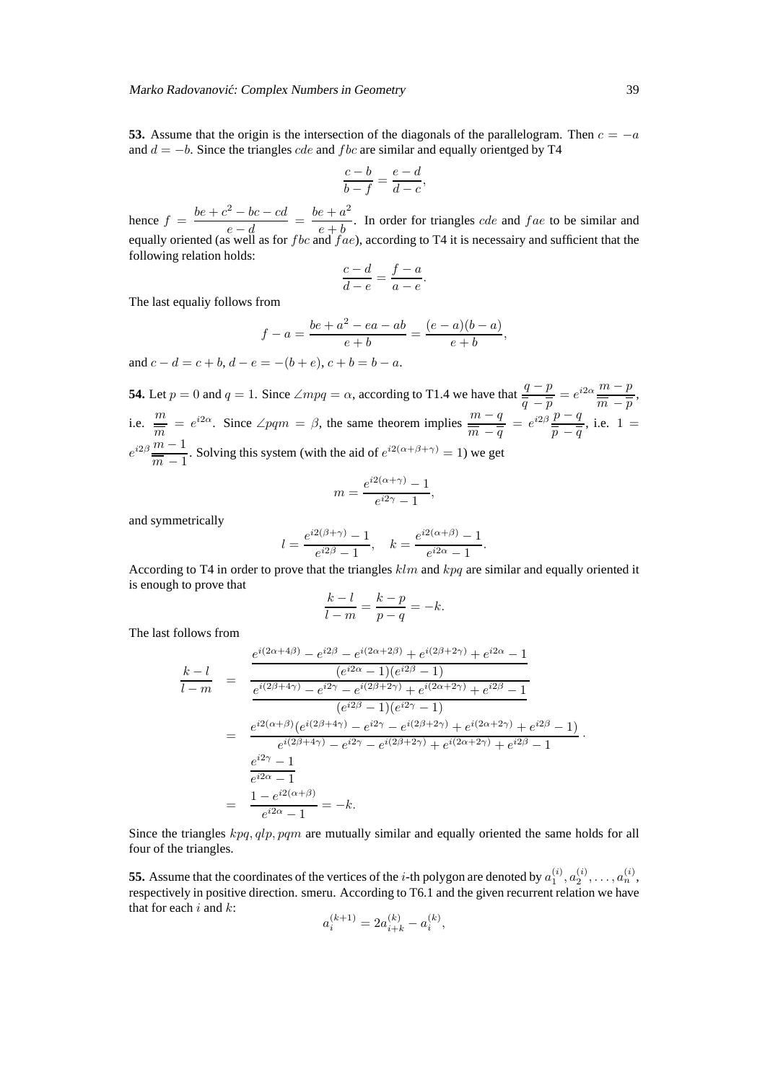**53.** Assume that the origin is the intersection of the diagonals of the parallelogram. Then  $c = -a$ and  $d = -b$ . Since the triangles *cde* and *fbc* are similar and equally orientged by T4

$$
\frac{c-b}{b-f} = \frac{e-d}{d-c},
$$

hence  $f = \frac{be + c^2 - bc - cd}{l}$  $\frac{e^2 - bc - cd}{e - d} = \frac{be + a^2}{e + b}$  $\frac{e+u}{e+b}$ . In order for triangles *cde* and *fae* to be similar and equally oriented (as well as for fbc and  $fae$ ), according to T4 it is necessairy and sufficient that the following relation holds:

$$
\frac{c-d}{d-e} = \frac{f-a}{a-e}.
$$

The last equaliy follows from

$$
f - a = \frac{be + a^2 - ea - ab}{e + b} = \frac{(e - a)(b - a)}{e + b},
$$

and  $c - d = c + b$ ,  $d - e = -(b + e)$ ,  $c + b = b - a$ .

**54.** Let  $p = 0$  and  $q = 1$ . Since  $\angle m p q = \alpha$ , according to T1.4 we have that  $\frac{q - p}{q - q}$  $\frac{q-p}{q} = e^{i2\alpha} \frac{m-p}{m-p}$  $\frac{\overline{m}}{\overline{m}-\overline{p}},$ i.e.  $\frac{m}{m} = e^{i2\alpha}$ . Since  $\angle pqm = \beta$ , the same theorem implies  $\frac{m-q}{\overline{m}-q}$  $\frac{m-q}{\overline{m}-\overline{q}} = e^{i2\beta}\frac{p-q}{\overline{p}-\overline{q}}$  $\frac{p}{\overline{p}-\overline{q}}$ , i.e. 1 =  $e^{i2\beta} \frac{m-1}{n}$  $\frac{m}{m-1}$ . Solving this system (with the aid of  $e^{i2(\alpha+\beta+\gamma)} = 1$ ) we get

$$
m = \frac{e^{i2(\alpha + \gamma)} - 1}{e^{i2\gamma} - 1},
$$

and symmetrically

$$
l = \frac{e^{i2(\beta + \gamma)} - 1}{e^{i2\beta} - 1}, \quad k = \frac{e^{i2(\alpha + \beta)} - 1}{e^{i2\alpha} - 1}.
$$

According to T4 in order to prove that the triangles  $klm$  and  $kpq$  are similar and equally oriented it is enough to prove that

$$
\frac{k-l}{l-m} = \frac{k-p}{p-q} = -k.
$$

The last follows from

$$
\frac{k-l}{l-m} = \frac{\frac{e^{i(2\alpha+4\beta)} - e^{i2\beta} - e^{i(2\alpha+2\beta)} + e^{i(2\beta+2\gamma)} + e^{i2\alpha} - 1}{(e^{i2\alpha} - 1)(e^{i2\beta} - 1)}
$$
\n
$$
= \frac{\frac{e^{i(2\beta+4\gamma)} - e^{i2\gamma} - e^{i(2\beta+2\gamma)} + e^{i(2\alpha+2\gamma)} + e^{i2\beta} - 1}{(e^{i2\beta} - 1)(e^{i2\gamma} - 1)}
$$
\n
$$
= \frac{e^{i2(\alpha+\beta)}(e^{i(2\beta+4\gamma)} - e^{i2\gamma} - e^{i(2\beta+2\gamma)} + e^{i(2\alpha+2\gamma)} + e^{i2\beta} - 1)}{e^{i(2\beta+4\gamma)} - e^{i2\gamma} - e^{i(2\beta+2\gamma)} + e^{i(2\alpha+2\gamma)} + e^{i2\beta} - 1}
$$
\n
$$
\frac{e^{i2\gamma} - 1}{e^{i2\alpha} - 1}
$$
\n
$$
= \frac{1 - e^{i2(\alpha+\beta)}}{e^{i2\alpha} - 1} = -k.
$$

Since the triangles  $kpq$ ,  $qlp$ ,  $pqm$  are mutually similar and equally oriented the same holds for all four of the triangles.

**55.** Assume that the coordinates of the vertices of the *i*-th polygon are denoted by  $a_1^{(i)}$ ,  $a_2^{(i)}$ , ...,  $a_n^{(i)}$ , respectively in positive direction. smeru. According to T6.1 and the given recurrent relation we have that for each  $i$  and  $k$ :

$$
a_i^{(k+1)} = 2a_{i+k}^{(k)} - a_i^{(k)},
$$

·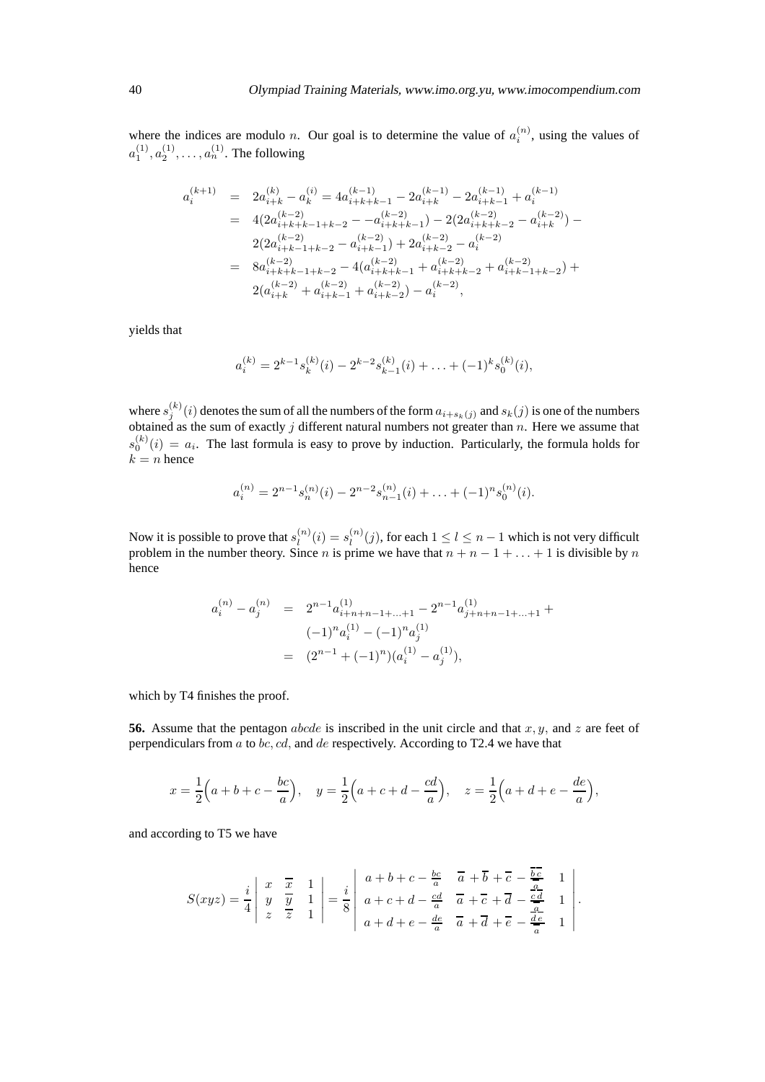where the indices are modulo *n*. Our goal is to determine the value of  $a_i^{(n)}$ , using the values of  $a_1^{(1)}, a_2^{(1)}, \ldots, a_n^{(1)}.$  The following

$$
\begin{array}{lcl} a_i^{(k+1)} & = & 2a_{i+k}^{(k)}-a_k^{(i)} = 4a_{i+k+k-1}^{(k-1)}-2a_{i+k}^{(k-1)}-2a_{i+k-1}^{(k-1)}+a_i^{(k-1)} \\ \\ & = & 4(2a_{i+k+k-1+k-2}^{(k-2)}-a_{i+k+k-1}^{(k-2)})-2(2a_{i+k+k-2}^{(k-2)}-a_{i+k}^{(k-2)})- \\ & & 2(2a_{i+k-1+k-2}^{(k-2)}-a_{i+k-1}^{(k-2)})+2a_{i+k-2}^{(k-2)}-a_i^{(k-2)} \\ \\ & = & 8a_{i+k+2+1+k-2}^{(k-2)}-4(a_{i+k+k-1}^{(k-2)}+a_{i+k+k-2}^{(k-2)}+a_{i+k-1+k-2}^{(k-2)})+ \\ & & 2(a_{i+k}^{(k-2)}+a_{i+k-1}^{(k-2)}+a_{i+k-2}^{(k-2)})-a_i^{(k-2)}, \end{array}
$$

yields that

$$
a_i^{(k)} = 2^{k-1} s_k^{(k)}(i) - 2^{k-2} s_{k-1}^{(k)}(i) + \ldots + (-1)^k s_0^{(k)}(i),
$$

where  $s_j^{(k)}(i)$  denotes the sum of all the numbers of the form  $a_{i+s_k}(j)$  and  $s_k(j)$  is one of the numbers obtained as the sum of exactly  $j$  different natural numbers not greater than  $n$ . Here we assume that  $s_0^{(k)}(i) = a_i$ . The last formula is easy to prove by induction. Particularly, the formula holds for  $k = n$  hence

$$
a_i^{(n)} = 2^{n-1} s_n^{(n)}(i) - 2^{n-2} s_{n-1}^{(n)}(i) + \ldots + (-1)^n s_0^{(n)}(i).
$$

Now it is possible to prove that  $s_l^{(n)}$  $l_1^{(n)}(i) = s_l^{(n)}$  $\binom{n}{l}(j)$ , for each  $1 \leq l \leq n-1$  which is not very difficult problem in the number theory. Since *n* is prime we have that  $n + n - 1 + \ldots + 1$  is divisible by *n* hence

$$
a_i^{(n)} - a_j^{(n)} = 2^{n-1} a_{i+n+n-1+\dots+1}^{(1)} - 2^{n-1} a_{j+n+n-1+\dots+1}^{(1)} +
$$
  

$$
(-1)^n a_i^{(1)} - (-1)^n a_j^{(1)}
$$
  

$$
= (2^{n-1} + (-1)^n)(a_i^{(1)} - a_j^{(1)}),
$$

which by T4 finishes the proof.

**56.** Assume that the pentagon *abcde* is inscribed in the unit circle and that  $x, y$ , and  $z$  are feet of perpendiculars from  $a$  to  $bc, cd$ , and  $de$  respectively. According to T2.4 we have that

$$
x = \frac{1}{2}(a+b+c-\frac{bc}{a}), \quad y = \frac{1}{2}(a+c+d-\frac{cd}{a}), \quad z = \frac{1}{2}(a+d+e-\frac{de}{a}),
$$

and according to T5 we have

$$
S(xyz) = \frac{i}{4} \begin{vmatrix} x & \overline{x} & 1 \\ y & \overline{y} & 1 \\ z & \overline{z} & 1 \end{vmatrix} = \frac{i}{8} \begin{vmatrix} a+b+c-\frac{bc}{a} & \overline{a}+\overline{b}+\overline{c}-\frac{bc}{a} & 1 \\ a+c+d-\frac{cd}{a} & \overline{a}+\overline{c}+\overline{d}-\frac{cd}{a} & 1 \\ a+d+e-\frac{de}{a} & \overline{a}+\overline{d}+\overline{e}-\frac{de}{a} & 1 \end{vmatrix}
$$

.

L.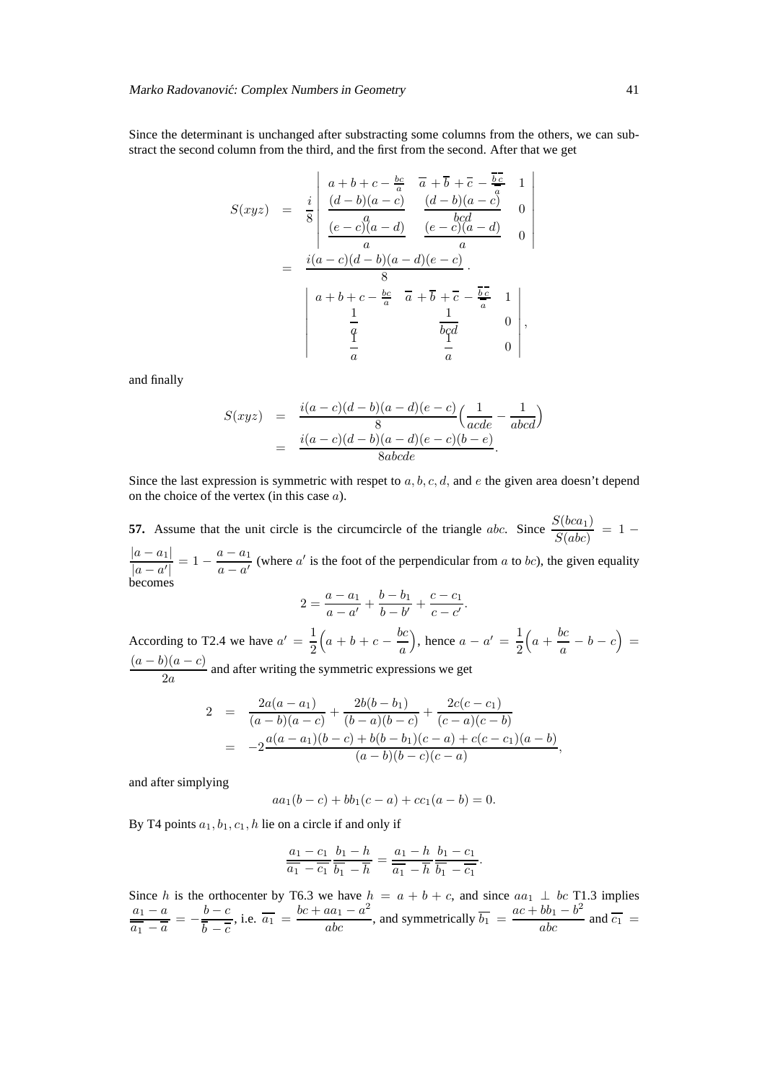Since the determinant is unchanged after substracting some columns from the others, we can substract the second column from the third, and the first from the second. After that we get

$$
S(xyz) = \frac{i}{8} \begin{vmatrix} a+b+c-\frac{bc}{a} & \overline{a}+\overline{b}+\overline{c}-\frac{\overline{bc}}{a} & 1 \\ \frac{(d-b)(a-c)}{(e-c)(a-d)} & \frac{(d-b)(a-c)}{bcd} & 0 \\ \frac{(e-c)(a-d)}{a} & \frac{(e-c)(a-d)}{a} & 0 \end{vmatrix}
$$
  
= 
$$
\frac{i(a-c)(d-b)(a-d)(e-c)}{8}.
$$

$$
\begin{vmatrix} a+b+c-\frac{bc}{a} & \overline{a}+\overline{b}+\overline{c}-\frac{\overline{bc}}{a} & 1 \\ \frac{1}{a} & \frac{1}{bcd} & 0 \\ \frac{1}{a} & \frac{1}{a} & 0 \end{vmatrix},
$$

and finally

$$
S(xyz) = \frac{i(a-c)(d-b)(a-d)(e-c)}{8} \left(\frac{1}{acde} - \frac{1}{abcd}\right)
$$
  
=  $\frac{i(a-c)(d-b)(a-d)(e-c)(b-e)}{8abcde}$ .

Since the last expression is symmetric with respet to  $a, b, c, d$ , and e the given area doesn't depend on the choice of the vertex (in this case a).

**57.** Assume that the unit circle is the circumcircle of the triangle *abc*. Since  $\frac{S(bca_1)}{S(abc)} = 1 |a - a_1|$  $\frac{|a-a_1|}{|a-a'|} = 1 - \frac{a-a_1}{a-a'}$  $\frac{a-a_1}{a-a'}$  (where a' is the foot of the perpendicular from a to bc), the given equality becomes

$$
2 = \frac{a - a_1}{a - a'} + \frac{b - b_1}{b - b'} + \frac{c - c_1}{c - c'}.
$$

According to T2.4 we have  $a' = \frac{1}{2}$ 2  $\left(a+b+c-\frac{bc}{a}\right)$ a ), hence  $a - a' = \frac{1}{2}$ 2  $\left(a + \frac{bc}{a}\right)$  $\frac{bc}{a} - b - c$  =  $(a - b)(a - c)$  $\frac{2a}{2a}$  and after writing the symmetric expressions we get

$$
2 = \frac{2a(a-a_1)}{(a-b)(a-c)} + \frac{2b(b-b_1)}{(b-a)(b-c)} + \frac{2c(c-c_1)}{(c-a)(c-b)}
$$
  
= 
$$
-2\frac{a(a-a_1)(b-c) + b(b-b_1)(c-a) + c(c-c_1)(a-b)}{(a-b)(b-c)(c-a)},
$$

and after simplying

$$
aa_1(b-c) + bb_1(c-a) + cc_1(a-b) = 0.
$$

By T4 points  $a_1, b_1, c_1, h$  lie on a circle if and only if

$$
\frac{a_1 - c_1}{\overline{a_1} - \overline{c_1}} \frac{b_1 - h}{\overline{b_1} - \overline{h}} = \frac{a_1 - h}{\overline{a_1} - \overline{h}} \frac{b_1 - c_1}{\overline{b_1} - \overline{c_1}}.
$$

Since h is the orthocenter by T6.3 we have  $h = a + b + c$ , and since  $aa_1 \perp bc$  T1.3 implies  $a_1 - a$  $\frac{a_1 - a}{\overline{a_1} - \overline{a}} = -\frac{b - c}{\overline{b} - \overline{c}}$  $b - \overline{c}$ , i.e.  $\overline{a_1} = \frac{bc + aa_1 - a^2}{abc}$ , and symmetrically  $\overline{b_1} = \frac{ac + bb_1 - b^2}{abc}$  and  $\overline{c_1} = \frac{bc + aa_1 - a^2}{abc}$ 

 $\overline{\phantom{a}}$  $\overline{\phantom{a}}$  $\overline{\phantom{a}}$  $\overline{\phantom{a}}$  $\overline{\phantom{a}}$  $\overline{\phantom{a}}$  $\overline{\phantom{a}}$  $\overline{\phantom{a}}$  $\overline{\phantom{a}}$  $\overline{\phantom{a}}$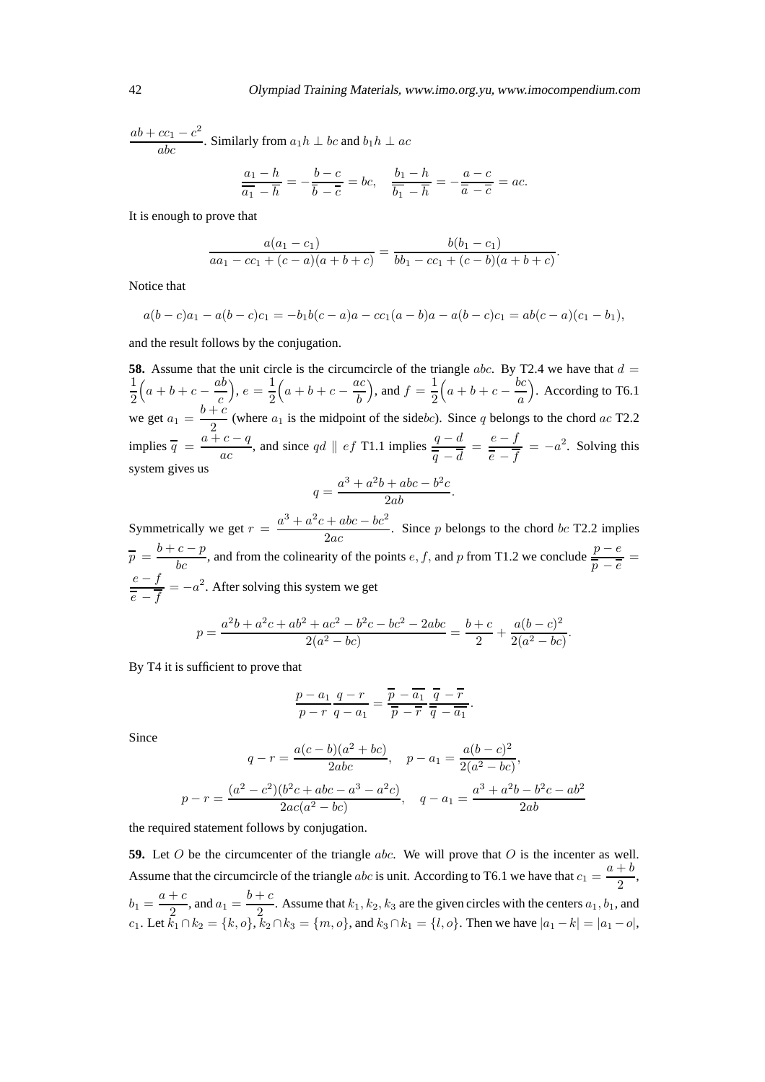$$
\frac{ab + cc_1 - c^2}{abc}
$$
. Similarly from  $a_1h \perp bc$  and  $b_1h \perp ac$ 

$$
\frac{a_1 - h}{\overline{a_1} - \overline{h}} = -\frac{b - c}{\overline{b} - \overline{c}} = bc, \quad \frac{b_1 - h}{\overline{b_1} - \overline{h}} = -\frac{a - c}{\overline{a} - \overline{c}} = ac.
$$

It is enough to prove that

$$
\frac{a(a_1-c_1)}{aa_1-cc_1+(c-a)(a+b+c)}=\frac{b(b_1-c_1)}{bb_1-cc_1+(c-b)(a+b+c)}.
$$

Notice that

$$
a(b-c)a_1 - a(b-c)c_1 = -b_1b(c-a)a - cc_1(a-b)a - a(b-c)c_1 = ab(c-a)(c_1-b_1),
$$

and the result follows by the conjugation.

**58.** Assume that the unit circle is the circumcircle of the triangle abc. By T2.4 we have that  $d =$ 1 2  $\left(a+b+c-\frac{ab}{c}\right)$ c  $\Big), e=\frac{1}{2}$ 2  $\left(a+b+c-\frac{ac}{b}\right)$ b ), and  $f = \frac{1}{2}$ 2  $\left(a+b+c-\frac{bc}{a}\right)$ a ). According to T6.1 we get  $a_1 = \frac{b+c}{2}$  $\frac{1}{2}$  (where  $a_1$  is the midpoint of the sidebc). Since q belongs to the chord ac T2.2 implies  $\overline{q} = \frac{a+c-q}{q}$  $rac{c-q}{ac}$ , and since qd  $||$  ef T1.1 implies  $rac{q-d}{\overline{q}-\overline{d}} = \frac{e-f}{\overline{e}-\overline{f}}$  $\frac{e - f}{\overline{e} - \overline{f}}$  =  $-a^2$ . Solving this system gives us 2 2

$$
q = \frac{a^3 + a^2b + abc - b^2c}{2ab}.
$$

Symmetrically we get  $r = \frac{a^3 + a^2c + abc - bc^2}{2}$  $\frac{1}{2ac}$ . Since p belongs to the chord bc T2.2 implies  $\overline{p} = \frac{b+c-p}{bc}$ , and from the colinearity of the points e, f, and p from T1.2 we conclude  $\frac{p-e}{\overline{p}-\overline{e}}$  $e - f$  $\frac{e - f}{\overline{e} - \overline{f}} = -a^2$ . After solving this system we get

$$
p = \frac{a^2b + a^2c + ab^2 + ac^2 - b^2c - bc^2 - 2abc}{2(a^2 - bc)} = \frac{b+c}{2} + \frac{a(b-c)^2}{2(a^2 - bc)}.
$$

By T4 it is sufficient to prove that

$$
\frac{p-a_1}{p-r}\frac{q-r}{q-a_1} = \frac{\overline{p}-\overline{a_1}}{\overline{p}-\overline{r}}\frac{\overline{q}-\overline{r}}{\overline{q}-\overline{a_1}}.
$$

Since

$$
q - r = \frac{a(c - b)(a^{2} + bc)}{2abc}, \quad p - a_{1} = \frac{a(b - c)^{2}}{2(a^{2} - bc)},
$$

$$
p - r = \frac{(a^{2} - c^{2})(b^{2}c + abc - a^{3} - a^{2}c)}{2ac(a^{2} - bc)}, \quad q - a_{1} = \frac{a^{3} + a^{2}b - b^{2}c - ab^{2}}{2ab}
$$

the required statement follows by conjugation.

**59.** Let O be the circumcenter of the triangle abc. We will prove that O is the incenter as well. Assume that the circumcircle of the triangle *abc* is unit. According to T6.1 we have that  $c_1 = \frac{a+b}{2}$  $\frac{1}{2}$ ,  $b_1 = \frac{a+c}{2}$  $\frac{c}{2}$ , and  $a_1 = \frac{b+c}{2}$  $\frac{1}{2}$ . Assume that  $k_1, k_2, k_3$  are the given circles with the centers  $a_1, b_1$ , and c<sub>1</sub>. Let  $k_1 \cap k_2 = \{k, o\}$ ,  $k_2 \cap k_3 = \{m, o\}$ , and  $k_3 \cap k_1 = \{l, o\}$ . Then we have  $|a_1 - k| = |a_1 - o|$ ,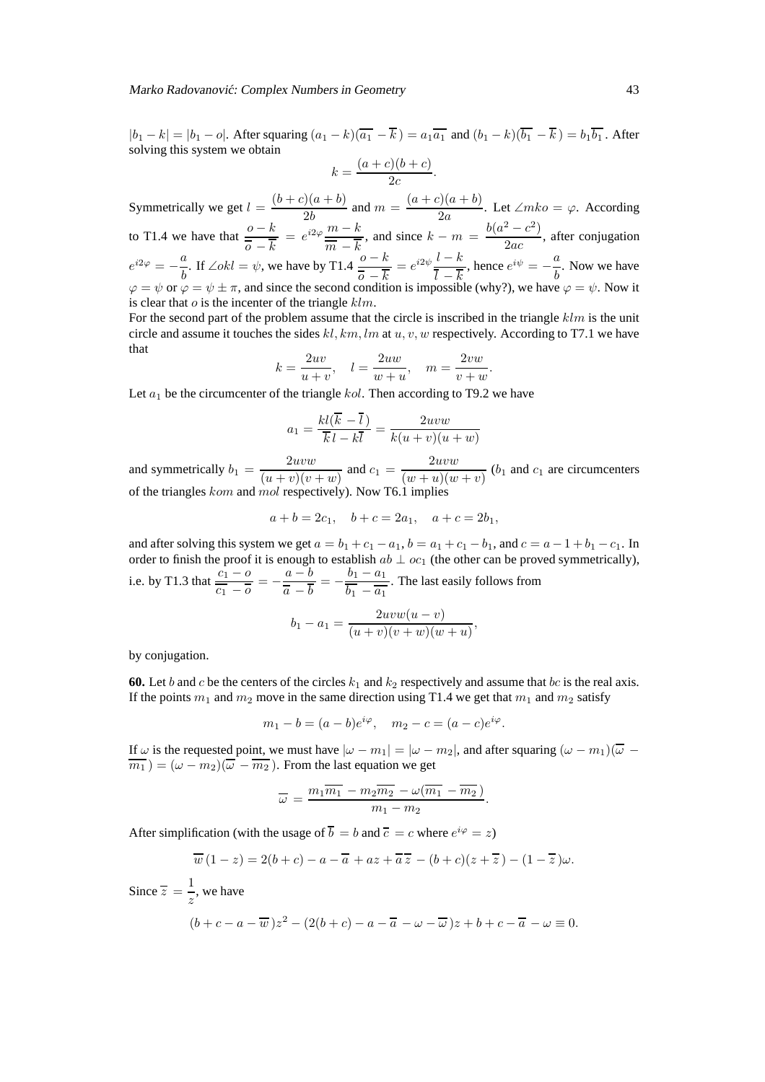#### Marko Radovanović: Complex Numbers in Geometry **43** and  $\frac{43}{43}$

 $|b_1 - k| = |b_1 - o|$ . After squaring  $(a_1 - k)(\overline{a_1} - \overline{k}) = a_1 \overline{a_1}$  and  $(b_1 - k)(\overline{b_1} - \overline{k}) = b_1 \overline{b_1}$ . After solving this system we obtain

$$
k = \frac{(a+c)(b+c)}{2c}.
$$

Symmetrically we get  $l = \frac{(b+c)(a+b)}{2l}$  $\frac{2b}{2b}$  and  $m = \frac{(a+c)(a+b)}{2a}$  $\frac{\partial y(a+v)}{\partial a}$ . Let  $\angle mko = \varphi$ . According to T1.4 we have that  $\frac{0-k}{\overline{a} - \overline{k}} = e^{i2\varphi} \frac{m-k}{\overline{m} - \overline{k}}$ , and since  $k - m = \frac{b(a^2 - c^2)}{2ac}$  $\overline{0-k}$   $\overline{m-k}$  $\frac{c}{2ac}$ , after conjugation  $e^{i2\varphi} = -\frac{a}{b}$  $\frac{a}{b}$ . If ∠okl =  $\psi$ , we have by T1.4  $\frac{o - k}{\overline{o} - \overline{k}}$  $\frac{0-k}{\overline{0}-\overline{k}}=e^{i2\psi}\frac{l-k}{\overline{l}-\overline{k}}$  $\frac{l-k}{\cosh}$ , hence  $e^{i\psi} = -\frac{a}{b}$  $\frac{a}{b}$ . Now we have  $\varphi = \psi$  or  $\varphi = \psi \pm \pi$ , and since the second condition is impossible (why?), we have  $\varphi = \psi$ . Now it is clear that  $\sigma$  is the incenter of the triangle  $klm$ .

For the second part of the problem assume that the circle is inscribed in the triangle  $klm$  is the unit circle and assume it touches the sides  $kl$ , km, lm at u, v, w respectively. According to T7.1 we have that

$$
k = \frac{2uv}{u+v}, \quad l = \frac{2uw}{w+u}, \quad m = \frac{2vw}{v+w}.
$$

Let  $a_1$  be the circumcenter of the triangle kol. Then according to T9.2 we have

$$
a_1 = \frac{kl(\overline{k} - \overline{l})}{\overline{k} \, l - k\overline{l}} = \frac{2uvw}{k(u+v)(u+w)}
$$

and symmetrically  $b_1 = \frac{2uvw}{(x + w)(w + w)}$  $\frac{2uvw}{(u+v)(v+w)}$  and  $c_1 = \frac{2uvw}{(w+u)(w+w)}$  $\frac{2\pi w}{(w+u)(w+v)}$  (*b*<sub>1</sub> and *c*<sub>1</sub> are circumcenters of the triangles kom and mol respectively). Now T6.1 in

$$
a + b = 2c_1, \quad b + c = 2a_1, \quad a + c = 2b_1,
$$

and after solving this system we get  $a = b_1 + c_1 - a_1$ ,  $b = a_1 + c_1 - b_1$ , and  $c = a - 1 + b_1 - c_1$ . In order to finish the proof it is enough to establish  $ab \perp oc_1$  (the other can be proved symmetrically), i.e. by T1.3 that  $\frac{c_1 - o}{\cdot}$  $\frac{c_1 - a}{\overline{c_1} - \overline{o}} = -\frac{a - b}{\overline{a} - \overline{b}}$  $\frac{a-b}{\overline{a}-\overline{b}}=-\frac{b_1-a_1}{\overline{b_1}-\overline{a_1}}$  $b_1 - \overline{a_1}$ . The last easily follows from

$$
b_1 - a_1 = \frac{2uvw(u - v)}{(u + v)(v + w)(w + u)},
$$

by conjugation.

**60.** Let b and c be the centers of the circles  $k_1$  and  $k_2$  respectively and assume that bc is the real axis. If the points  $m_1$  and  $m_2$  move in the same direction using T1.4 we get that  $m_1$  and  $m_2$  satisfy

$$
m_1 - b = (a - b)e^{i\varphi}
$$
,  $m_2 - c = (a - c)e^{i\varphi}$ .

If  $\omega$  is the requested point, we must have  $|\omega - m_1| = |\omega - m_2|$ , and after squaring  $(\omega - m_1)(\overline{\omega} - m_2)$  $\overline{m_1}$ ) =  $(\omega - m_2)(\overline{\omega} - \overline{m_2})$ . From the last equation we get

$$
\overline{\omega} = \frac{m_1 \overline{m_1} - m_2 \overline{m_2} - \omega(\overline{m_1} - \overline{m_2})}{m_1 - m_2}.
$$

After simplification (with the usage of  $\overline{b} = b$  and  $\overline{c} = c$  where  $e^{i\varphi} = z$ )

$$
\overline{w}\left(1-z\right) = 2(b+c) - a - \overline{a} + az + \overline{a}\,\overline{z} - (b+c)(z+\overline{z}) - (1-\overline{z})\omega.
$$

Since  $\overline{z} = \frac{1}{z}$  $\frac{1}{z}$ , we have  $(b + c - a - \overline{w})z^2 - (2(b + c) - a - \overline{a} - \omega - \overline{\omega})z + b + c - \overline{a} - \omega \equiv 0.$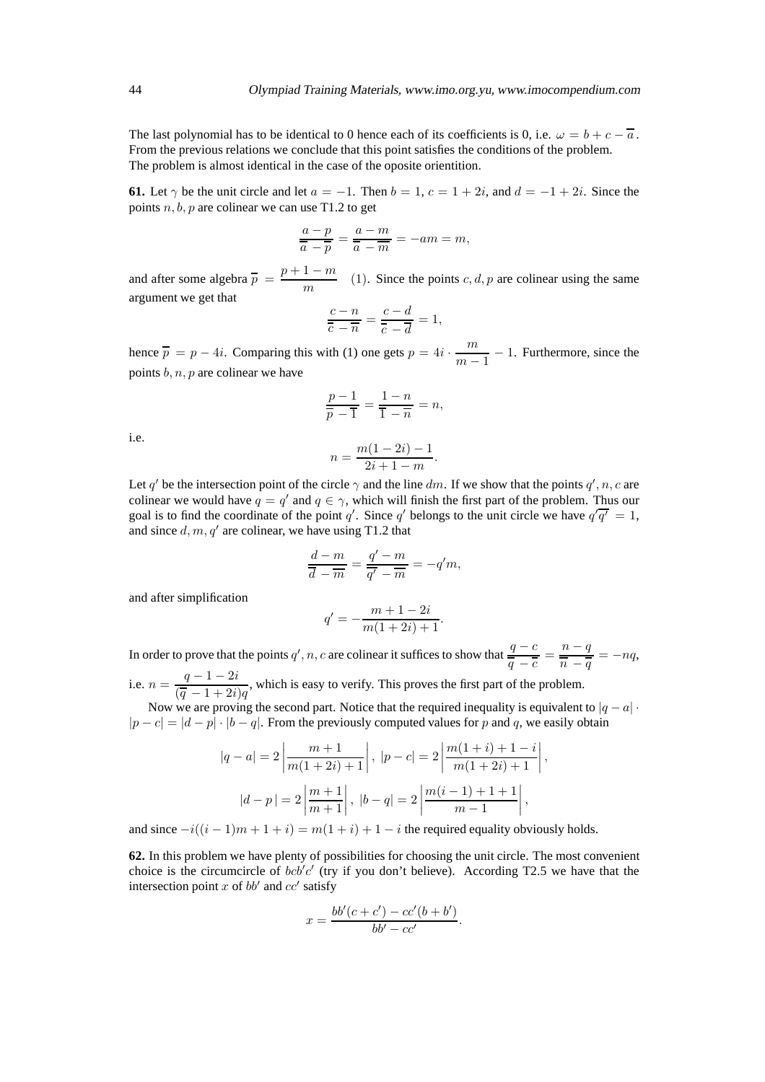The last polynomial has to be identical to 0 hence each of its coefficients is 0, i.e.  $\omega = b + c - \overline{a}$ . From the previous relations we conclude that this point satisfies the conditions of the problem. The problem is almost identical in the case of the oposite orientition.

**61.** Let  $\gamma$  be the unit circle and let  $a = -1$ . Then  $b = 1$ ,  $c = 1 + 2i$ , and  $d = -1 + 2i$ . Since the points  $n, b, p$  are colinear we can use T1.2 to get

$$
\frac{a-p}{\overline{a}-\overline{p}}=\frac{a-m}{\overline{a}-\overline{m}}=-am=m,
$$

and after some algebra  $\overline{p} = \frac{p+1-m}{n}$  $\frac{1}{m}$  (1). Since the points c, d, p are colinear using the same argument we get that

$$
\frac{c-n}{\overline{c}-\overline{n}}=\frac{c-d}{\overline{c}-\overline{d}}=1,
$$

hence  $\overline{p} = p - 4i$ . Comparing this with (1) one gets  $p = 4i \cdot \frac{m}{m-4}$  $\frac{m}{m-1}$  – 1. Furthermore, since the points  $b, n, p$  are colinear we have

$$
\frac{p-1}{\overline{p}-\overline{1}} = \frac{1-n}{\overline{1}-\overline{n}} = n,
$$

i.e.

$$
i = \frac{m(1-2i) - 1}{2i + 1 - m}.
$$

 $\boldsymbol{\eta}$ 

Let q' be the intersection point of the circle  $\gamma$  and the line dm. If we show that the points  $q', n, c$  are colinear we would have  $q = q'$  and  $q \in \gamma$ , which will finish the first part of the problem. Thus our goal is to find the coordinate of the point q'. Since q' belongs to the unit circle we have  $q' \overline{q'} = 1$ , and since  $d, m, q'$  are colinear, we have using T1.2 that

$$
\frac{d-m}{\overline{d}-\overline{m}}=\frac{q'-m}{\overline{q'}-\overline{m}}=-q'm,
$$

and after simplification

$$
q' = -\frac{m+1-2i}{m(1+2i)+1}.
$$

In order to prove that the points  $q', n, c$  are colinear it suffices to show that  $\frac{q - c}{q - c}$  $\frac{q-c}{\overline{q}-\overline{c}}=\frac{n-q}{\overline{n}-\overline{q}}$  $\frac{\pi}{n} - \frac{q}{q} = -nq,$ i.e.  $n = \frac{q-1-2i}{(q-1+i)}$  $\frac{q}{(\overline{q} - 1 + 2i)q}$ , which is easy to verify. This proves the first part of the problem.

Now we are proving the second part. Notice that the required inequality is equivalent to  $|q - a|$ .  $|p - c| = |d - p| \cdot |b - q|$ . From the previously computed values for p and q, we easily obtain

$$
|q - a| = 2 \left| \frac{m+1}{m(1+2i)+1} \right|, |p - c| = 2 \left| \frac{m(1+i)+1-i}{m(1+2i)+1} \right|,
$$
  

$$
|d - p| = 2 \left| \frac{m+1}{m+1} \right|, |b - q| = 2 \left| \frac{m(i-1)+1+1}{m-1} \right|,
$$

and since  $-i((i-1)m + 1 + i) = m(1+i) + 1 - i$  the required equality obviously holds.

**62.** In this problem we have plenty of possibilities for choosing the unit circle. The most convenient choice is the circumcircle of  $bcb'c'$  (try if you don't believe). According T2.5 we have that the intersection point x of  $bb'$  and  $cc'$  satisfy

$$
x = \frac{bb'(c + c') - cc'(b + b')}{bb' - cc'}
$$

.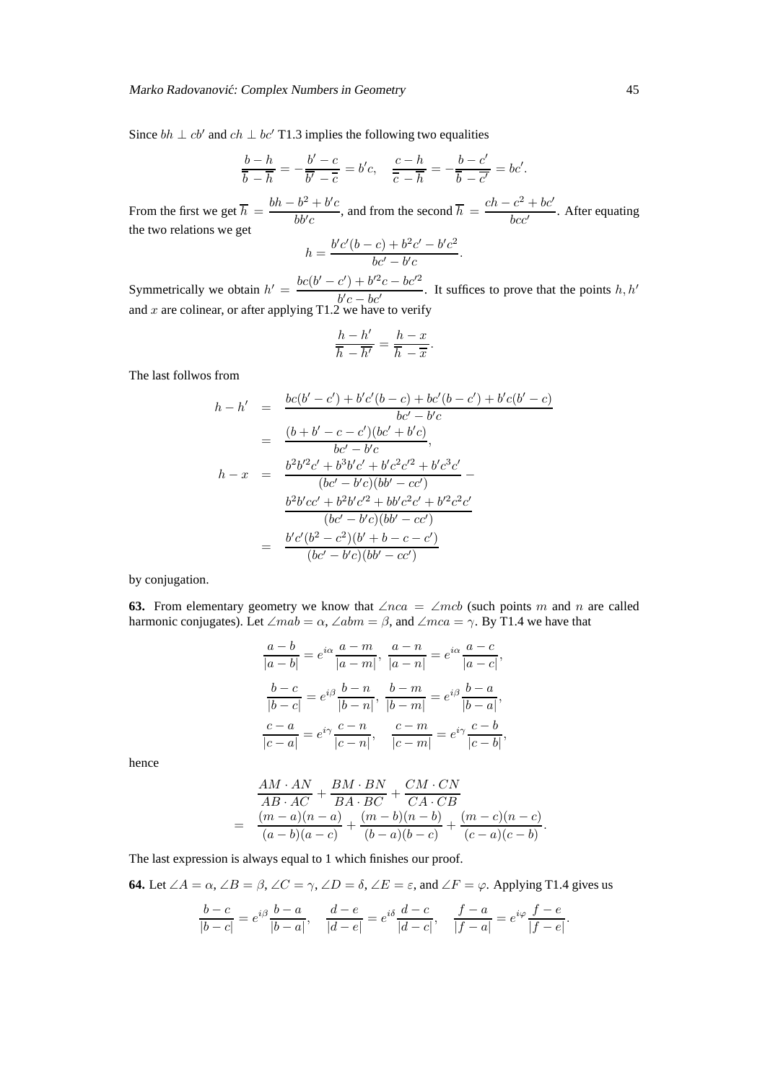#### Marko Radovanović: Complex Numbers in Geometry 45

Since  $bh \perp cb'$  and  $ch \perp bc'$  T1.3 implies the following two equalities

$$
\frac{b-h}{\overline{b}-\overline{h}}=-\frac{b'-c}{\overline{b'}-\overline{c}}=b'c, \quad \frac{c-h}{\overline{c}-\overline{h}}=-\frac{b-c'}{\overline{b}-\overline{c'}}=bc'.
$$

From the first we get  $\overline{h} = \frac{bh - b^2 + b'c}{4dt}$  $\frac{b^2 + b'c}{b b'c}$ , and from the second  $\overline{h} = \frac{ch - c^2 + bc'}{b c'c'}$  $\frac{b}{b}$ . After equating the two relations we get

$$
h = \frac{b'c'(b-c) + b^2c' - b'c^2}{bc' - b'c}.
$$

Symmetrically we obtain  $h' = \frac{bc(b'-c') + b'^2c - bc'^2}{b'}$  $\frac{b'c - bc'}{b'c - bc'}$ . It suffices to prove that the points  $h, h'$ and  $x$  are colinear, or after applying T1.2 we have to verify

$$
\frac{h-h'}{\overline{h}-\overline{h'}}=\frac{h-x}{\overline{h}-\overline{x}}.
$$

The last follwos from

$$
h - h' = \frac{bc(b' - c') + b'c'(b - c) + bc'(b - c') + b'c(b' - c)}{bc' - b'c}
$$
  
\n
$$
= \frac{(b + b' - c - c')(bc' + b'c)}{bc' - b'c},
$$
  
\n
$$
h - x = \frac{b^2b^{\prime 2}c' + b^3b'c' + b'c^2c^{\prime 2} + b'c^3c'}{(bc' - b'c)(bb' - cc')} -
$$
  
\n
$$
\frac{b^2b'cc' + b^2b'c^{\prime 2} + bb'c^2c' + b'^2c^2c'}{(bc' - b'c)(bb' - cc')}
$$
  
\n
$$
= \frac{b'c'(b^2 - c^2)(b' + b - c - c')}{(bc' - b'c)(bb' - cc')}
$$

by conjugation.

**63.** From elementary geometry we know that  $\angle nca = \angle mcb$  (such points m and n are called harmonic conjugates). Let  $\angle mab = \alpha$ ,  $\angle abm = \beta$ , and  $\angle mca = \gamma$ . By T1.4 we have that

$$
\frac{a-b}{|a-b|} = e^{i\alpha} \frac{a-m}{|a-m|}, \quad \frac{a-n}{|a-n|} = e^{i\alpha} \frac{a-c}{|a-c|},
$$

$$
\frac{b-c}{|b-c|} = e^{i\beta} \frac{b-n}{|b-n|}, \quad \frac{b-m}{|b-m|} = e^{i\beta} \frac{b-a}{|b-a|},
$$

$$
\frac{c-a}{|c-a|} = e^{i\gamma} \frac{c-n}{|c-n|}, \quad \frac{c-m}{|c-m|} = e^{i\gamma} \frac{c-b}{|c-b|},
$$

hence

$$
\frac{AM \cdot AN}{AB \cdot AC} + \frac{BM \cdot BN}{BA \cdot BC} + \frac{CM \cdot CN}{CA \cdot CB}
$$
  
= 
$$
\frac{(m-a)(n-a)}{(a-b)(a-c)} + \frac{(m-b)(n-b)}{(b-a)(b-c)} + \frac{(m-c)(n-c)}{(c-a)(c-b)}.
$$

The last expression is always equal to 1 which finishes our proof.

l,

**64.** Let 
$$
\angle A = \alpha
$$
,  $\angle B = \beta$ ,  $\angle C = \gamma$ ,  $\angle D = \delta$ ,  $\angle E = \varepsilon$ , and  $\angle F = \varphi$ . Applying T1.4 gives us

$$
\frac{b-c}{|b-c|} = e^{i\beta} \frac{b-a}{|b-a|}, \quad \frac{d-e}{|d-e|} = e^{i\delta} \frac{d-c}{|d-c|}, \quad \frac{f-a}{|f-a|} = e^{i\varphi} \frac{f-e}{|f-e|}
$$

.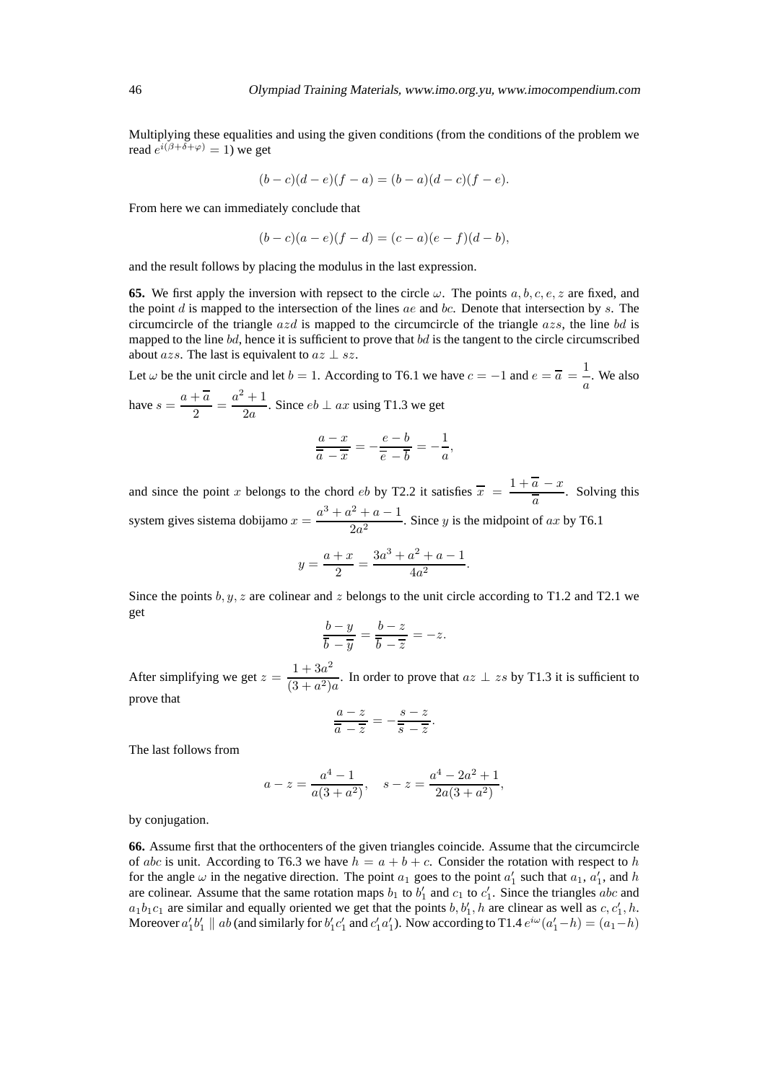Multiplying these equalities and using the given conditions (from the conditions of the problem we read  $e^{i(\beta + \delta + \varphi)} = 1$ ) we get

$$
(b - c)(d - e)(f - a) = (b - a)(d - c)(f - e).
$$

From here we can immediately conclude that

$$
(b - c)(a - e)(f - d) = (c - a)(e - f)(d - b),
$$

and the result follows by placing the modulus in the last expression.

**65.** We first apply the inversion with repsect to the circle  $\omega$ . The points  $a, b, c, e, z$  are fixed, and the point d is mapped to the intersection of the lines  $ae$  and  $bc$ . Denote that intersection by s. The circumcircle of the triangle  $azd$  is mapped to the circumcircle of the triangle  $azs$ , the line bd is mapped to the line  $bd$ , hence it is sufficient to prove that  $bd$  is the tangent to the circle circumscribed about *azs*. The last is equivalent to  $az \perp sz$ .

Let  $\omega$  be the unit circle and let  $b = 1$ . According to T6.1 we have  $c = -1$  and  $e = \overline{a} = \frac{1}{a}$  $\frac{1}{a}$ . We also have  $s = \frac{a + \overline{a}}{2}$  $\frac{1}{2} = \frac{a^2 + 1}{2a}$  $\frac{1}{2a}$ . Since  $eb \perp ax$  using T1.3 we get

$$
\frac{a-x}{\overline{a}-\overline{x}}=-\frac{e-b}{\overline{e}-\overline{b}}=-\frac{1}{a},
$$

and since the point x belongs to the chord eb by T2.2 it satisfies  $\bar{x} = \frac{1 + \bar{a} - x}{\bar{a}}$  $\frac{a}{a}$ . Solving this system gives sistema dobijamo  $x = \frac{a^3 + a^2 + a - 1}{2}$  $\frac{2a^2}{2a^2}$ . Since y is the midpoint of ax by T6.1

$$
y = \frac{a+x}{2} = \frac{3a^3 + a^2 + a - 1}{4a^2}.
$$

Since the points  $b, y, z$  are colinear and z belongs to the unit circle according to T1.2 and T2.1 we get

$$
\frac{b-y}{\overline{b}-\overline{y}}=\frac{b-z}{\overline{b}-\overline{z}}=-z.
$$

After simplifying we get  $z = \frac{1 + 3a^2}{(2a + 3a^2)}$  $\frac{1}{(3+a^2)a}$ . In order to prove that  $az \perp zs$  by T1.3 it is sufficient to prove that

$$
\frac{a-z}{\overline{a}-\overline{z}}=-\frac{s-z}{\overline{s}-\overline{z}}.
$$

The last follows from

$$
a-z = \frac{a^4 - 1}{a(3 + a^2)},
$$
  $s-z = \frac{a^4 - 2a^2 + 1}{2a(3 + a^2)},$ 

by conjugation.

**66.** Assume first that the orthocenters of the given triangles coincide. Assume that the circumcircle of abc is unit. According to T6.3 we have  $h = a + b + c$ . Consider the rotation with respect to h for the angle  $\omega$  in the negative direction. The point  $a_1$  goes to the point  $a'_1$  such that  $a_1$ ,  $a'_1$ , and h are colinear. Assume that the same rotation maps  $b_1$  to  $b'_1$  and  $c_1$  to  $c'_1$ . Since the triangles abc and  $a_1b_1c_1$  are similar and equally oriented we get that the points  $b, b'_1, h$  are clinear as well as  $c, c'_1, h$ . Moreover  $a'_1b'_1 \parallel ab$  (and similarly for  $b'_1c'_1$  and  $c'_1a'_1$ ). Now according to T1.4  $e^{i\omega}(a'_1-h)=(a_1-h)$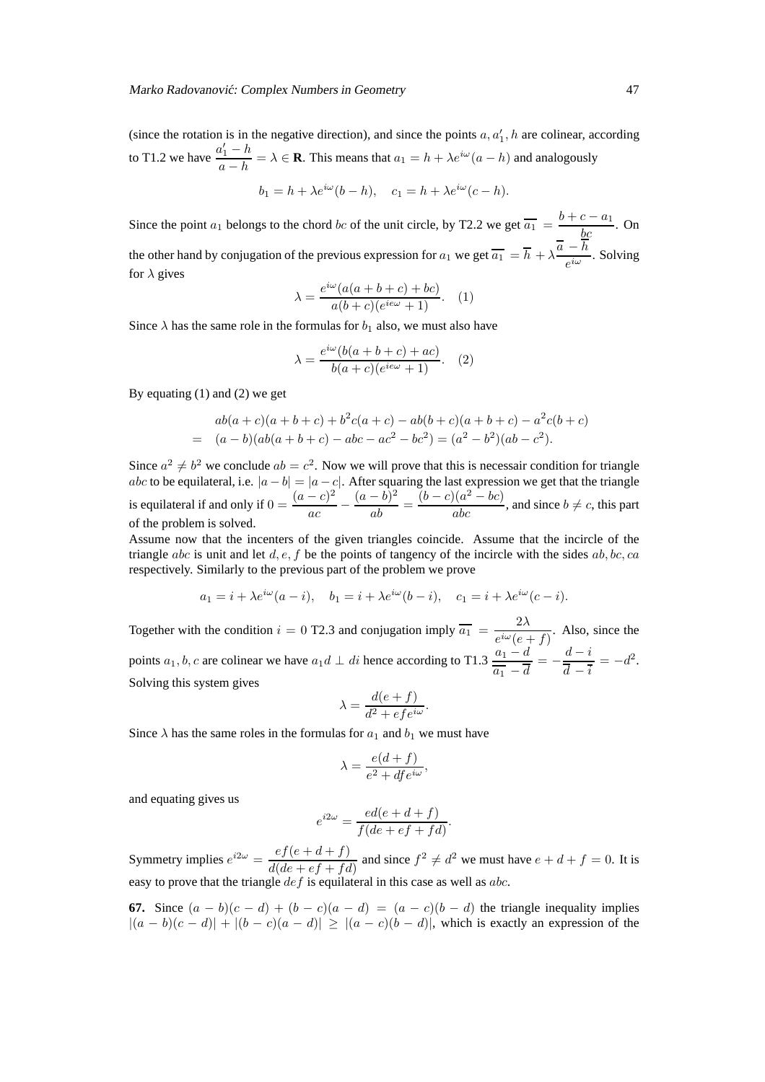(since the rotation is in the negative direction), and since the points  $a, a'_1, h$  are colinear, according to T1.2 we have  $\frac{a'_1 - h}{h}$  $\frac{a_1 - h}{a - h} = \lambda \in \mathbf{R}$ . This means that  $a_1 = h + \lambda e^{i\omega} (a - h)$  and analogously

$$
b_1 = h + \lambda e^{i\omega} (b - h), \quad c_1 = h + \lambda e^{i\omega} (c - h).
$$

Since the point  $a_1$  belongs to the chord bc of the unit circle, by T2.2 we get  $\overline{a_1} = \frac{b+c-a_1}{bc}$ . On the other hand by conjugation of the previous expression for  $a_1$  we get  $\overline{a_1} = \overline{h} + \lambda \frac{\overline{a} - h}{\overline{a_1}}$  $\frac{n}{e^{i\omega}}$ . Solving for  $\lambda$  gives

$$
\lambda = \frac{e^{i\omega}(a(a+b+c)+bc)}{a(b+c)(e^{ie\omega}+1)}.
$$
 (1)

Since  $\lambda$  has the same role in the formulas for  $b_1$  also, we must also have

$$
\lambda = \frac{e^{i\omega} (b(a+b+c) + ac)}{b(a+c)(e^{ie\omega} + 1)}.
$$
 (2)

By equating (1) and (2) we get

$$
ab(a+c)(a+b+c) + b2c(a+c) - ab(b+c)(a+b+c) - a2c(b+c)
$$
  
=  $(a - b)(ab(a+b+c) - abc - ac2 - bc2) = (a2 - b2)(ab - c2).$ 

Since  $a^2 \neq b^2$  we conclude  $ab = c^2$ . Now we will prove that this is necessair condition for triangle abc to be equilateral, i.e.  $|a - b| = |a - c|$ . After squaring the last expression we get that the triangle is equilateral if and only if  $0 = \frac{(a-c)^2}{2}$  $\frac{(a-b)^2}{ac} - \frac{(a-b)^2}{ab}$  $\frac{(b-b)^2}{ab} = \frac{(b-c)(a^2 - bc)}{abc}$ , and since  $b \neq c$ , this part of the problem is solved.

Assume now that the incenters of the given triangles coincide. Assume that the incircle of the triangle abc is unit and let d, e, f be the points of tangency of the incircle with the sides ab, bc, ca respectively. Similarly to the previous part of the problem we prove

$$
a_1 = i + \lambda e^{i\omega} (a - i), \quad b_1 = i + \lambda e^{i\omega} (b - i), \quad c_1 = i + \lambda e^{i\omega} (c - i).
$$

Together with the condition  $i = 0$  T2.3 and conjugation imply  $\overline{a_1} = \frac{2\lambda}{\sin(\lambda)}$  $\frac{2\pi}{e^{i\omega}(e+f)}$ . Also, since the points  $a_1, b, c$  are colinear we have  $a_1d \perp di$  hence according to T1.3  $\frac{a_1 - d}{\overline{a_1} - \overline{d}} = -\frac{d - i}{\overline{d} - \overline{i}}$  $\frac{a-i}{\overline{d}-\overline{i}}=-d^2.$ Solving this system gives

$$
\lambda = \frac{d(e+f)}{d^2 + efe^{i\omega}}.
$$

Since  $\lambda$  has the same roles in the formulas for  $a_1$  and  $b_1$  we must have

$$
\lambda = \frac{e(d+f)}{e^2 + df e^{i\omega}},
$$

and equating gives us

$$
e^{i2\omega} = \frac{ed(e+d+f)}{f(de+ef+fd)}.
$$

Symmetry implies  $e^{i2\omega} = \frac{ef(e+d+f)}{16}$  $\frac{c}{d(de+ef+fd)}$  and since  $f^2 \neq d^2$  we must have  $e + d + f = 0$ . It is easy to prove that the triangle  $def$  is equilateral in this case as well as  $abc$ .

**67.** Since  $(a - b)(c - d) + (b - c)(a - d) = (a - c)(b - d)$  the triangle inequality implies  $|(a - b)(c - d)| + |(b - c)(a - d)| \ge |(a - c)(b - d)|$ , which is exactly an expression of the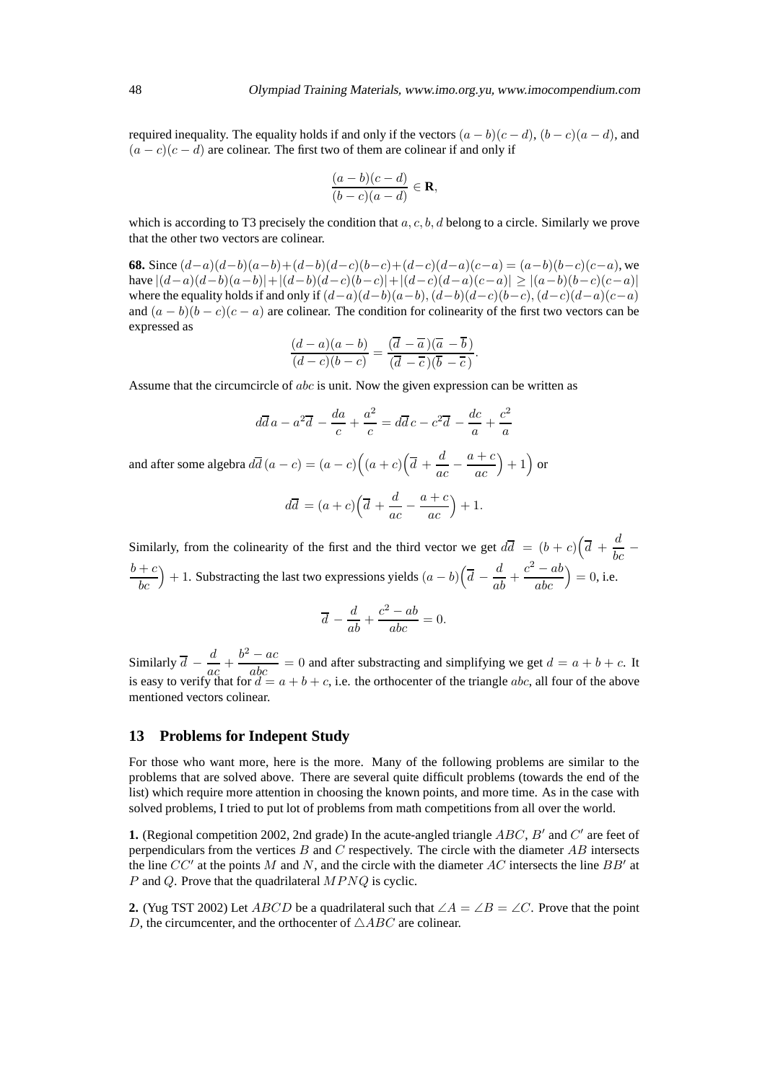required inequality. The equality holds if and only if the vectors  $(a - b)(c - d)$ ,  $(b - c)(a - d)$ , and  $(a - c)(c - d)$  are colinear. The first two of them are colinear if and only if

$$
\frac{(a-b)(c-d)}{(b-c)(a-d)} \in \mathbf{R},
$$

which is according to T3 precisely the condition that  $a, c, b, d$  belong to a circle. Similarly we prove that the other two vectors are colinear.

**68.** Since  $(d-a)(d-b)(a-b)+(d-b)(d-c)(b-c)+(d-c)(d-a)(c-a) = (a-b)(b-c)(c-a)$ , we have  $|(d-a)(d-b)(a-b)|+|(d-b)(d-c)(b-c)|+|(d-c)(d-a)(c-a)| \ge |(a-b)(b-c)(c-a)|$ where the equality holds if and only if  $(d-a)(d-b)(a-b)$ ,  $(d-b)(d-c)(b-c)$ ,  $(d-c)(d-a)(c-a)$ and  $(a - b)(b - c)(c - a)$  are colinear. The condition for colinearity of the first two vectors can be expressed as

$$
\frac{(d-a)(a-b)}{(d-c)(b-c)} = \frac{(\overline{d}-\overline{a})(\overline{a}-\overline{b})}{(\overline{d}-\overline{c})(\overline{b}-\overline{c})}.
$$

Assume that the circumcircle of *abc* is unit. Now the given expression can be written as

$$
d\overline{d}a - a^2\overline{d} - \frac{da}{c} + \frac{a^2}{c} = d\overline{d}c - c^2\overline{d} - \frac{dc}{a} + \frac{c^2}{a}
$$

and after some algebra  $d\overline{d}(a-c) = (a-c)(\left(a+c\right)\left(\overline{d} + \frac{d}{ac}\right))$  $\frac{ac}{}$  $a + c$ ac  $+1$  or

$$
d\overline{d} = (a+c)\left(\overline{d} + \frac{d}{ac} - \frac{a+c}{ac}\right) + 1.
$$

Similarly, from the colinearity of the first and the third vector we get  $d\overline{d} = (b+c)(\overline{d} + \frac{d}{d})$  $\overline{bc}$   $\overline{c}$  $b+c$ bc ) + 1. Substracting the last two expressions yields  $(a - b) \left( \overline{d} - \frac{d}{ab} + \frac{c^2 - ab}{abc} \right)$ abc  $= 0$ , i.e.

$$
\overline{d} - \frac{d}{ab} + \frac{c^2 - ab}{abc} = 0.
$$

Similarly  $\overline{d}$  –  $\frac{d}{d}$ Similarly  $\overline{d} - \frac{d}{ac} + \frac{b^2 - ac}{abc} = 0$  and after substracting and simplifying we get  $d = a + b + c$ . It is easy to verify that for  $d = a + b + c$ , i.e. the orthocenter of the triangle *abc*, all four of the above mentioned vectors colinear.

#### **13 Problems for Indepent Study**

For those who want more, here is the more. Many of the following problems are similar to the problems that are solved above. There are several quite difficult problems (towards the end of the list) which require more attention in choosing the known points, and more time. As in the case with solved problems, I tried to put lot of problems from math competitions from all over the world.

**1.** (Regional competition 2002, 2nd grade) In the acute-angled triangle  $ABC$ ,  $B'$  and  $C'$  are feet of perpendiculars from the vertices  $B$  and  $C$  respectively. The circle with the diameter  $AB$  intersects the line  $CC'$  at the points M and N, and the circle with the diameter AC intersects the line  $BB'$  at P and Q. Prove that the quadrilateral  $MPNQ$  is cyclic.

**2.** (Yug TST 2002) Let ABCD be a quadrilateral such that  $\angle A = \angle B = \angle C$ . Prove that the point D, the circumcenter, and the orthocenter of  $\triangle ABC$  are colinear.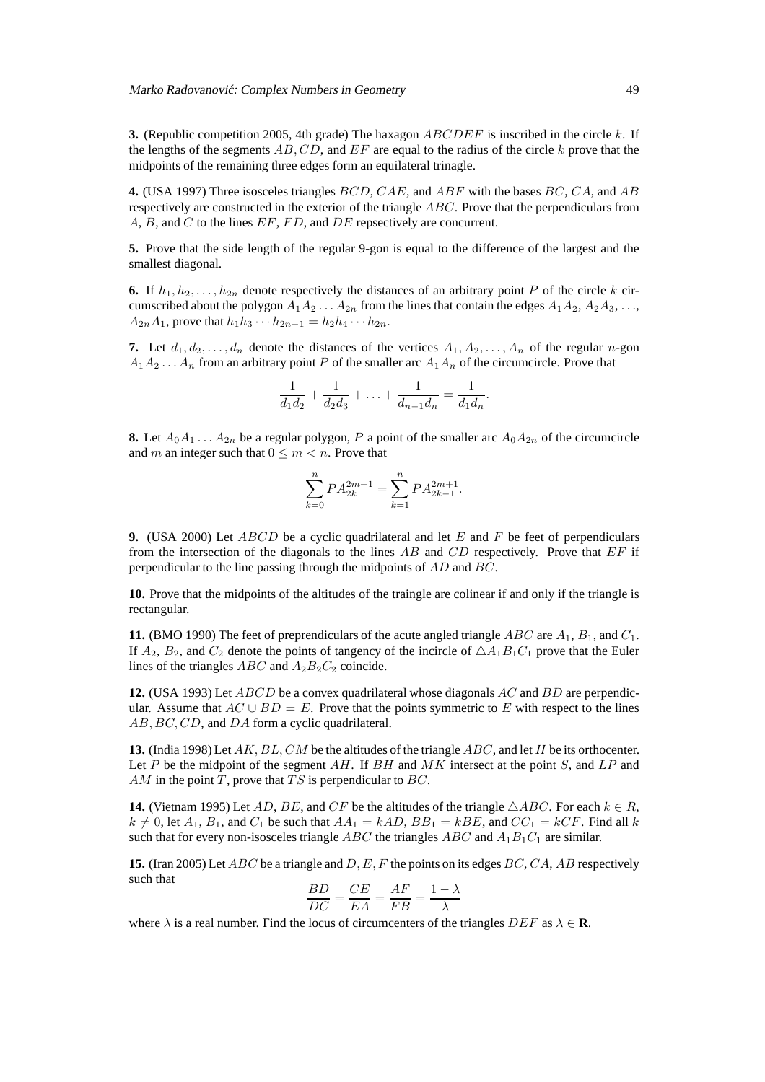**3.** (Republic competition 2005, 4th grade) The haxagon ABCDEF is inscribed in the circle k. If the lengths of the segments  $AB, CD$ , and  $EF$  are equal to the radius of the circle k prove that the midpoints of the remaining three edges form an equilateral trinagle.

**4.** (USA 1997) Three isosceles triangles BCD, CAE, and ABF with the bases BC, CA, and AB respectively are constructed in the exterior of the triangle ABC. Prove that the perpendiculars from A, B, and C to the lines EF, FD, and DE repsectively are concurrent.

**5.** Prove that the side length of the regular 9-gon is equal to the difference of the largest and the smallest diagonal.

**6.** If  $h_1, h_2, \ldots, h_{2n}$  denote respectively the distances of an arbitrary point P of the circle k circumscribed about the polygon  $A_1A_2 \ldots A_{2n}$  from the lines that contain the edges  $A_1A_2, A_2A_3, \ldots$  $A_{2n}A_1$ , prove that  $h_1h_3 \cdots h_{2n-1} = h_2h_4 \cdots h_{2n}$ .

**7.** Let  $d_1, d_2, \ldots, d_n$  denote the distances of the vertices  $A_1, A_2, \ldots, A_n$  of the regular n-gon  $A_1A_2 \ldots A_n$  from an arbitrary point P of the smaller arc  $A_1A_n$  of the circumcircle. Prove that

$$
\frac{1}{d_1d_2} + \frac{1}{d_2d_3} + \ldots + \frac{1}{d_{n-1}d_n} = \frac{1}{d_1d_n}.
$$

**8.** Let  $A_0A_1 \ldots A_{2n}$  be a regular polygon, P a point of the smaller arc  $A_0A_{2n}$  of the circumcircle and m an integer such that  $0 \le m < n$ . Prove that

$$
\sum_{k=0}^{n} P A_{2k}^{2m+1} = \sum_{k=1}^{n} P A_{2k-1}^{2m+1}.
$$

**9.** (USA 2000) Let *ABCD* be a cyclic quadrilateral and let E and F be feet of perpendiculars from the intersection of the diagonals to the lines  $AB$  and  $CD$  respectively. Prove that  $EF$  if perpendicular to the line passing through the midpoints of AD and BC.

**10.** Prove that the midpoints of the altitudes of the traingle are colinear if and only if the triangle is rectangular.

**11.** (BMO 1990) The feet of preprendiculars of the acute angled triangle  $ABC$  are  $A_1$ ,  $B_1$ , and  $C_1$ . If  $A_2$ ,  $B_2$ , and  $C_2$  denote the points of tangency of the incircle of  $\triangle A_1B_1C_1$  prove that the Euler lines of the triangles  $ABC$  and  $A_2B_2C_2$  coincide.

**12.** (USA 1993) Let ABCD be a convex quadrilateral whose diagonals AC and BD are perpendicular. Assume that  $AC \cup BD = E$ . Prove that the points symmetric to E with respect to the lines AB, BC, CD, and DA form a cyclic quadrilateral.

**13.** (India 1998) Let AK, BL, CM be the altitudes of the triangle ABC, and let H be its orthocenter. Let P be the midpoint of the segment AH. If BH and  $MK$  intersect at the point S, and LP and AM in the point T, prove that  $TS$  is perpendicular to BC.

**14.** (Vietnam 1995) Let AD, BE, and CF be the altitudes of the triangle  $\triangle ABC$ . For each  $k \in R$ ,  $k \neq 0$ , let  $A_1$ ,  $B_1$ , and  $C_1$  be such that  $AA_1 = kAD$ ,  $BB_1 = kBE$ , and  $CC_1 = kCF$ . Find all k such that for every non-isosceles triangle *ABC* the triangles *ABC* and  $A_1B_1C_1$  are similar.

**15.** (Iran 2005) Let ABC be a triangle and D, E, F the points on its edges BC, CA, AB respectively such that  $\Box$ 

$$
\frac{BD}{DC} = \frac{CE}{EA} = \frac{AF}{FB} = \frac{1 - \lambda}{\lambda}
$$

where  $\lambda$  is a real number. Find the locus of circumcenters of the triangles  $DEF$  as  $\lambda \in \mathbf{R}$ .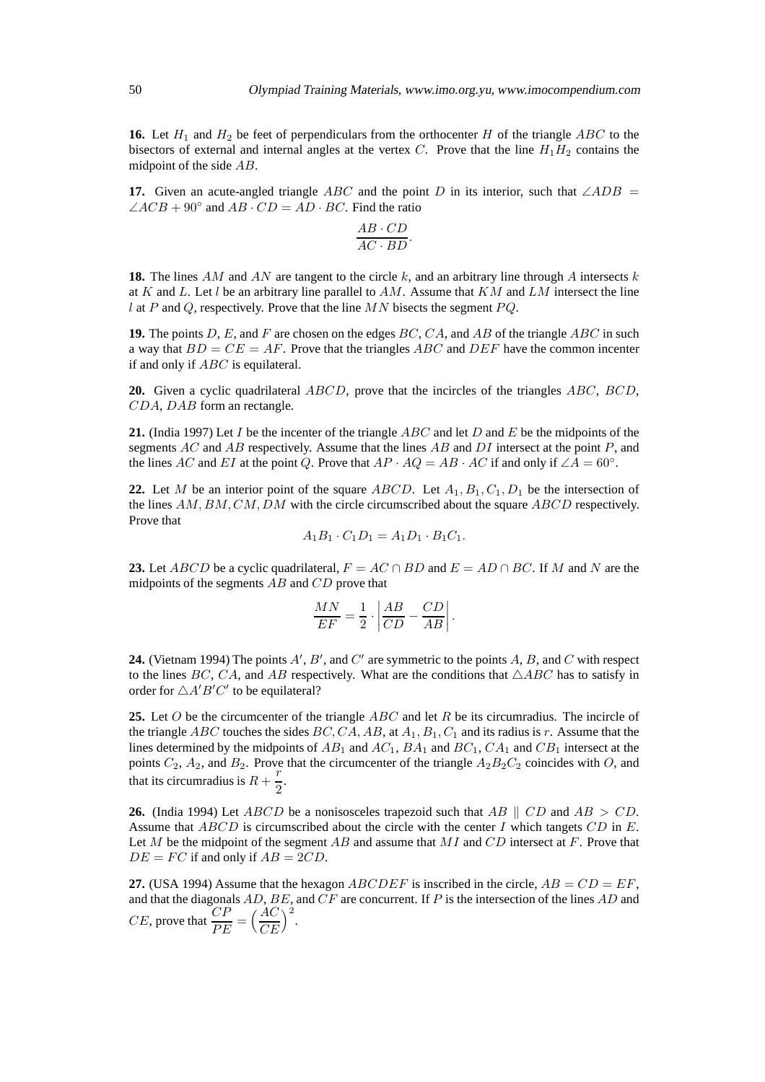**16.** Let  $H_1$  and  $H_2$  be feet of perpendiculars from the orthocenter H of the triangle ABC to the bisectors of external and internal angles at the vertex C. Prove that the line  $H_1H_2$  contains the midpoint of the side AB.

**17.** Given an acute-angled triangle ABC and the point D in its interior, such that  $\angle ADB =$  $\angle ACB + 90^\circ$  and  $AB \cdot CD = AD \cdot BC$ . Find the ratio

$$
\frac{AB \cdot CD}{AC \cdot BD}.
$$

**18.** The lines AM and AN are tangent to the circle k, and an arbitrary line through A intersects k at K and L. Let l be an arbitrary line parallel to  $AM$ . Assume that KM and LM intersect the line l at P and Q, respectively. Prove that the line  $MN$  bisects the segment  $PQ$ .

**19.** The points D, E, and F are chosen on the edges BC, CA, and AB of the triangle ABC in such a way that  $BD = CE = AF$ . Prove that the triangles ABC and DEF have the common incenter if and only if ABC is equilateral.

**20.** Given a cyclic quadrilateral ABCD, prove that the incircles of the triangles ABC, BCD, CDA, DAB form an rectangle.

**21.** (India 1997) Let I be the incenter of the triangle ABC and let D and E be the midpoints of the segments  $AC$  and  $AB$  respectively. Assume that the lines  $AB$  and  $DI$  intersect at the point  $P$ , and the lines AC and EI at the point Q. Prove that  $AP \cdot AQ = AB \cdot AC$  if and only if  $\angle A = 60^{\circ}$ .

**22.** Let M be an interior point of the square  $ABCD$ . Let  $A_1, B_1, C_1, D_1$  be the intersection of the lines  $AM, BM, CM, DM$  with the circle circumscribed about the square  $ABCD$  respectively. Prove that

$$
A_1B_1 \cdot C_1D_1 = A_1D_1 \cdot B_1C_1.
$$

**23.** Let ABCD be a cyclic quadrilateral,  $F = AC \cap BD$  and  $E = AD \cap BC$ . If M and N are the midpoints of the segments  $AB$  and  $CD$  prove that

$$
\frac{MN}{EF} = \frac{1}{2} \cdot \left| \frac{AB}{CD} - \frac{CD}{AB} \right|.
$$

**24.** (Vietnam 1994) The points  $A'$ ,  $B'$ , and  $C'$  are symmetric to the points  $A$ ,  $B$ , and  $C$  with respect to the lines BC, CA, and AB respectively. What are the conditions that  $\triangle ABC$  has to satisfy in order for  $\triangle A'B'C'$  to be equilateral?

**25.** Let O be the circumcenter of the triangle ABC and let R be its circumradius. The incircle of the triangle ABC touches the sides BC, CA, AB, at  $A_1, B_1, C_1$  and its radius is r. Assume that the lines determined by the midpoints of  $AB_1$  and  $AC_1$ ,  $BA_1$  and  $BC_1$ ,  $CA_1$  and  $CB_1$  intersect at the points  $C_2$ ,  $A_2$ , and  $B_2$ . Prove that the circumcenter of the triangle  $A_2B_2C_2$  coincides with O, and that its circumradius is  $R + \frac{r}{2}$  $\frac{1}{2}$ .

**26.** (India 1994) Let *ABCD* be a nonisosceles trapezoid such that *AB*  $\parallel$  *CD* and *AB*  $>$  *CD*. Assume that  $ABCD$  is circumscribed about the circle with the center I which tangets  $CD$  in E. Let M be the midpoint of the segment  $AB$  and assume that  $MI$  and  $CD$  intersect at  $F$ . Prove that  $DE = FC$  if and only if  $AB = 2CD$ .

**27.** (USA 1994) Assume that the hexagon  $ABCDEF$  is inscribed in the circle,  $AB = CD = EF$ , and that the diagonals  $AD, BE$ , and  $CF$  are concurrent. If P is the intersection of the lines  $AD$  and  $CE$ , prove that  $\frac{CP}{DE}$  $\frac{CP}{PE} = \Big(\frac{AC}{CE}\Big)$  $CE$  $\big)^2$ .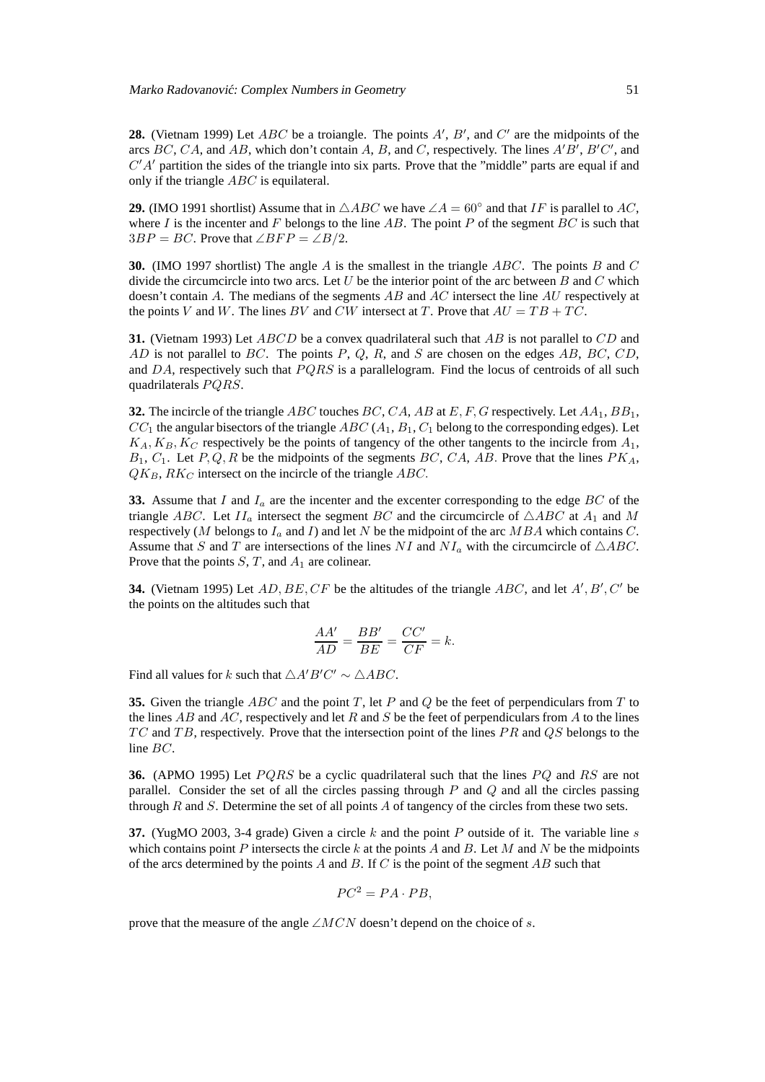**28.** (Vietnam 1999) Let  $ABC$  be a troiangle. The points  $A'$ ,  $B'$ , and  $C'$  are the midpoints of the arcs  $BC$ ,  $CA$ , and  $AB$ , which don't contain A, B, and C, respectively. The lines  $A'B'$ ,  $B'C'$ , and  $C'A'$  partition the sides of the triangle into six parts. Prove that the "middle" parts are equal if and only if the triangle ABC is equilateral.

**29.** (IMO 1991 shortlist) Assume that in  $\triangle ABC$  we have  $\angle A = 60^\circ$  and that IF is parallel to AC, where I is the incenter and F belongs to the line AB. The point P of the segment BC is such that  $3BP = BC$ . Prove that  $\angle BFP = \angle B/2$ .

**30.** (IMO 1997 shortlist) The angle A is the smallest in the triangle ABC. The points B and C divide the circumcircle into two arcs. Let U be the interior point of the arc between B and C which doesn't contain A. The medians of the segments  $AB$  and  $AC$  intersect the line  $AU$  respectively at the points V and W. The lines BV and CW intersect at T. Prove that  $AU = TB + TC$ .

**31.** (Vietnam 1993) Let *ABCD* be a convex quadrilateral such that *AB* is not parallel to *CD* and  $AD$  is not parallel to  $BC$ . The points  $P$ ,  $Q$ ,  $R$ , and  $S$  are chosen on the edges  $AB$ ,  $BC$ ,  $CD$ , and  $DA$ , respectively such that  $PQRS$  is a parallelogram. Find the locus of centroids of all such quadrilaterals PQRS.

**32.** The incircle of the triangle ABC touches BC, CA, AB at E, F, G respectively. Let  $AA_1$ ,  $BB_1$ ,  $CC_1$  the angular bisectors of the triangle  $ABC(A_1, B_1, C_1)$  belong to the corresponding edges). Let  $K_A, K_B, K_C$  respectively be the points of tangency of the other tangents to the incircle from  $A_1$ ,  $B_1, C_1$ . Let  $P, Q, R$  be the midpoints of the segments  $BC, CA, AB$ . Prove that the lines  $PK<sub>A</sub>$ ,  $QK_B, RK_C$  intersect on the incircle of the triangle ABC.

**33.** Assume that I and  $I_a$  are the incenter and the excenter corresponding to the edge  $BC$  of the triangle ABC. Let  $II_a$  intersect the segment BC and the circumcircle of  $\triangle ABC$  at  $A_1$  and M respectively (M belongs to  $I_a$  and I) and let N be the midpoint of the arc MBA which contains C. Assume that S and T are intersections of the lines NI and  $NI_a$  with the circumcircle of  $\triangle ABC$ . Prove that the points  $S, T$ , and  $A_1$  are colinear.

**34.** (Vietnam 1995) Let  $AD, BE, CF$  be the altitudes of the triangle  $ABC$ , and let  $A', B', C'$  be the points on the altitudes such that

$$
\frac{AA'}{AD} = \frac{BB'}{BE} = \frac{CC'}{CF} = k.
$$

Find all values for k such that  $\triangle A'B'C' \sim \triangle ABC$ .

**35.** Given the triangle ABC and the point T, let P and Q be the feet of perpendiculars from T to the lines AB and AC, respectively and let R and S be the feet of perpendiculars from A to the lines  $TC$  and  $TB$ , respectively. Prove that the intersection point of the lines  $PR$  and  $QS$  belongs to the line BC.

**36.** (APMO 1995) Let PQRS be a cyclic quadrilateral such that the lines PQ and RS are not parallel. Consider the set of all the circles passing through  $P$  and  $Q$  and all the circles passing through  $R$  and  $S$ . Determine the set of all points  $A$  of tangency of the circles from these two sets.

**37.** (YugMO 2003, 3-4 grade) Given a circle  $k$  and the point  $P$  outside of it. The variable line  $s$ which contains point P intersects the circle k at the points A and B. Let M and N be the midpoints of the arcs determined by the points A and B. If C is the point of the segment  $AB$  such that

$$
PC^2 = PA \cdot PB,
$$

prove that the measure of the angle  $\angle MCN$  doesn't depend on the choice of s.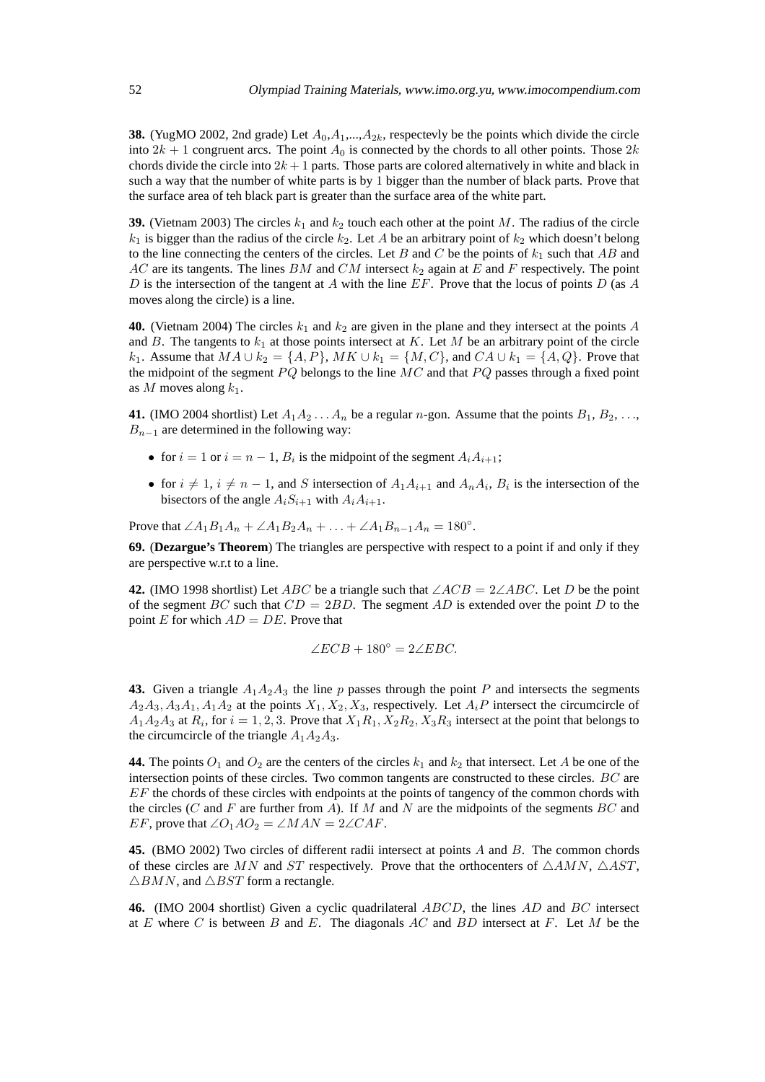**38.** (YugMO 2002, 2nd grade) Let  $A_0, A_1, \ldots, A_{2k}$ , respectevly be the points which divide the circle into  $2k + 1$  congruent arcs. The point  $A_0$  is connected by the chords to all other points. Those  $2k$ chords divide the circle into  $2k + 1$  parts. Those parts are colored alternatively in white and black in such a way that the number of white parts is by 1 bigger than the number of black parts. Prove that the surface area of teh black part is greater than the surface area of the white part.

**39.** (Vietnam 2003) The circles  $k_1$  and  $k_2$  touch each other at the point M. The radius of the circle  $k_1$  is bigger than the radius of the circle  $k_2$ . Let A be an arbitrary point of  $k_2$  which doesn't belong to the line connecting the centers of the circles. Let B and C be the points of  $k_1$  such that AB and AC are its tangents. The lines BM and CM intersect  $k_2$  again at E and F respectively. The point D is the intersection of the tangent at A with the line  $EF$ . Prove that the locus of points D (as A moves along the circle) is a line.

**40.** (Vietnam 2004) The circles  $k_1$  and  $k_2$  are given in the plane and they intersect at the points A and B. The tangents to  $k_1$  at those points intersect at K. Let M be an arbitrary point of the circle k<sub>1</sub>. Assume that  $MA \cup k_2 = \{A, P\}$ ,  $MK \cup k_1 = \{M, C\}$ , and  $CA \cup k_1 = \{A, Q\}$ . Prove that the midpoint of the segment  $PQ$  belongs to the line  $MC$  and that  $PQ$  passes through a fixed point as M moves along  $k_1$ .

**41.** (IMO 2004 shortlist) Let  $A_1A_2...A_n$  be a regular n-gon. Assume that the points  $B_1, B_2,...$  $B_{n-1}$  are determined in the following way:

- for  $i = 1$  or  $i = n 1$ ,  $B_i$  is the midpoint of the segment  $A_i A_{i+1}$ ;
- for  $i \neq 1$ ,  $i \neq n-1$ , and S intersection of  $A_1A_{i+1}$  and  $A_nA_i$ ,  $B_i$  is the intersection of the bisectors of the angle  $A_iS_{i+1}$  with  $A_iA_{i+1}$ .

Prove that  $\angle A_1B_1A_n + \angle A_1B_2A_n + \ldots + \angle A_1B_{n-1}A_n = 180^\circ$ .

**69.** (**Dezargue's Theorem**) The triangles are perspective with respect to a point if and only if they are perspective w.r.t to a line.

**42.** (IMO 1998 shortlist) Let ABC be a triangle such that  $\angle ACB = 2\angle ABC$ . Let D be the point of the segment BC such that  $CD = 2BD$ . The segment AD is extended over the point D to the point E for which  $AD = DE$ . Prove that

$$
\angle ECB + 180^{\circ} = 2\angle EBC.
$$

**43.** Given a triangle  $A_1A_2A_3$  the line p passes through the point P and intersects the segments  $A_2A_3, A_3A_1, A_1A_2$  at the points  $X_1, X_2, X_3$ , respectively. Let  $A_iP$  intersect the circumcircle of  $A_1A_2A_3$  at  $R_i$ , for  $i = 1, 2, 3$ . Prove that  $X_1R_1, X_2R_2, X_3R_3$  intersect at the point that belongs to the circumcircle of the triangle  $A_1A_2A_3$ .

**44.** The points  $O_1$  and  $O_2$  are the centers of the circles  $k_1$  and  $k_2$  that intersect. Let A be one of the intersection points of these circles. Two common tangents are constructed to these circles. BC are EF the chords of these circles with endpoints at the points of tangency of the common chords with the circles ( $C$  and  $F$  are further from  $A$ ). If  $M$  and  $N$  are the midpoints of the segments  $BC$  and EF, prove that  $\angle O_1AO_2 = \angle MAN = 2\angle CAF$ .

**45.** (BMO 2002) Two circles of different radii intersect at points A and B. The common chords of these circles are MN and ST respectively. Prove that the orthocenters of  $\triangle AMN$ ,  $\triangle AST$ ,  $\triangle BMN$ , and  $\triangle BST$  form a rectangle.

**46.** (IMO 2004 shortlist) Given a cyclic quadrilateral ABCD, the lines AD and BC intersect at E where C is between B and E. The diagonals  $AC$  and  $BD$  intersect at F. Let M be the